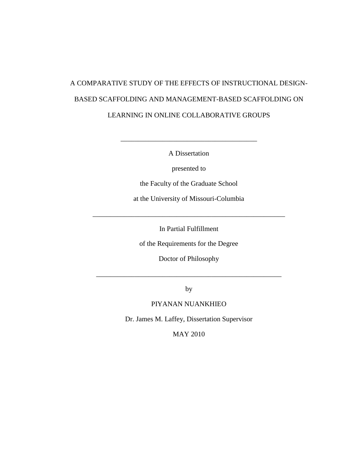# A COMPARATIVE STUDY OF THE EFFECTS OF INSTRUCTIONAL DESIGN-BASED SCAFFOLDING AND MANAGEMENT-BASED SCAFFOLDING ON LEARNING IN ONLINE COLLABORATIVE GROUPS

A Dissertation

\_\_\_\_\_\_\_\_\_\_\_\_\_\_\_\_\_\_\_\_\_\_\_\_\_\_\_\_\_\_\_\_\_\_\_\_\_\_\_

presented to

the Faculty of the Graduate School

at the University of Missouri-Columbia

In Partial Fulfillment

\_\_\_\_\_\_\_\_\_\_\_\_\_\_\_\_\_\_\_\_\_\_\_\_\_\_\_\_\_\_\_\_\_\_\_\_\_\_\_\_\_\_\_\_\_\_\_\_\_\_\_\_\_\_\_

of the Requirements for the Degree

Doctor of Philosophy

by

\_\_\_\_\_\_\_\_\_\_\_\_\_\_\_\_\_\_\_\_\_\_\_\_\_\_\_\_\_\_\_\_\_\_\_\_\_\_\_\_\_\_\_\_\_\_\_\_\_\_\_\_\_

#### PIYANAN NUANKHIEO

Dr. James M. Laffey, Dissertation Supervisor

MAY 2010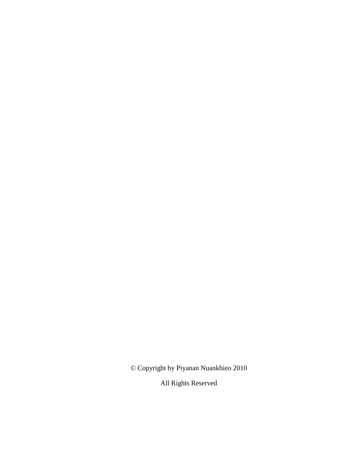© Copyright by Piyanan Nuankhieo 2010

All Rights Reserved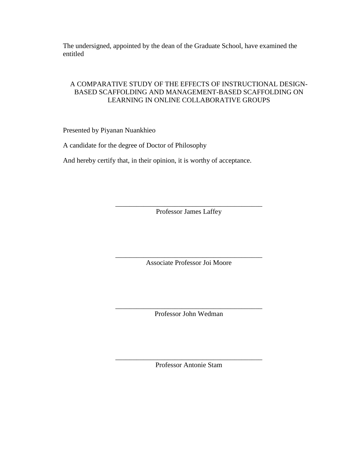The undersigned, appointed by the dean of the Graduate School, have examined the entitled

#### A COMPARATIVE STUDY OF THE EFFECTS OF INSTRUCTIONAL DESIGN-BASED SCAFFOLDING AND MANAGEMENT-BASED SCAFFOLDING ON LEARNING IN ONLINE COLLABORATIVE GROUPS

Presented by Piyanan Nuankhieo

A candidate for the degree of Doctor of Philosophy

And hereby certify that, in their opinion, it is worthy of acceptance.

\_\_\_\_\_\_\_\_\_\_\_\_\_\_\_\_\_\_\_\_\_\_\_\_\_\_\_\_\_\_\_\_\_\_\_\_\_\_\_\_\_\_ Professor James Laffey

\_\_\_\_\_\_\_\_\_\_\_\_\_\_\_\_\_\_\_\_\_\_\_\_\_\_\_\_\_\_\_\_\_\_\_\_\_\_\_\_\_\_ Associate Professor Joi Moore

\_\_\_\_\_\_\_\_\_\_\_\_\_\_\_\_\_\_\_\_\_\_\_\_\_\_\_\_\_\_\_\_\_\_\_\_\_\_\_\_\_\_ Professor John Wedman

\_\_\_\_\_\_\_\_\_\_\_\_\_\_\_\_\_\_\_\_\_\_\_\_\_\_\_\_\_\_\_\_\_\_\_\_\_\_\_\_\_\_ Professor Antonie Stam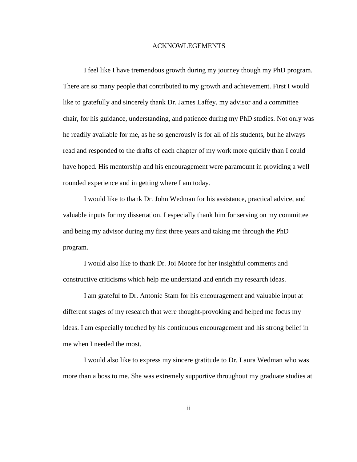#### ACKNOWLEGEMENTS

I feel like I have tremendous growth during my journey though my PhD program. There are so many people that contributed to my growth and achievement. First I would like to gratefully and sincerely thank Dr. James Laffey, my advisor and a committee chair, for his guidance, understanding, and patience during my PhD studies. Not only was he readily available for me, as he so generously is for all of his students, but he always read and responded to the drafts of each chapter of my work more quickly than I could have hoped. His mentorship and his encouragement were paramount in providing a well rounded experience and in getting where I am today.

I would like to thank Dr. John Wedman for his assistance, practical advice, and valuable inputs for my dissertation. I especially thank him for serving on my committee and being my advisor during my first three years and taking me through the PhD program.

I would also like to thank Dr. Joi Moore for her insightful comments and constructive criticisms which help me understand and enrich my research ideas.

I am grateful to Dr. Antonie Stam for his encouragement and valuable input at different stages of my research that were thought-provoking and helped me focus my ideas. I am especially touched by his continuous encouragement and his strong belief in me when I needed the most.

I would also like to express my sincere gratitude to Dr. Laura Wedman who was more than a boss to me. She was extremely supportive throughout my graduate studies at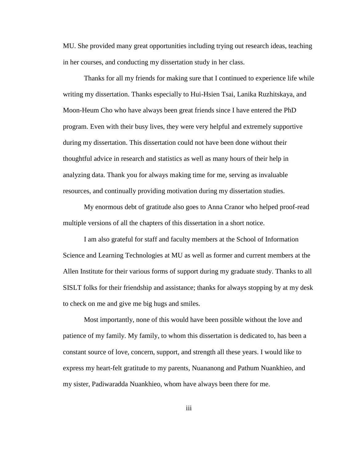MU. She provided many great opportunities including trying out research ideas, teaching in her courses, and conducting my dissertation study in her class.

Thanks for all my friends for making sure that I continued to experience life while writing my dissertation. Thanks especially to Hui-Hsien Tsai, Lanika Ruzhitskaya, and Moon-Heum Cho who have always been great friends since I have entered the PhD program. Even with their busy lives, they were very helpful and extremely supportive during my dissertation. This dissertation could not have been done without their thoughtful advice in research and statistics as well as many hours of their help in analyzing data. Thank you for always making time for me, serving as invaluable resources, and continually providing motivation during my dissertation studies.

My enormous debt of gratitude also goes to Anna Cranor who helped proof-read multiple versions of all the chapters of this dissertation in a short notice.

I am also grateful for staff and faculty members at the School of Information Science and Learning Technologies at MU as well as former and current members at the Allen Institute for their various forms of support during my graduate study. Thanks to all SISLT folks for their friendship and assistance; thanks for always stopping by at my desk to check on me and give me big hugs and smiles.

Most importantly, none of this would have been possible without the love and patience of my family. My family, to whom this dissertation is dedicated to, has been a constant source of love, concern, support, and strength all these years. I would like to express my heart-felt gratitude to my parents, Nuananong and Pathum Nuankhieo, and my sister, Padiwaradda Nuankhieo, whom have always been there for me.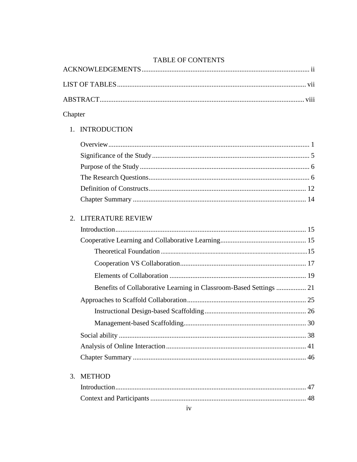## TABLE OF CONTENTS

## Chapter

## 1. INTRODUCTION

## 2. LITERATURE REVIEW

| Benefits of Collaborative Learning in Classroom-Based Settings  21 |  |
|--------------------------------------------------------------------|--|
|                                                                    |  |
|                                                                    |  |
|                                                                    |  |
|                                                                    |  |
|                                                                    |  |
|                                                                    |  |
|                                                                    |  |

## 3. METHOD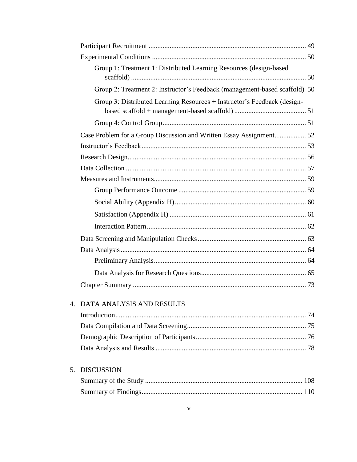| Group 1: Treatment 1: Distributed Learning Resources (design-based         |  |
|----------------------------------------------------------------------------|--|
| Group 2: Treatment 2: Instructor's Feedback (management-based scaffold) 50 |  |
| Group 3: Distributed Learning Resources + Instructor's Feedback (design-   |  |
|                                                                            |  |
|                                                                            |  |
|                                                                            |  |
|                                                                            |  |
|                                                                            |  |
|                                                                            |  |
|                                                                            |  |
|                                                                            |  |
|                                                                            |  |
|                                                                            |  |
|                                                                            |  |
|                                                                            |  |
|                                                                            |  |
|                                                                            |  |
|                                                                            |  |
| 4. DATA ANALYSIS AND RESULTS                                               |  |
|                                                                            |  |
|                                                                            |  |

## 

## 5. DISCUSSION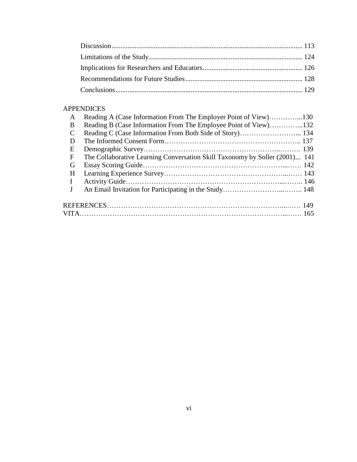## APPENDICES

| A | Reading A (Case Information From The Employer Point of View)130             |  |
|---|-----------------------------------------------------------------------------|--|
| B | Reading B (Case Information From The Employee Point of View)132             |  |
| C |                                                                             |  |
| D |                                                                             |  |
| E |                                                                             |  |
| F | The Collaborative Learning Conversation Skill Taxonomy by Soller (2001) 141 |  |
| G |                                                                             |  |
| H |                                                                             |  |
| I |                                                                             |  |
| J |                                                                             |  |
|   |                                                                             |  |
|   |                                                                             |  |
|   |                                                                             |  |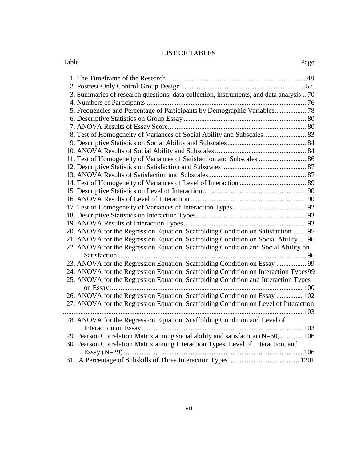## LIST OF TABLES

| Table                                                                                   | Page |
|-----------------------------------------------------------------------------------------|------|
|                                                                                         |      |
|                                                                                         |      |
| 3. Summaries of research questions, data collection, instruments, and data analysis  70 |      |
|                                                                                         |      |
| 5. Frequencies and Percentage of Participants by Demographic Variables 78               |      |
|                                                                                         |      |
|                                                                                         |      |
| 8. Test of Homogeneity of Variances of Social Ability and Subscales  83                 |      |
|                                                                                         |      |
|                                                                                         |      |
| 11. Test of Homogeneity of Variances of Satisfaction and Subscales  86                  |      |
|                                                                                         |      |
|                                                                                         |      |
|                                                                                         |      |
|                                                                                         |      |
|                                                                                         |      |
|                                                                                         |      |
|                                                                                         |      |
|                                                                                         |      |
| 20. ANOVA for the Regression Equation, Scaffolding Condition on Satisfaction 95         |      |
| 21. ANOVA for the Regression Equation, Scaffolding Condition on Social Ability  96      |      |
| 22. ANOVA for the Regression Equation, Scaffolding Condition and Social Ability on      |      |
|                                                                                         |      |
| 23. ANOVA for the Regression Equation, Scaffolding Condition on Essay  99               |      |
| 24. ANOVA for the Regression Equation, Scaffolding Condition on Interaction Types99     |      |
| 25. ANOVA for the Regression Equation, Scaffolding Condition and Interaction Types      |      |
|                                                                                         |      |
| 26. ANOVA for the Regression Equation, Scaffolding Condition on Essay  102              |      |
| 27. ANOVA for the Regression Equation, Scaffolding Condition on Level of Interaction    |      |
|                                                                                         |      |
| 28. ANOVA for the Regression Equation, Scaffolding Condition and Level of               |      |
|                                                                                         |      |
| 29. Pearson Correlation Matrix among social ability and satisfaction (N=60) 106         |      |
| 30. Pearson Correlation Matrix among Interaction Types, Level of Interaction, and       |      |
|                                                                                         |      |
|                                                                                         |      |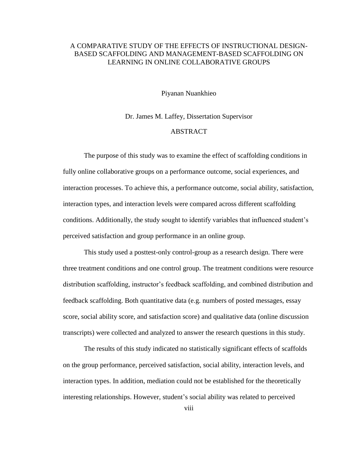#### A COMPARATIVE STUDY OF THE EFFECTS OF INSTRUCTIONAL DESIGN-BASED SCAFFOLDING AND MANAGEMENT-BASED SCAFFOLDING ON LEARNING IN ONLINE COLLABORATIVE GROUPS

Piyanan Nuankhieo

Dr. James M. Laffey, Dissertation Supervisor

#### ABSTRACT

The purpose of this study was to examine the effect of scaffolding conditions in fully online collaborative groups on a performance outcome, social experiences, and interaction processes. To achieve this, a performance outcome, social ability, satisfaction, interaction types, and interaction levels were compared across different scaffolding conditions. Additionally, the study sought to identify variables that influenced student"s perceived satisfaction and group performance in an online group.

This study used a posttest-only control-group as a research design. There were three treatment conditions and one control group. The treatment conditions were resource distribution scaffolding, instructor"s feedback scaffolding, and combined distribution and feedback scaffolding. Both quantitative data (e.g. numbers of posted messages, essay score, social ability score, and satisfaction score) and qualitative data (online discussion transcripts) were collected and analyzed to answer the research questions in this study.

The results of this study indicated no statistically significant effects of scaffolds on the group performance, perceived satisfaction, social ability, interaction levels, and interaction types. In addition, mediation could not be established for the theoretically interesting relationships. However, student"s social ability was related to perceived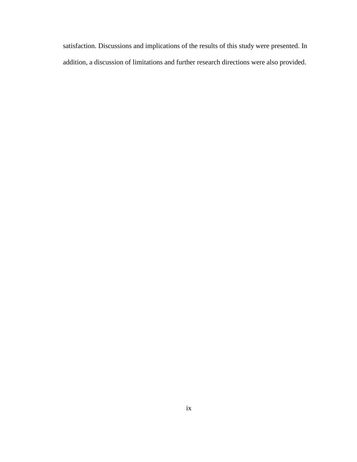satisfaction. Discussions and implications of the results of this study were presented. In addition, a discussion of limitations and further research directions were also provided.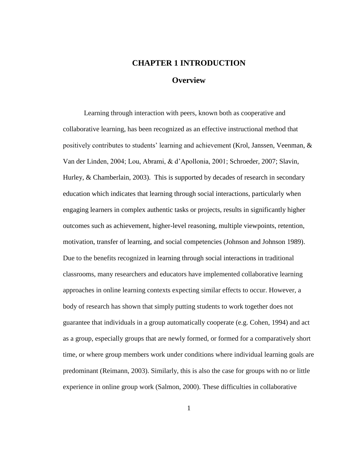## **CHAPTER 1 INTRODUCTION**

#### **Overview**

<span id="page-11-0"></span>Learning through interaction with peers, known both as cooperative and collaborative learning, has been recognized as an effective instructional method that positively contributes to students" learning and achievement (Krol, Janssen, Veenman, & Van der Linden, 2004; Lou, Abrami, & d"Apollonia, 2001; Schroeder, 2007; Slavin, Hurley, & Chamberlain, 2003). This is supported by decades of research in secondary education which indicates that learning through social interactions, particularly when engaging learners in complex authentic tasks or projects, results in significantly higher outcomes such as achievement, higher-level reasoning, multiple viewpoints, retention, motivation, transfer of learning, and social competencies (Johnson and Johnson 1989). Due to the benefits recognized in learning through social interactions in traditional classrooms, many researchers and educators have implemented collaborative learning approaches in online learning contexts expecting similar effects to occur. However, a body of research has shown that simply putting students to work together does not guarantee that individuals in a group automatically cooperate (e.g. Cohen, 1994) and act as a group, especially groups that are newly formed, or formed for a comparatively short time, or where group members work under conditions where individual learning goals are predominant (Reimann, 2003). Similarly, this is also the case for groups with no or little experience in online group work (Salmon, 2000). These difficulties in collaborative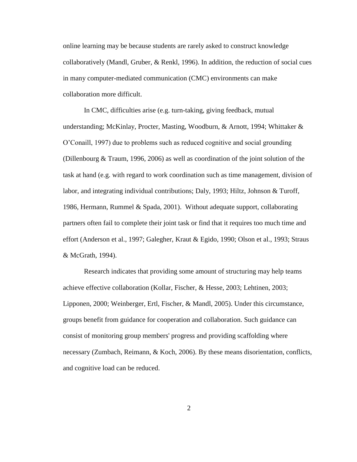online learning may be because students are rarely asked to construct knowledge collaboratively (Mandl, Gruber, & Renkl, 1996). In addition, the reduction of social cues in many computer-mediated communication (CMC) environments can make collaboration more difficult.

In CMC, difficulties arise (e.g. turn-taking, giving feedback, mutual understanding; McKinlay, Procter, Masting, Woodburn, & Arnott, 1994; Whittaker & O"Conaill, 1997) due to problems such as reduced cognitive and social grounding (Dillenbourg & Traum, 1996, 2006) as well as coordination of the joint solution of the task at hand (e.g. with regard to work coordination such as time management, division of labor, and integrating individual contributions; Daly, 1993; Hiltz, Johnson & Turoff, 1986, Hermann, Rummel & Spada, 2001). Without adequate support, collaborating partners often fail to complete their joint task or find that it requires too much time and effort (Anderson et al., 1997; Galegher, Kraut & Egido, 1990; Olson et al., 1993; Straus & McGrath, 1994).

Research indicates that providing some amount of structuring may help teams achieve effective collaboration (Kollar, Fischer, & Hesse, 2003; Lehtinen, 2003; Lipponen, 2000; Weinberger, Ertl, Fischer, & Mandl, 2005). Under this circumstance, groups benefit from guidance for cooperation and collaboration. Such guidance can consist of monitoring group members' progress and providing scaffolding where necessary (Zumbach, Reimann, & Koch, 2006). By these means disorientation, conflicts, and cognitive load can be reduced.

2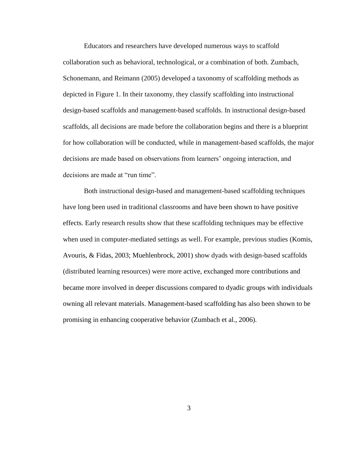Educators and researchers have developed numerous ways to scaffold collaboration such as behavioral, technological, or a combination of both. Zumbach, Schonemann, and Reimann (2005) developed a taxonomy of scaffolding methods as depicted in Figure 1. In their taxonomy, they classify scaffolding into instructional design-based scaffolds and management-based scaffolds. In instructional design-based scaffolds, all decisions are made before the collaboration begins and there is a blueprint for how collaboration will be conducted, while in management-based scaffolds, the major decisions are made based on observations from learners" ongoing interaction, and decisions are made at "run time".

Both instructional design-based and management-based scaffolding techniques have long been used in traditional classrooms and have been shown to have positive effects. Early research results show that these scaffolding techniques may be effective when used in computer-mediated settings as well. For example, previous studies (Komis, Avouris, & Fidas, 2003; Muehlenbrock, 2001) show dyads with design-based scaffolds (distributed learning resources) were more active, exchanged more contributions and became more involved in deeper discussions compared to dyadic groups with individuals owning all relevant materials. Management-based scaffolding has also been shown to be promising in enhancing cooperative behavior (Zumbach et al., 2006).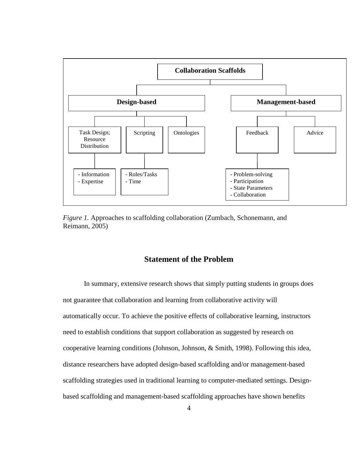

*Figure 1.* Approaches to scaffolding collaboration (Zumbach, Schonemann, and Reimann, 2005)

#### **Statement of the Problem**

In summary, extensive research shows that simply putting students in groups does not guarantee that collaboration and learning from collaborative activity will automatically occur. To achieve the positive effects of collaborative learning, instructors need to establish conditions that support collaboration as suggested by research on cooperative learning conditions (Johnson, Johnson, & Smith, 1998). Following this idea, distance researchers have adopted design-based scaffolding and/or management-based scaffolding strategies used in traditional learning to computer-mediated settings. Designbased scaffolding and management-based scaffolding approaches have shown benefits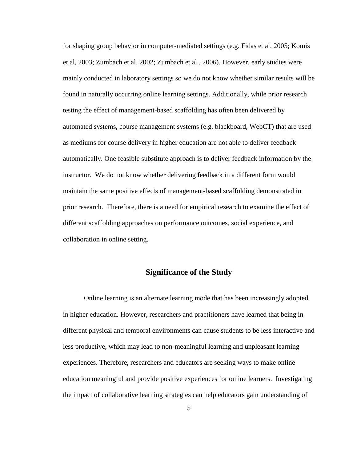for shaping group behavior in computer-mediated settings (e.g. Fidas et al, 2005; Komis et al, 2003; Zumbach et al, 2002; Zumbach et al., 2006). However, early studies were mainly conducted in laboratory settings so we do not know whether similar results will be found in naturally occurring online learning settings. Additionally, while prior research testing the effect of management-based scaffolding has often been delivered by automated systems, course management systems (e.g. blackboard, WebCT) that are used as mediums for course delivery in higher education are not able to deliver feedback automatically. One feasible substitute approach is to deliver feedback information by the instructor. We do not know whether delivering feedback in a different form would maintain the same positive effects of management-based scaffolding demonstrated in prior research. Therefore, there is a need for empirical research to examine the effect of different scaffolding approaches on performance outcomes, social experience, and collaboration in online setting.

#### **Significance of the Study**

<span id="page-15-0"></span>Online learning is an alternate learning mode that has been increasingly adopted in higher education. However, researchers and practitioners have learned that being in different physical and temporal environments can cause students to be less interactive and less productive, which may lead to non-meaningful learning and unpleasant learning experiences. Therefore, researchers and educators are seeking ways to make online education meaningful and provide positive experiences for online learners. Investigating the impact of collaborative learning strategies can help educators gain understanding of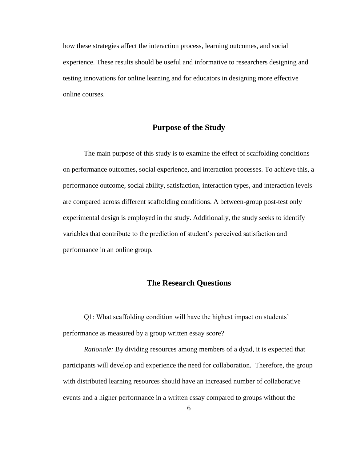how these strategies affect the interaction process, learning outcomes, and social experience. These results should be useful and informative to researchers designing and testing innovations for online learning and for educators in designing more effective online courses.

### **Purpose of the Study**

<span id="page-16-0"></span>The main purpose of this study is to examine the effect of scaffolding conditions on performance outcomes, social experience, and interaction processes. To achieve this, a performance outcome, social ability, satisfaction, interaction types, and interaction levels are compared across different scaffolding conditions. A between-group post-test only experimental design is employed in the study. Additionally, the study seeks to identify variables that contribute to the prediction of student"s perceived satisfaction and performance in an online group.

#### **The Research Questions**

<span id="page-16-1"></span>Q1: What scaffolding condition will have the highest impact on students" performance as measured by a group written essay score?

*Rationale:* By dividing resources among members of a dyad, it is expected that participants will develop and experience the need for collaboration. Therefore, the group with distributed learning resources should have an increased number of collaborative events and a higher performance in a written essay compared to groups without the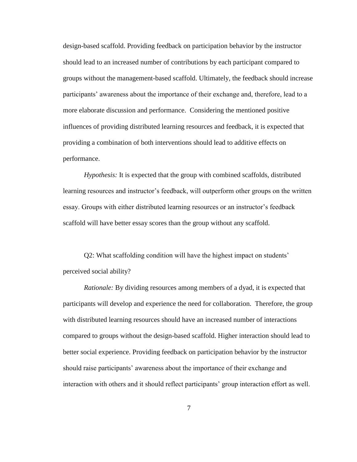design-based scaffold. Providing feedback on participation behavior by the instructor should lead to an increased number of contributions by each participant compared to groups without the management-based scaffold. Ultimately, the feedback should increase participants" awareness about the importance of their exchange and, therefore, lead to a more elaborate discussion and performance. Considering the mentioned positive influences of providing distributed learning resources and feedback, it is expected that providing a combination of both interventions should lead to additive effects on performance.

*Hypothesis:* It is expected that the group with combined scaffolds, distributed learning resources and instructor"s feedback, will outperform other groups on the written essay. Groups with either distributed learning resources or an instructor"s feedback scaffold will have better essay scores than the group without any scaffold.

Q2: What scaffolding condition will have the highest impact on students" perceived social ability?

*Rationale:* By dividing resources among members of a dyad, it is expected that participants will develop and experience the need for collaboration. Therefore, the group with distributed learning resources should have an increased number of interactions compared to groups without the design-based scaffold. Higher interaction should lead to better social experience. Providing feedback on participation behavior by the instructor should raise participants" awareness about the importance of their exchange and interaction with others and it should reflect participants' group interaction effort as well.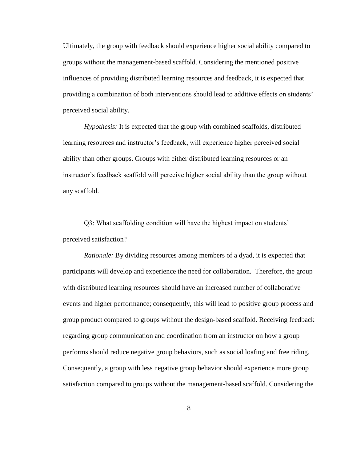Ultimately, the group with feedback should experience higher social ability compared to groups without the management-based scaffold. Considering the mentioned positive influences of providing distributed learning resources and feedback, it is expected that providing a combination of both interventions should lead to additive effects on students' perceived social ability.

*Hypothesis:* It is expected that the group with combined scaffolds, distributed learning resources and instructor's feedback, will experience higher perceived social ability than other groups. Groups with either distributed learning resources or an instructor"s feedback scaffold will perceive higher social ability than the group without any scaffold.

Q3: What scaffolding condition will have the highest impact on students" perceived satisfaction?

*Rationale:* By dividing resources among members of a dyad, it is expected that participants will develop and experience the need for collaboration. Therefore, the group with distributed learning resources should have an increased number of collaborative events and higher performance; consequently, this will lead to positive group process and group product compared to groups without the design-based scaffold. Receiving feedback regarding group communication and coordination from an instructor on how a group performs should reduce negative group behaviors, such as social loafing and free riding. Consequently, a group with less negative group behavior should experience more group satisfaction compared to groups without the management-based scaffold. Considering the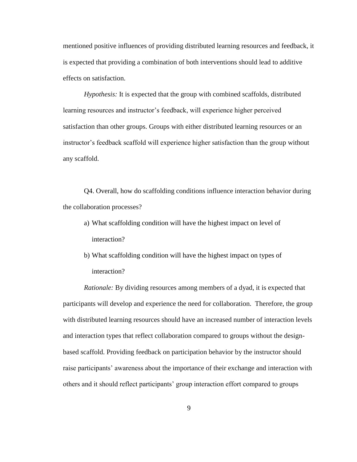mentioned positive influences of providing distributed learning resources and feedback, it is expected that providing a combination of both interventions should lead to additive effects on satisfaction.

*Hypothesis:* It is expected that the group with combined scaffolds, distributed learning resources and instructor"s feedback, will experience higher perceived satisfaction than other groups. Groups with either distributed learning resources or an instructor"s feedback scaffold will experience higher satisfaction than the group without any scaffold.

Q4. Overall, how do scaffolding conditions influence interaction behavior during the collaboration processes?

- a) What scaffolding condition will have the highest impact on level of interaction?
- b) What scaffolding condition will have the highest impact on types of interaction?

*Rationale:* By dividing resources among members of a dyad, it is expected that participants will develop and experience the need for collaboration. Therefore, the group with distributed learning resources should have an increased number of interaction levels and interaction types that reflect collaboration compared to groups without the designbased scaffold. Providing feedback on participation behavior by the instructor should raise participants' awareness about the importance of their exchange and interaction with others and it should reflect participants" group interaction effort compared to groups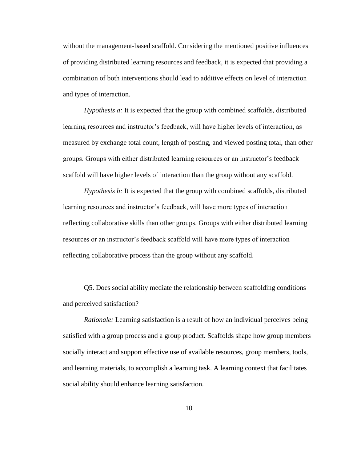without the management-based scaffold. Considering the mentioned positive influences of providing distributed learning resources and feedback, it is expected that providing a combination of both interventions should lead to additive effects on level of interaction and types of interaction.

*Hypothesis a:* It is expected that the group with combined scaffolds, distributed learning resources and instructor's feedback, will have higher levels of interaction, as measured by exchange total count, length of posting, and viewed posting total, than other groups. Groups with either distributed learning resources or an instructor"s feedback scaffold will have higher levels of interaction than the group without any scaffold.

*Hypothesis b:* It is expected that the group with combined scaffolds, distributed learning resources and instructor"s feedback, will have more types of interaction reflecting collaborative skills than other groups. Groups with either distributed learning resources or an instructor's feedback scaffold will have more types of interaction reflecting collaborative process than the group without any scaffold.

Q5. Does social ability mediate the relationship between scaffolding conditions and perceived satisfaction?

*Rationale:* Learning satisfaction is a result of how an individual perceives being satisfied with a group process and a group product. Scaffolds shape how group members socially interact and support effective use of available resources, group members, tools, and learning materials, to accomplish a learning task. A learning context that facilitates social ability should enhance learning satisfaction.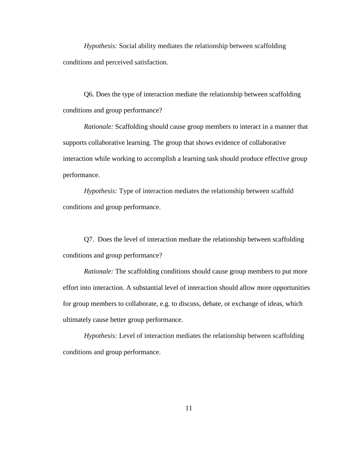*Hypothesis:* Social ability mediates the relationship between scaffolding conditions and perceived satisfaction.

Q6. Does the type of interaction mediate the relationship between scaffolding conditions and group performance?

*Rationale:* Scaffolding should cause group members to interact in a manner that supports collaborative learning. The group that shows evidence of collaborative interaction while working to accomplish a learning task should produce effective group performance.

*Hypothesis:* Type of interaction mediates the relationship between scaffold conditions and group performance.

Q7. Does the level of interaction mediate the relationship between scaffolding conditions and group performance?

*Rationale:* The scaffolding conditions should cause group members to put more effort into interaction. A substantial level of interaction should allow more opportunities for group members to collaborate, e.g. to discuss, debate, or exchange of ideas, which ultimately cause better group performance.

*Hypothesis:* Level of interaction mediates the relationship between scaffolding conditions and group performance.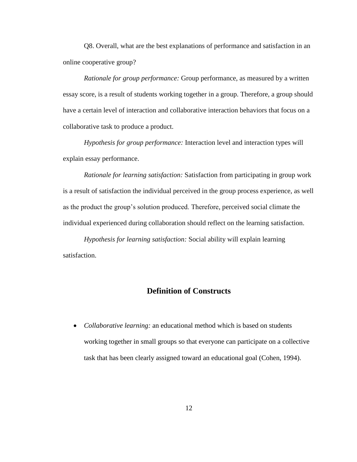Q8. Overall, what are the best explanations of performance and satisfaction in an online cooperative group?

*Rationale for group performance:* Group performance, as measured by a written essay score, is a result of students working together in a group. Therefore, a group should have a certain level of interaction and collaborative interaction behaviors that focus on a collaborative task to produce a product.

*Hypothesis for group performance:* Interaction level and interaction types will explain essay performance.

*Rationale for learning satisfaction:* Satisfaction from participating in group work is a result of satisfaction the individual perceived in the group process experience, as well as the product the group"s solution produced. Therefore, perceived social climate the individual experienced during collaboration should reflect on the learning satisfaction.

*Hypothesis for learning satisfaction:* Social ability will explain learning satisfaction.

#### **Definition of Constructs**

<span id="page-22-0"></span> *Collaborative learning:* an educational method which is based on students working together in small groups so that everyone can participate on a collective task that has been clearly assigned toward an educational goal (Cohen, 1994).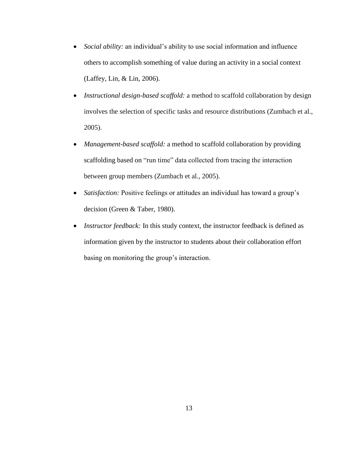- *Social ability:* an individual's ability to use social information and influence others to accomplish something of value during an activity in a social context (Laffey, Lin, & Lin, 2006).
- *Instructional design-based scaffold:* a method to scaffold collaboration by design involves the selection of specific tasks and resource distributions (Zumbach et al., 2005).
- *Management-based scaffold:* a method to scaffold collaboration by providing scaffolding based on "run time" data collected from tracing the interaction between group members (Zumbach et al., 2005).
- *Satisfaction:* Positive feelings or attitudes an individual has toward a group's decision (Green & Taber, 1980).
- *Instructor feedback:* In this study context, the instructor feedback is defined as information given by the instructor to students about their collaboration effort basing on monitoring the group"s interaction.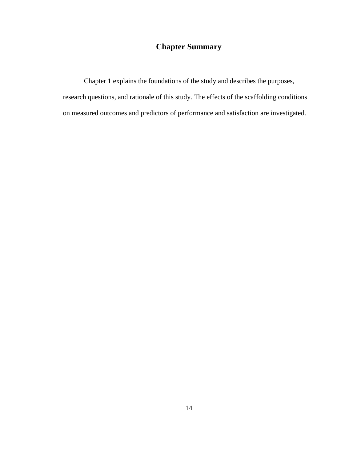## **Chapter Summary**

<span id="page-24-0"></span>Chapter 1 explains the foundations of the study and describes the purposes, research questions, and rationale of this study. The effects of the scaffolding conditions on measured outcomes and predictors of performance and satisfaction are investigated.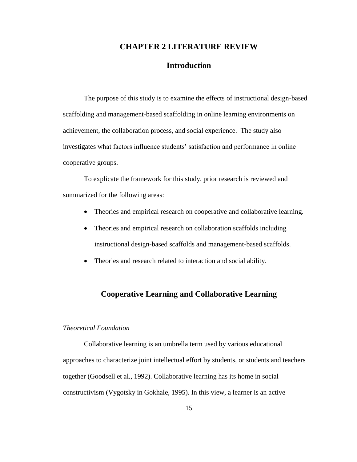#### **CHAPTER 2 LITERATURE REVIEW**

#### **Introduction**

<span id="page-25-0"></span>The purpose of this study is to examine the effects of instructional design-based scaffolding and management-based scaffolding in online learning environments on achievement, the collaboration process, and social experience. The study also investigates what factors influence students' satisfaction and performance in online cooperative groups.

To explicate the framework for this study, prior research is reviewed and summarized for the following areas:

- Theories and empirical research on cooperative and collaborative learning.
- Theories and empirical research on collaboration scaffolds including instructional design-based scaffolds and management-based scaffolds.
- Theories and research related to interaction and social ability.

#### **Cooperative Learning and Collaborative Learning**

#### <span id="page-25-2"></span><span id="page-25-1"></span>*Theoretical Foundation*

Collaborative learning is an umbrella term used by various educational approaches to characterize joint intellectual effort by students, or students and teachers together (Goodsell et al., 1992). Collaborative learning has its home in social constructivism (Vygotsky in Gokhale, 1995). In this view, a learner is an active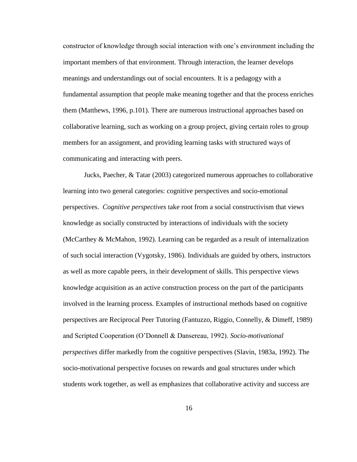constructor of knowledge through social interaction with one"s environment including the important members of that environment. Through interaction, the learner develops meanings and understandings out of social encounters. It is a pedagogy with a fundamental assumption that people make meaning together and that the process enriches them (Matthews, 1996, p.101). There are numerous instructional approaches based on collaborative learning, such as working on a group project, giving certain roles to group members for an assignment, and providing learning tasks with structured ways of communicating and interacting with peers.

Jucks, Paecher, & Tatar (2003) categorized numerous approaches to collaborative learning into two general categories: cognitive perspectives and socio-emotional perspectives. *Cognitive perspectives* take root from a social constructivism that views knowledge as socially constructed by interactions of individuals with the society (McCarthey & McMahon, 1992). Learning can be regarded as a result of internalization of such social interaction (Vygotsky, 1986). Individuals are guided by others, instructors as well as more capable peers, in their development of skills. This perspective views knowledge acquisition as an active construction process on the part of the participants involved in the learning process. Examples of instructional methods based on cognitive perspectives are Reciprocal Peer Tutoring (Fantuzzo, Riggio, Connelly, & Dimeff, 1989) and Scripted Cooperation (O"Donnell & Dansereau, 1992). *Socio-motivational perspectives* differ markedly from the cognitive perspectives (Slavin, 1983a, 1992). The socio-motivational perspective focuses on rewards and goal structures under which students work together, as well as emphasizes that collaborative activity and success are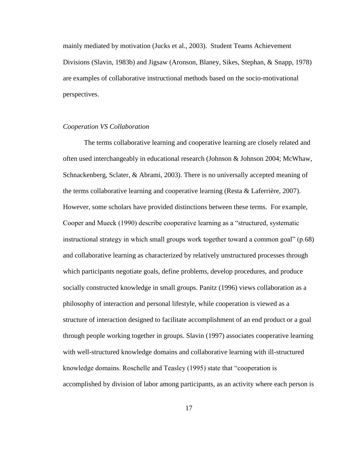mainly mediated by motivation (Jucks et al., 2003). Student Teams Achievement Divisions (Slavin, 1983b) and Jigsaw (Aronson, Blaney, Sikes, Stephan, & Snapp, 1978) are examples of collaborative instructional methods based on the socio-motivational perspectives.

#### <span id="page-27-0"></span>*Cooperation VS Collaboration*

The terms collaborative learning and cooperative learning are closely related and often used interchangeably in educational research (Johnson & Johnson 2004; McWhaw, Schnackenberg, Sclater, & Abrami, 2003). There is no universally accepted meaning of the terms collaborative learning and cooperative learning (Resta  $\&$  Laferrière, 2007). However, some scholars have provided distinctions between these terms. For example, Cooper and Mueck (1990) describe cooperative learning as a "structured, systematic instructional strategy in which small groups work together toward a common goal" (p.68) and collaborative learning as characterized by relatively unstructured processes through which participants negotiate goals, define problems, develop procedures, and produce socially constructed knowledge in small groups. Panitz (1996) views collaboration as a philosophy of interaction and personal lifestyle, while cooperation is viewed as a structure of interaction designed to facilitate accomplishment of an end product or a goal through people working together in groups. Slavin (1997) associates cooperative learning with well-structured knowledge domains and collaborative learning with ill-structured knowledge domains. Roschelle and Teasley (1995) state that "cooperation is accomplished by division of labor among participants, as an activity where each person is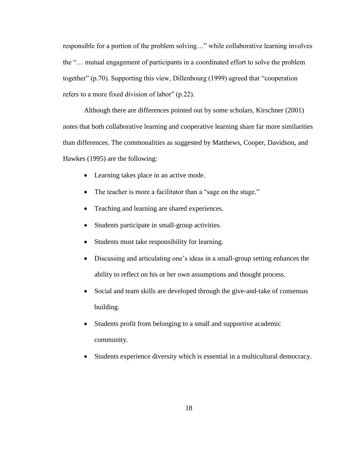responsible for a portion of the problem solving…" while collaborative learning involves the "… mutual engagement of participants in a coordinated effort to solve the problem together" (p.70). Supporting this view, Dillenbourg (1999) agreed that "cooperation refers to a more fixed division of labor" (p.22).

Although there are differences pointed out by some scholars, Kirschner (2001) notes that both collaborative learning and cooperative learning share far more similarities than differences. The commonalities as suggested by Matthews, Cooper, Davidson, and Hawkes (1995) are the following:

- Learning takes place in an active mode.
- The teacher is more a facilitator than a "sage on the stage."
- Teaching and learning are shared experiences.
- Students participate in small-group activities.
- Students must take responsibility for learning.
- Discussing and articulating one's ideas in a small-group setting enhances the ability to reflect on his or her own assumptions and thought process.
- Social and team skills are developed through the give-and-take of consensus building.
- Students profit from belonging to a small and supportive academic community.
- Students experience diversity which is essential in a multicultural democracy.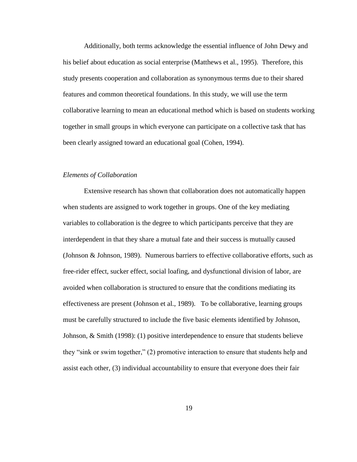Additionally, both terms acknowledge the essential influence of John Dewy and his belief about education as social enterprise (Matthews et al., 1995). Therefore, this study presents cooperation and collaboration as synonymous terms due to their shared features and common theoretical foundations. In this study, we will use the term collaborative learning to mean an educational method which is based on students working together in small groups in which everyone can participate on a collective task that has been clearly assigned toward an educational goal (Cohen, 1994).

#### <span id="page-29-0"></span>*Elements of Collaboration*

Extensive research has shown that collaboration does not automatically happen when students are assigned to work together in groups. One of the key mediating variables to collaboration is the degree to which participants perceive that they are interdependent in that they share a mutual fate and their success is mutually caused (Johnson & Johnson, 1989). Numerous barriers to effective collaborative efforts, such as free-rider effect, sucker effect, social loafing, and dysfunctional division of labor, are avoided when collaboration is structured to ensure that the conditions mediating its effectiveness are present (Johnson et al., 1989). To be collaborative, learning groups must be carefully structured to include the five basic elements identified by Johnson, Johnson, & Smith (1998): (1) positive interdependence to ensure that students believe they "sink or swim together," (2) promotive interaction to ensure that students help and assist each other, (3) individual accountability to ensure that everyone does their fair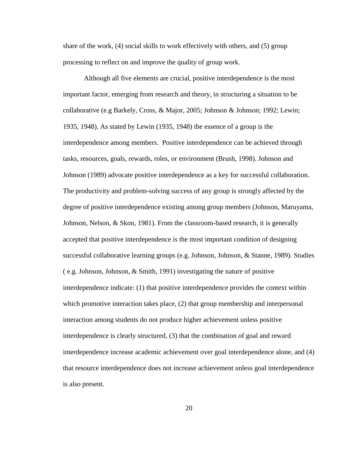share of the work, (4) social skills to work effectively with others, and (5) group processing to reflect on and improve the quality of group work.

Although all five elements are crucial, positive interdependence is the most important factor, emerging from research and theory, in structuring a situation to be collaborative (e.g Barkely, Cross, & Major, 2005; Johnson & Johnson; 1992; Lewin; 1935, 1948). As stated by Lewin (1935, 1948) the essence of a group is the interdependence among members. Positive interdependence can be achieved through tasks, resources, goals, rewards, roles, or environment (Brush, 1998). Johnson and Johnson (1989) advocate positive interdependence as a key for successful collaboration. The productivity and problem-solving success of any group is strongly affected by the degree of positive interdependence existing among group members (Johnson, Maruyama, Johnson, Nelson, & Skon, 1981). From the classroom-based research, it is generally accepted that positive interdependence is the most important condition of designing successful collaborative learning groups (e.g. Johnson, Johnson, & Stanne, 1989). Studies ( e.g. Johnson, Johnson, & Smith, 1991) investigating the nature of positive interdependence indicate: (1) that positive interdependence provides the context within which promotive interaction takes place, (2) that group membership and interpersonal interaction among students do not produce higher achievement unless positive interdependence is clearly structured, (3) that the combination of goal and reward interdependence increase academic achievement over goal interdependence alone, and (4) that resource interdependence does not increase achievement unless goal interdependence is also present.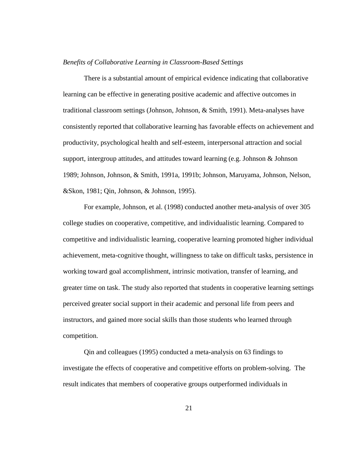#### <span id="page-31-0"></span>*Benefits of Collaborative Learning in Classroom-Based Settings*

There is a substantial amount of empirical evidence indicating that collaborative learning can be effective in generating positive academic and affective outcomes in traditional classroom settings (Johnson, Johnson, & Smith, 1991). Meta-analyses have consistently reported that collaborative learning has favorable effects on achievement and productivity, psychological health and self-esteem, interpersonal attraction and social support, intergroup attitudes, and attitudes toward learning (e.g. Johnson & Johnson 1989; Johnson, Johnson, & Smith, 1991a, 1991b; Johnson, Maruyama, Johnson, Nelson, &Skon, 1981; Qin, Johnson, & Johnson, 1995).

For example, Johnson, et al. (1998) conducted another meta-analysis of over 305 college studies on cooperative, competitive, and individualistic learning. Compared to competitive and individualistic learning, cooperative learning promoted higher individual achievement, meta-cognitive thought, willingness to take on difficult tasks, persistence in working toward goal accomplishment, intrinsic motivation, transfer of learning, and greater time on task. The study also reported that students in cooperative learning settings perceived greater social support in their academic and personal life from peers and instructors, and gained more social skills than those students who learned through competition.

Qin and colleagues (1995) conducted a meta-analysis on 63 findings to investigate the effects of cooperative and competitive efforts on problem-solving. The result indicates that members of cooperative groups outperformed individuals in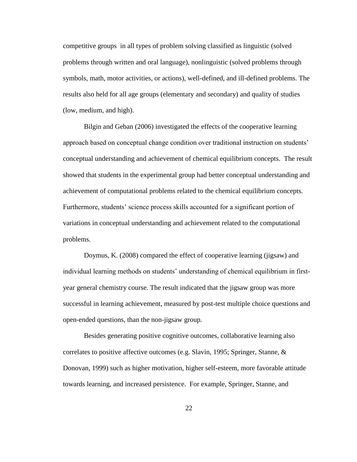competitive groups in all types of problem solving classified as linguistic (solved problems through written and oral language), nonlinguistic (solved problems through symbols, math, motor activities, or actions), well-defined, and ill-defined problems. The results also held for all age groups (elementary and secondary) and quality of studies (low, medium, and high).

Bilgin and Geban (2006) investigated the effects of the cooperative learning approach based on conceptual change condition over traditional instruction on students' conceptual understanding and achievement of chemical equilibrium concepts. The result showed that students in the experimental group had better conceptual understanding and achievement of computational problems related to the chemical equilibrium concepts. Furthermore, students' science process skills accounted for a significant portion of variations in conceptual understanding and achievement related to the computational problems.

Doymus, K. (2008) compared the effect of cooperative learning (jigsaw) and individual learning methods on students' understanding of chemical equilibrium in firstyear general chemistry course. The result indicated that the jigsaw group was more successful in learning achievement, measured by post-test multiple choice questions and open-ended questions, than the non-jigsaw group.

Besides generating positive cognitive outcomes, collaborative learning also correlates to positive affective outcomes (e.g. Slavin, 1995; Springer, Stanne, & Donovan, 1999) such as higher motivation, higher self-esteem, more favorable attitude towards learning, and increased persistence. For example, Springer, Stanne, and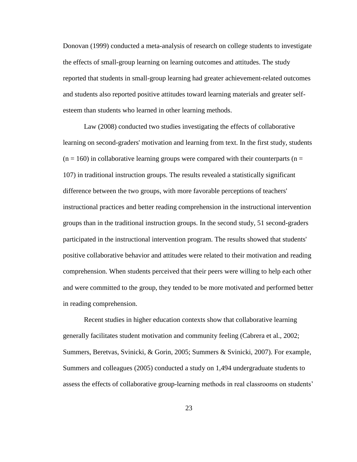Donovan (1999) conducted a meta-analysis of research on college students to investigate the effects of small-group learning on learning outcomes and attitudes. The study reported that students in small-group learning had greater achievement-related outcomes and students also reported positive attitudes toward learning materials and greater selfesteem than students who learned in other learning methods.

Law (2008) conducted two studies investigating the effects of collaborative learning on second-graders' motivation and learning from text. In the first study, students  $(n = 160)$  in collaborative learning groups were compared with their counterparts  $(n = 160)$ 107) in traditional instruction groups. The results revealed a statistically significant difference between the two groups, with more favorable perceptions of teachers' instructional practices and better reading comprehension in the instructional intervention groups than in the traditional instruction groups. In the second study, 51 second-graders participated in the instructional intervention program. The results showed that students' positive collaborative behavior and attitudes were related to their motivation and reading comprehension. When students perceived that their peers were willing to help each other and were committed to the group, they tended to be more motivated and performed better in reading comprehension.

Recent studies in higher education contexts show that collaborative learning generally facilitates student motivation and community feeling (Cabrera et al., 2002; Summers, Beretvas, Svinicki, & Gorin, 2005; Summers & Svinicki, 2007). For example, Summers and colleagues (2005) conducted a study on 1,494 undergraduate students to assess the effects of collaborative group-learning methods in real classrooms on students"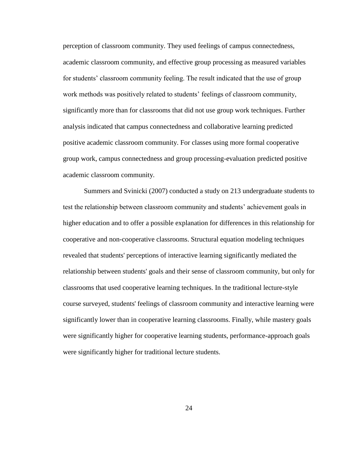perception of classroom community. They used feelings of campus connectedness, academic classroom community, and effective group processing as measured variables for students" classroom community feeling. The result indicated that the use of group work methods was positively related to students" feelings of classroom community, significantly more than for classrooms that did not use group work techniques. Further analysis indicated that campus connectedness and collaborative learning predicted positive academic classroom community. For classes using more formal cooperative group work, campus connectedness and group processing-evaluation predicted positive academic classroom community.

Summers and Svinicki (2007) conducted a study on 213 undergraduate students to test the relationship between classroom community and students" achievement goals in higher education and to offer a possible explanation for differences in this relationship for cooperative and non-cooperative classrooms. Structural equation modeling techniques revealed that students' perceptions of interactive learning significantly mediated the relationship between students' goals and their sense of classroom community, but only for classrooms that used cooperative learning techniques. In the traditional lecture-style course surveyed, students' feelings of classroom community and interactive learning were significantly lower than in cooperative learning classrooms. Finally, while mastery goals were significantly higher for cooperative learning students, performance-approach goals were significantly higher for traditional lecture students.

24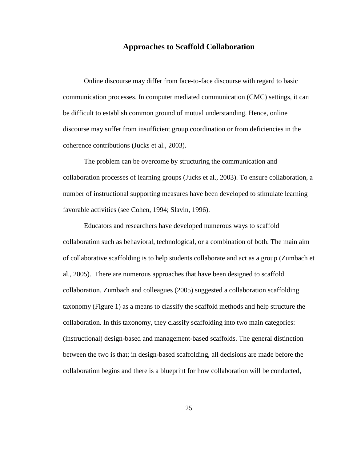#### **Approaches to Scaffold Collaboration**

<span id="page-35-0"></span>Online discourse may differ from face-to-face discourse with regard to basic communication processes. In computer mediated communication (CMC) settings, it can be difficult to establish common ground of mutual understanding. Hence, online discourse may suffer from insufficient group coordination or from deficiencies in the coherence contributions (Jucks et al., 2003).

The problem can be overcome by structuring the communication and collaboration processes of learning groups (Jucks et al., 2003). To ensure collaboration, a number of instructional supporting measures have been developed to stimulate learning favorable activities (see Cohen, 1994; Slavin, 1996).

Educators and researchers have developed numerous ways to scaffold collaboration such as behavioral, technological, or a combination of both. The main aim of collaborative scaffolding is to help students collaborate and act as a group (Zumbach et al., 2005). There are numerous approaches that have been designed to scaffold collaboration. Zumbach and colleagues (2005) suggested a collaboration scaffolding taxonomy (Figure 1) as a means to classify the scaffold methods and help structure the collaboration. In this taxonomy, they classify scaffolding into two main categories: (instructional) design-based and management-based scaffolds. The general distinction between the two is that; in design-based scaffolding, all decisions are made before the collaboration begins and there is a blueprint for how collaboration will be conducted,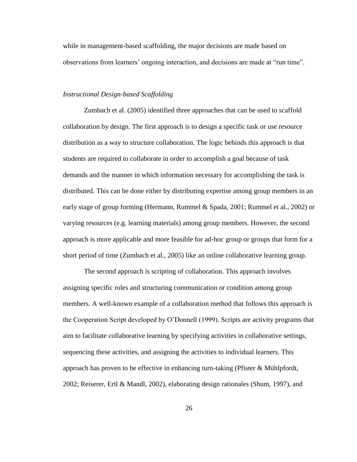while in management-based scaffolding, the major decisions are made based on observations from learners" ongoing interaction, and decisions are made at "run time".

#### *Instructional Design-based Scaffolding*

Zumbach et al. (2005) identified three approaches that can be used to scaffold collaboration by design. The first approach is to design a specific task or use resource distribution as a way to structure collaboration. The logic behinds this approach is that students are required to collaborate in order to accomplish a goal because of task demands and the manner in which information necessary for accomplishing the task is distributed. This can be done either by distributing expertise among group members in an early stage of group forming (Hermann, Rummel & Spada, 2001; Rummel et al., 2002) or varying resources (e.g. learning materials) among group members. However, the second approach is more applicable and more feasible for ad-hoc group or groups that form for a short period of time (Zumbach et al., 2005) like an online collaborative learning group.

The second approach is scripting of collaboration. This approach involves assigning specific roles and structuring communication or condition among group members. A well-known example of a collaboration method that follows this approach is the Cooperation Script developed by O"Donnell (1999). Scripts are activity programs that aim to facilitate collaborative learning by specifying activities in collaborative settings, sequencing these activities, and assigning the activities to individual learners. This approach has proven to be effective in enhancing turn-taking (Pfister & Mühlpfordt, 2002; Reiserer, Ertl & Mandl, 2002), elaborating design rationales (Shum, 1997), and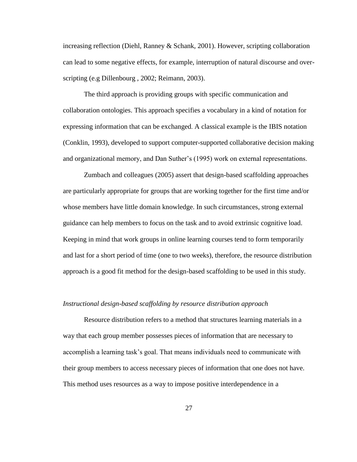increasing reflection (Diehl, Ranney & Schank, 2001). However, scripting collaboration can lead to some negative effects, for example, interruption of natural discourse and overscripting (e.g Dillenbourg , 2002; Reimann, 2003).

The third approach is providing groups with specific communication and collaboration ontologies. This approach specifies a vocabulary in a kind of notation for expressing information that can be exchanged. A classical example is the IBIS notation (Conklin, 1993), developed to support computer-supported collaborative decision making and organizational memory, and Dan Suther"s (1995) work on external representations.

Zumbach and colleagues (2005) assert that design-based scaffolding approaches are particularly appropriate for groups that are working together for the first time and/or whose members have little domain knowledge. In such circumstances, strong external guidance can help members to focus on the task and to avoid extrinsic cognitive load. Keeping in mind that work groups in online learning courses tend to form temporarily and last for a short period of time (one to two weeks), therefore, the resource distribution approach is a good fit method for the design-based scaffolding to be used in this study.

#### *Instructional design-based scaffolding by resource distribution approach*

Resource distribution refers to a method that structures learning materials in a way that each group member possesses pieces of information that are necessary to accomplish a learning task"s goal. That means individuals need to communicate with their group members to access necessary pieces of information that one does not have. This method uses resources as a way to impose positive interdependence in a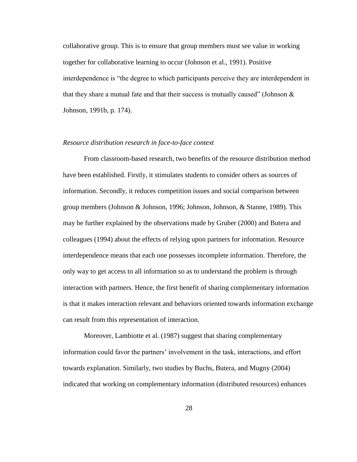collaborative group. This is to ensure that group members must see value in working together for collaborative learning to occur (Johnson et al., 1991). Positive interdependence is "the degree to which participants perceive they are interdependent in that they share a mutual fate and that their success is mutually caused" (Johnson  $\&$ Johnson, 1991b, p. 174).

#### *Resource distribution research in face-to-face context*

From classroom-based research, two benefits of the resource distribution method have been established. Firstly, it stimulates students to consider others as sources of information. Secondly, it reduces competition issues and social comparison between group members (Johnson & Johnson, 1996; Johnson, Johnson, & Stanne, 1989). This may be further explained by the observations made by Gruber (2000) and Butera and colleagues (1994) about the effects of relying upon partners for information. Resource interdependence means that each one possesses incomplete information. Therefore, the only way to get access to all information so as to understand the problem is through interaction with partners. Hence, the first benefit of sharing complementary information is that it makes interaction relevant and behaviors oriented towards information exchange can result from this representation of interaction.

Moreover, Lambiotte et al. (1987) suggest that sharing complementary information could favor the partners' involvement in the task, interactions, and effort towards explanation. Similarly, two studies by Buchs, Butera, and Mugny (2004) indicated that working on complementary information (distributed resources) enhances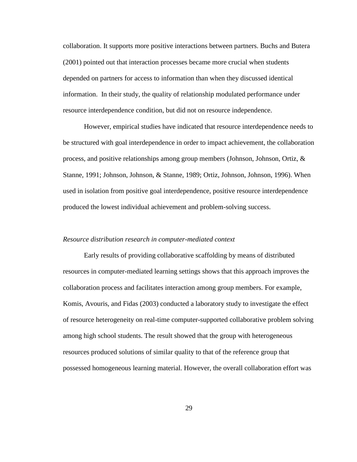collaboration. It supports more positive interactions between partners. Buchs and Butera (2001) pointed out that interaction processes became more crucial when students depended on partners for access to information than when they discussed identical information. In their study, the quality of relationship modulated performance under resource interdependence condition, but did not on resource independence.

However, empirical studies have indicated that resource interdependence needs to be structured with goal interdependence in order to impact achievement, the collaboration process, and positive relationships among group members (Johnson, Johnson, Ortiz, & Stanne, 1991; Johnson, Johnson, & Stanne, 1989; Ortiz, Johnson, Johnson, 1996). When used in isolation from positive goal interdependence, positive resource interdependence produced the lowest individual achievement and problem-solving success.

#### *Resource distribution research in computer-mediated context*

Early results of providing collaborative scaffolding by means of distributed resources in computer-mediated learning settings shows that this approach improves the collaboration process and facilitates interaction among group members. For example, Komis, Avouris, and Fidas (2003) conducted a laboratory study to investigate the effect of resource heterogeneity on real-time computer-supported collaborative problem solving among high school students. The result showed that the group with heterogeneous resources produced solutions of similar quality to that of the reference group that possessed homogeneous learning material. However, the overall collaboration effort was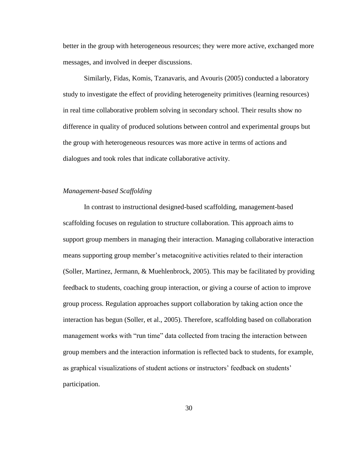better in the group with heterogeneous resources; they were more active, exchanged more messages, and involved in deeper discussions.

Similarly, Fidas, Komis, Tzanavaris, and Avouris (2005) conducted a laboratory study to investigate the effect of providing heterogeneity primitives (learning resources) in real time collaborative problem solving in secondary school. Their results show no difference in quality of produced solutions between control and experimental groups but the group with heterogeneous resources was more active in terms of actions and dialogues and took roles that indicate collaborative activity.

#### *Management-based Scaffolding*

In contrast to instructional designed-based scaffolding, management-based scaffolding focuses on regulation to structure collaboration. This approach aims to support group members in managing their interaction. Managing collaborative interaction means supporting group member"s metacognitive activities related to their interaction (Soller, Martinez, Jermann, & Muehlenbrock, 2005). This may be facilitated by providing feedback to students, coaching group interaction, or giving a course of action to improve group process. Regulation approaches support collaboration by taking action once the interaction has begun (Soller, et al., 2005). Therefore, scaffolding based on collaboration management works with "run time" data collected from tracing the interaction between group members and the interaction information is reflected back to students, for example, as graphical visualizations of student actions or instructors' feedback on students' participation.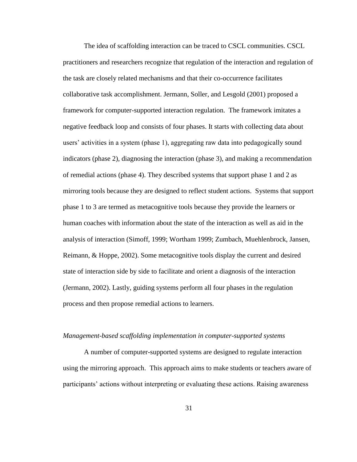The idea of scaffolding interaction can be traced to CSCL communities. CSCL practitioners and researchers recognize that regulation of the interaction and regulation of the task are closely related mechanisms and that their co-occurrence facilitates collaborative task accomplishment. Jermann, Soller, and Lesgold (2001) proposed a framework for computer-supported interaction regulation. The framework imitates a negative feedback loop and consists of four phases. It starts with collecting data about users" activities in a system (phase 1), aggregating raw data into pedagogically sound indicators (phase 2), diagnosing the interaction (phase 3), and making a recommendation of remedial actions (phase 4). They described systems that support phase 1 and 2 as mirroring tools because they are designed to reflect student actions. Systems that support phase 1 to 3 are termed as metacognitive tools because they provide the learners or human coaches with information about the state of the interaction as well as aid in the analysis of interaction (Simoff, 1999; Wortham 1999; Zumbach, Muehlenbrock, Jansen, Reimann, & Hoppe, 2002). Some metacognitive tools display the current and desired state of interaction side by side to facilitate and orient a diagnosis of the interaction (Jermann, 2002). Lastly, guiding systems perform all four phases in the regulation process and then propose remedial actions to learners.

#### *Management-based scaffolding implementation in computer-supported systems*

A number of computer-supported systems are designed to regulate interaction using the mirroring approach. This approach aims to make students or teachers aware of participants" actions without interpreting or evaluating these actions. Raising awareness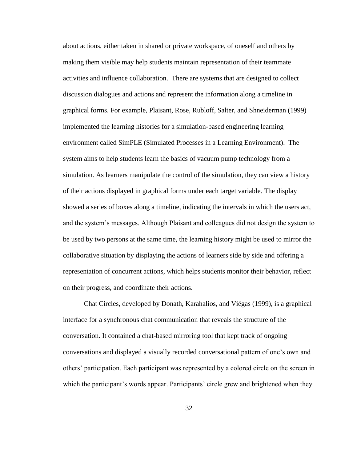about actions, either taken in shared or private workspace, of oneself and others by making them visible may help students maintain representation of their teammate activities and influence collaboration. There are systems that are designed to collect discussion dialogues and actions and represent the information along a timeline in graphical forms. For example, Plaisant, Rose, Rubloff, Salter, and Shneiderman (1999) implemented the learning histories for a simulation-based engineering learning environment called SimPLE (Simulated Processes in a Learning Environment). The system aims to help students learn the basics of vacuum pump technology from a simulation. As learners manipulate the control of the simulation, they can view a history of their actions displayed in graphical forms under each target variable. The display showed a series of boxes along a timeline, indicating the intervals in which the users act, and the system"s messages. Although Plaisant and colleagues did not design the system to be used by two persons at the same time, the learning history might be used to mirror the collaborative situation by displaying the actions of learners side by side and offering a representation of concurrent actions, which helps students monitor their behavior, reflect on their progress, and coordinate their actions.

Chat Circles, developed by Donath, Karahalios, and Viégas (1999), is a graphical interface for a synchronous chat communication that reveals the structure of the conversation. It contained a chat-based mirroring tool that kept track of ongoing conversations and displayed a visually recorded conversational pattern of one"s own and others" participation. Each participant was represented by a colored circle on the screen in which the participant's words appear. Participants' circle grew and brightened when they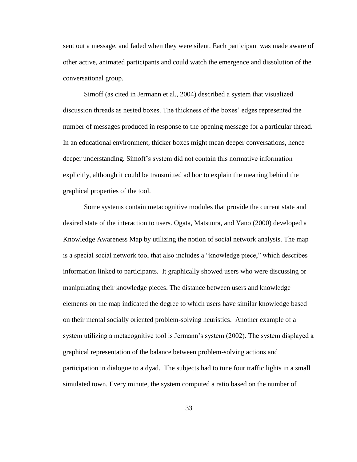sent out a message, and faded when they were silent. Each participant was made aware of other active, animated participants and could watch the emergence and dissolution of the conversational group.

Simoff (as cited in Jermann et al., 2004) described a system that visualized discussion threads as nested boxes. The thickness of the boxes" edges represented the number of messages produced in response to the opening message for a particular thread. In an educational environment, thicker boxes might mean deeper conversations, hence deeper understanding. Simoff"s system did not contain this normative information explicitly, although it could be transmitted ad hoc to explain the meaning behind the graphical properties of the tool.

Some systems contain metacognitive modules that provide the current state and desired state of the interaction to users. Ogata, Matsuura, and Yano (2000) developed a Knowledge Awareness Map by utilizing the notion of social network analysis. The map is a special social network tool that also includes a "knowledge piece," which describes information linked to participants. It graphically showed users who were discussing or manipulating their knowledge pieces. The distance between users and knowledge elements on the map indicated the degree to which users have similar knowledge based on their mental socially oriented problem-solving heuristics. Another example of a system utilizing a metacognitive tool is Jermann's system (2002). The system displayed a graphical representation of the balance between problem-solving actions and participation in dialogue to a dyad. The subjects had to tune four traffic lights in a small simulated town. Every minute, the system computed a ratio based on the number of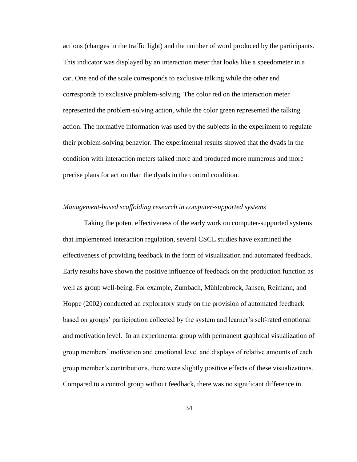actions (changes in the traffic light) and the number of word produced by the participants. This indicator was displayed by an interaction meter that looks like a speedometer in a car. One end of the scale corresponds to exclusive talking while the other end corresponds to exclusive problem-solving. The color red on the interaction meter represented the problem-solving action, while the color green represented the talking action. The normative information was used by the subjects in the experiment to regulate their problem-solving behavior. The experimental results showed that the dyads in the condition with interaction meters talked more and produced more numerous and more precise plans for action than the dyads in the control condition.

#### *Management-based scaffolding research in computer-supported systems*

Taking the potent effectiveness of the early work on computer-supported systems that implemented interaction regulation, several CSCL studies have examined the effectiveness of providing feedback in the form of visualization and automated feedback. Early results have shown the positive influence of feedback on the production function as well as group well-being. For example, Zumbach, Mühlenbrock, Jansen, Reimann, and Hoppe (2002) conducted an exploratory study on the provision of automated feedback based on groups" participation collected by the system and learner"s self-rated emotional and motivation level. In an experimental group with permanent graphical visualization of group members" motivation and emotional level and displays of relative amounts of each group member"s contributions, there were slightly positive effects of these visualizations. Compared to a control group without feedback, there was no significant difference in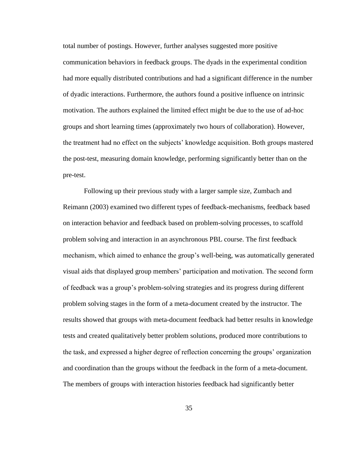total number of postings. However, further analyses suggested more positive communication behaviors in feedback groups. The dyads in the experimental condition had more equally distributed contributions and had a significant difference in the number of dyadic interactions. Furthermore, the authors found a positive influence on intrinsic motivation. The authors explained the limited effect might be due to the use of ad-hoc groups and short learning times (approximately two hours of collaboration). However, the treatment had no effect on the subjects" knowledge acquisition. Both groups mastered the post-test, measuring domain knowledge, performing significantly better than on the pre-test.

Following up their previous study with a larger sample size, Zumbach and Reimann (2003) examined two different types of feedback-mechanisms, feedback based on interaction behavior and feedback based on problem-solving processes, to scaffold problem solving and interaction in an asynchronous PBL course. The first feedback mechanism, which aimed to enhance the group"s well-being, was automatically generated visual aids that displayed group members" participation and motivation. The second form of feedback was a group"s problem-solving strategies and its progress during different problem solving stages in the form of a meta-document created by the instructor. The results showed that groups with meta-document feedback had better results in knowledge tests and created qualitatively better problem solutions, produced more contributions to the task, and expressed a higher degree of reflection concerning the groups" organization and coordination than the groups without the feedback in the form of a meta-document. The members of groups with interaction histories feedback had significantly better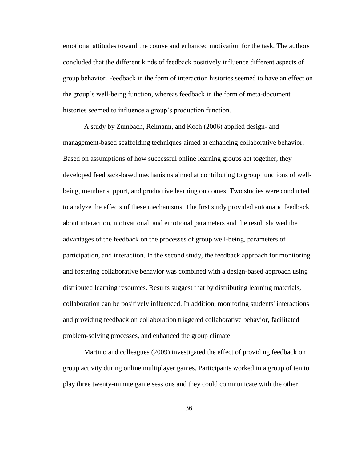emotional attitudes toward the course and enhanced motivation for the task. The authors concluded that the different kinds of feedback positively influence different aspects of group behavior. Feedback in the form of interaction histories seemed to have an effect on the group"s well-being function, whereas feedback in the form of meta-document histories seemed to influence a group's production function.

A study by Zumbach, Reimann, and Koch (2006) applied design- and management-based scaffolding techniques aimed at enhancing collaborative behavior. Based on assumptions of how successful online learning groups act together, they developed feedback-based mechanisms aimed at contributing to group functions of wellbeing, member support, and productive learning outcomes. Two studies were conducted to analyze the effects of these mechanisms. The first study provided automatic feedback about interaction, motivational, and emotional parameters and the result showed the advantages of the feedback on the processes of group well-being, parameters of participation, and interaction. In the second study, the feedback approach for monitoring and fostering collaborative behavior was combined with a design-based approach using distributed learning resources. Results suggest that by distributing learning materials, collaboration can be positively influenced. In addition, monitoring students' interactions and providing feedback on collaboration triggered collaborative behavior, facilitated problem-solving processes, and enhanced the group climate.

Martino and colleagues (2009) investigated the effect of providing feedback on group activity during online multiplayer games. Participants worked in a group of ten to play three twenty-minute game sessions and they could communicate with the other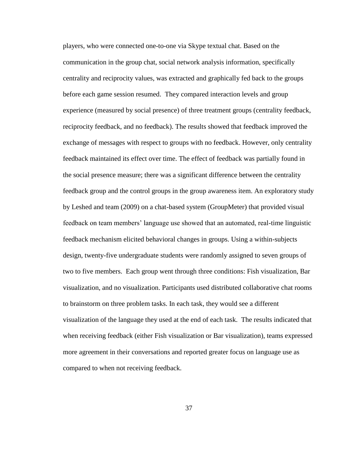players, who were connected one-to-one via Skype textual chat. Based on the communication in the group chat, social network analysis information, specifically centrality and reciprocity values, was extracted and graphically fed back to the groups before each game session resumed. They compared interaction levels and group experience (measured by social presence) of three treatment groups (centrality feedback, reciprocity feedback, and no feedback). The results showed that feedback improved the exchange of messages with respect to groups with no feedback. However, only centrality feedback maintained its effect over time. The effect of feedback was partially found in the social presence measure; there was a significant difference between the centrality feedback group and the control groups in the group awareness item. An exploratory study by Leshed and team (2009) on a chat-based system (GroupMeter) that provided visual feedback on team members" language use showed that an automated, real-time linguistic feedback mechanism elicited behavioral changes in groups. Using a within-subjects design, twenty-five undergraduate students were randomly assigned to seven groups of two to five members. Each group went through three conditions: Fish visualization, Bar visualization, and no visualization. Participants used distributed collaborative chat rooms to brainstorm on three problem tasks. In each task, they would see a different visualization of the language they used at the end of each task. The results indicated that when receiving feedback (either Fish visualization or Bar visualization), teams expressed more agreement in their conversations and reported greater focus on language use as compared to when not receiving feedback.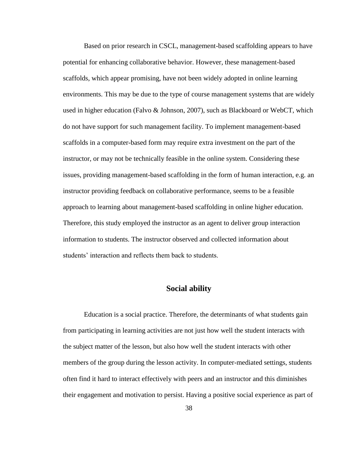Based on prior research in CSCL, management-based scaffolding appears to have potential for enhancing collaborative behavior. However, these management-based scaffolds, which appear promising, have not been widely adopted in online learning environments. This may be due to the type of course management systems that are widely used in higher education (Falvo & Johnson, 2007), such as Blackboard or WebCT, which do not have support for such management facility. To implement management-based scaffolds in a computer-based form may require extra investment on the part of the instructor, or may not be technically feasible in the online system. Considering these issues, providing management-based scaffolding in the form of human interaction, e.g. an instructor providing feedback on collaborative performance, seems to be a feasible approach to learning about management-based scaffolding in online higher education. Therefore, this study employed the instructor as an agent to deliver group interaction information to students. The instructor observed and collected information about students' interaction and reflects them back to students.

# **Social ability**

Education is a social practice. Therefore, the determinants of what students gain from participating in learning activities are not just how well the student interacts with the subject matter of the lesson, but also how well the student interacts with other members of the group during the lesson activity. In computer-mediated settings, students often find it hard to interact effectively with peers and an instructor and this diminishes their engagement and motivation to persist. Having a positive social experience as part of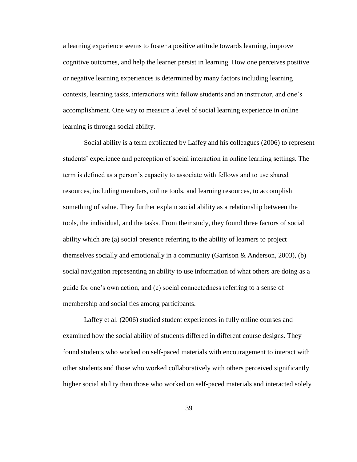a learning experience seems to foster a positive attitude towards learning, improve cognitive outcomes, and help the learner persist in learning. How one perceives positive or negative learning experiences is determined by many factors including learning contexts, learning tasks, interactions with fellow students and an instructor, and one"s accomplishment. One way to measure a level of social learning experience in online learning is through social ability.

Social ability is a term explicated by Laffey and his colleagues (2006) to represent students" experience and perception of social interaction in online learning settings. The term is defined as a person"s capacity to associate with fellows and to use shared resources, including members, online tools, and learning resources, to accomplish something of value. They further explain social ability as a relationship between the tools, the individual, and the tasks. From their study, they found three factors of social ability which are (a) social presence referring to the ability of learners to project themselves socially and emotionally in a community (Garrison & Anderson, 2003), (b) social navigation representing an ability to use information of what others are doing as a guide for one"s own action, and (c) social connectedness referring to a sense of membership and social ties among participants.

Laffey et al. (2006) studied student experiences in fully online courses and examined how the social ability of students differed in different course designs. They found students who worked on self-paced materials with encouragement to interact with other students and those who worked collaboratively with others perceived significantly higher social ability than those who worked on self-paced materials and interacted solely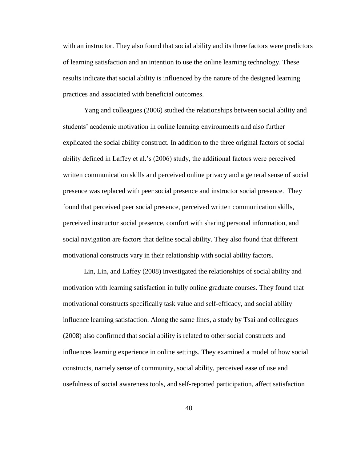with an instructor. They also found that social ability and its three factors were predictors of learning satisfaction and an intention to use the online learning technology. These results indicate that social ability is influenced by the nature of the designed learning practices and associated with beneficial outcomes.

Yang and colleagues (2006) studied the relationships between social ability and students" academic motivation in online learning environments and also further explicated the social ability construct. In addition to the three original factors of social ability defined in Laffey et al."s (2006) study, the additional factors were perceived written communication skills and perceived online privacy and a general sense of social presence was replaced with peer social presence and instructor social presence. They found that perceived peer social presence, perceived written communication skills, perceived instructor social presence, comfort with sharing personal information, and social navigation are factors that define social ability. They also found that different motivational constructs vary in their relationship with social ability factors.

Lin, Lin, and Laffey (2008) investigated the relationships of social ability and motivation with learning satisfaction in fully online graduate courses. They found that motivational constructs specifically task value and self-efficacy, and social ability influence learning satisfaction. Along the same lines, a study by Tsai and colleagues (2008) also confirmed that social ability is related to other social constructs and influences learning experience in online settings. They examined a model of how social constructs, namely sense of community, social ability, perceived ease of use and usefulness of social awareness tools, and self-reported participation, affect satisfaction

40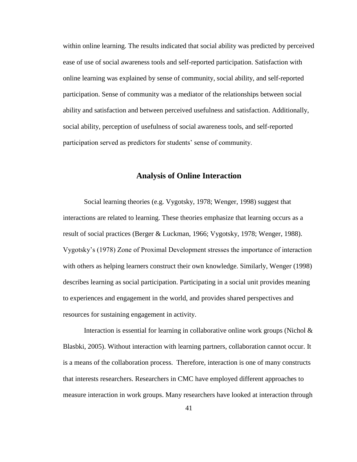within online learning. The results indicated that social ability was predicted by perceived ease of use of social awareness tools and self-reported participation. Satisfaction with online learning was explained by sense of community, social ability, and self-reported participation. Sense of community was a mediator of the relationships between social ability and satisfaction and between perceived usefulness and satisfaction. Additionally, social ability, perception of usefulness of social awareness tools, and self-reported participation served as predictors for students' sense of community.

### **Analysis of Online Interaction**

Social learning theories (e.g. Vygotsky, 1978; Wenger, 1998) suggest that interactions are related to learning. These theories emphasize that learning occurs as a result of social practices (Berger & Luckman, 1966; Vygotsky, 1978; Wenger, 1988). Vygotsky"s (1978) Zone of Proximal Development stresses the importance of interaction with others as helping learners construct their own knowledge. Similarly, Wenger (1998) describes learning as social participation. Participating in a social unit provides meaning to experiences and engagement in the world, and provides shared perspectives and resources for sustaining engagement in activity.

Interaction is essential for learning in collaborative online work groups (Nichol  $\&$ Blasbki, 2005). Without interaction with learning partners, collaboration cannot occur. It is a means of the collaboration process. Therefore, interaction is one of many constructs that interests researchers. Researchers in CMC have employed different approaches to measure interaction in work groups. Many researchers have looked at interaction through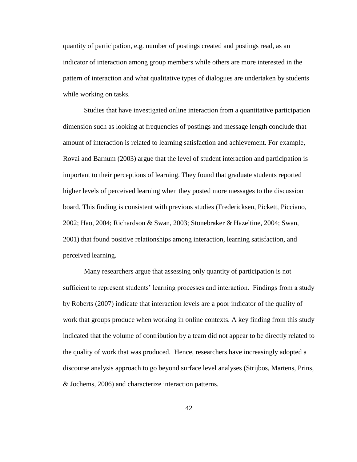quantity of participation, e.g. number of postings created and postings read, as an indicator of interaction among group members while others are more interested in the pattern of interaction and what qualitative types of dialogues are undertaken by students while working on tasks.

Studies that have investigated online interaction from a quantitative participation dimension such as looking at frequencies of postings and message length conclude that amount of interaction is related to learning satisfaction and achievement. For example, Rovai and Barnum (2003) argue that the level of student interaction and participation is important to their perceptions of learning. They found that graduate students reported higher levels of perceived learning when they posted more messages to the discussion board. This finding is consistent with previous studies (Fredericksen, Pickett, Picciano, 2002; Hao, 2004; Richardson & Swan, 2003; Stonebraker & Hazeltine, 2004; Swan, 2001) that found positive relationships among interaction, learning satisfaction, and perceived learning.

Many researchers argue that assessing only quantity of participation is not sufficient to represent students" learning processes and interaction. Findings from a study by Roberts (2007) indicate that interaction levels are a poor indicator of the quality of work that groups produce when working in online contexts. A key finding from this study indicated that the volume of contribution by a team did not appear to be directly related to the quality of work that was produced. Hence, researchers have increasingly adopted a discourse analysis approach to go beyond surface level analyses (Strijbos, Martens, Prins, & Jochems, 2006) and characterize interaction patterns.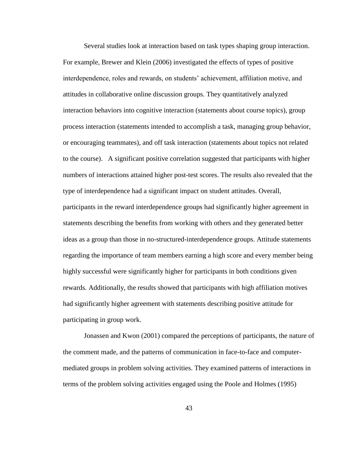Several studies look at interaction based on task types shaping group interaction. For example, Brewer and Klein (2006) investigated the effects of types of positive interdependence, roles and rewards, on students" achievement, affiliation motive, and attitudes in collaborative online discussion groups. They quantitatively analyzed interaction behaviors into cognitive interaction (statements about course topics), group process interaction (statements intended to accomplish a task, managing group behavior, or encouraging teammates), and off task interaction (statements about topics not related to the course). A significant positive correlation suggested that participants with higher numbers of interactions attained higher post-test scores. The results also revealed that the type of interdependence had a significant impact on student attitudes. Overall, participants in the reward interdependence groups had significantly higher agreement in statements describing the benefits from working with others and they generated better ideas as a group than those in no-structured-interdependence groups. Attitude statements regarding the importance of team members earning a high score and every member being highly successful were significantly higher for participants in both conditions given rewards. Additionally, the results showed that participants with high affiliation motives had significantly higher agreement with statements describing positive attitude for participating in group work.

Jonassen and Kwon (2001) compared the perceptions of participants, the nature of the comment made, and the patterns of communication in face-to-face and computermediated groups in problem solving activities. They examined patterns of interactions in terms of the problem solving activities engaged using the Poole and Holmes (1995)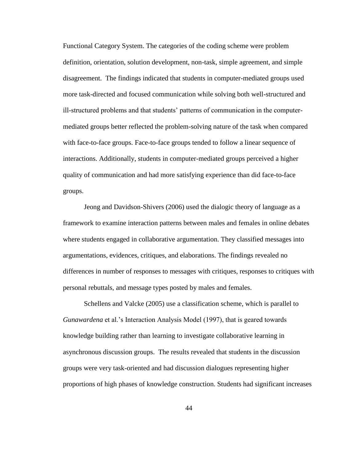Functional Category System. The categories of the coding scheme were problem definition, orientation, solution development, non-task, simple agreement, and simple disagreement. The findings indicated that students in computer-mediated groups used more task-directed and focused communication while solving both well-structured and ill-structured problems and that students" patterns of communication in the computermediated groups better reflected the problem-solving nature of the task when compared with face-to-face groups. Face-to-face groups tended to follow a linear sequence of interactions. Additionally, students in computer-mediated groups perceived a higher quality of communication and had more satisfying experience than did face-to-face groups.

Jeong and Davidson-Shivers (2006) used the dialogic theory of language as a framework to examine interaction patterns between males and females in online debates where students engaged in collaborative argumentation. They classified messages into argumentations, evidences, critiques, and elaborations. The findings revealed no differences in number of responses to messages with critiques, responses to critiques with personal rebuttals, and message types posted by males and females.

Schellens and Valcke (2005) use a classification scheme, which is parallel to *Gunawardena* et al."s Interaction Analysis Model (1997), that is geared towards knowledge building rather than learning to investigate collaborative learning in asynchronous discussion groups. The results revealed that students in the discussion groups were very task-oriented and had discussion dialogues representing higher proportions of high phases of knowledge construction. Students had significant increases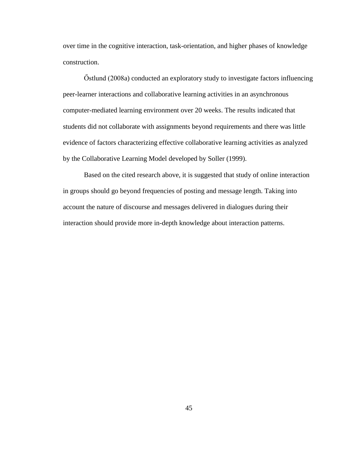over time in the cognitive interaction, task-orientation, and higher phases of knowledge construction.

Őstlund (2008a) conducted an exploratory study to investigate factors influencing peer-learner interactions and collaborative learning activities in an asynchronous computer-mediated learning environment over 20 weeks. The results indicated that students did not collaborate with assignments beyond requirements and there was little evidence of factors characterizing effective collaborative learning activities as analyzed by the Collaborative Learning Model developed by Soller (1999).

Based on the cited research above, it is suggested that study of online interaction in groups should go beyond frequencies of posting and message length. Taking into account the nature of discourse and messages delivered in dialogues during their interaction should provide more in-depth knowledge about interaction patterns.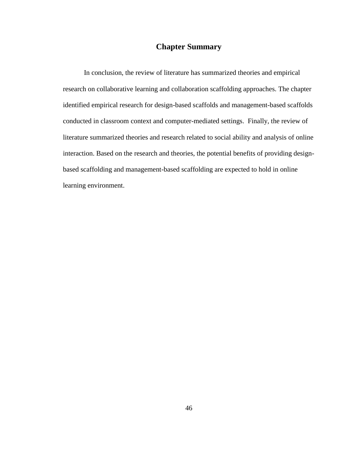# **Chapter Summary**

In conclusion, the review of literature has summarized theories and empirical research on collaborative learning and collaboration scaffolding approaches. The chapter identified empirical research for design-based scaffolds and management-based scaffolds conducted in classroom context and computer-mediated settings. Finally, the review of literature summarized theories and research related to social ability and analysis of online interaction. Based on the research and theories, the potential benefits of providing designbased scaffolding and management-based scaffolding are expected to hold in online learning environment.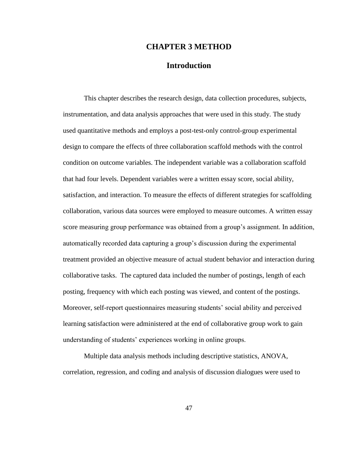#### **CHAPTER 3 METHOD**

# **Introduction**

This chapter describes the research design, data collection procedures, subjects, instrumentation, and data analysis approaches that were used in this study. The study used quantitative methods and employs a post-test-only control-group experimental design to compare the effects of three collaboration scaffold methods with the control condition on outcome variables. The independent variable was a collaboration scaffold that had four levels. Dependent variables were a written essay score, social ability, satisfaction, and interaction. To measure the effects of different strategies for scaffolding collaboration, various data sources were employed to measure outcomes. A written essay score measuring group performance was obtained from a group's assignment. In addition, automatically recorded data capturing a group"s discussion during the experimental treatment provided an objective measure of actual student behavior and interaction during collaborative tasks. The captured data included the number of postings, length of each posting, frequency with which each posting was viewed, and content of the postings. Moreover, self-report questionnaires measuring students' social ability and perceived learning satisfaction were administered at the end of collaborative group work to gain understanding of students" experiences working in online groups.

Multiple data analysis methods including descriptive statistics, ANOVA, correlation, regression, and coding and analysis of discussion dialogues were used to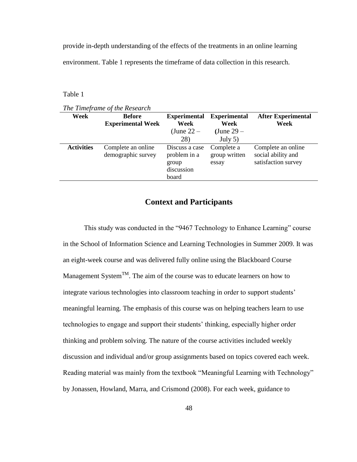provide in-depth understanding of the effects of the treatments in an online learning environment. Table 1 represents the timeframe of data collection in this research.

Table 1

| The Timeframe of the Research |                                          |                                                                |                                      |                                                                 |  |
|-------------------------------|------------------------------------------|----------------------------------------------------------------|--------------------------------------|-----------------------------------------------------------------|--|
| Week                          | <b>Before</b>                            | <b>Experimental</b>                                            | <b>Experimental</b>                  | <b>After Experimental</b>                                       |  |
|                               | <b>Experimental Week</b>                 | Week                                                           | Week                                 | Week                                                            |  |
|                               |                                          | (June $22-$                                                    | $(June 29 -$                         |                                                                 |  |
|                               |                                          | 28)                                                            | July $5)$                            |                                                                 |  |
| <b>Activities</b>             | Complete an online<br>demographic survey | Discuss a case<br>problem in a<br>group<br>discussion<br>board | Complete a<br>group written<br>essay | Complete an online<br>social ability and<br>satisfaction survey |  |

**Context and Participants**

This study was conducted in the "9467 Technology to Enhance Learning" course in the School of Information Science and Learning Technologies in Summer 2009. It was an eight-week course and was delivered fully online using the Blackboard Course Management System<sup>TM</sup>. The aim of the course was to educate learners on how to integrate various technologies into classroom teaching in order to support students" meaningful learning. The emphasis of this course was on helping teachers learn to use technologies to engage and support their students" thinking, especially higher order thinking and problem solving. The nature of the course activities included weekly discussion and individual and/or group assignments based on topics covered each week. Reading material was mainly from the textbook "Meaningful Learning with Technology" by Jonassen, Howland, Marra, and Crismond (2008). For each week, guidance to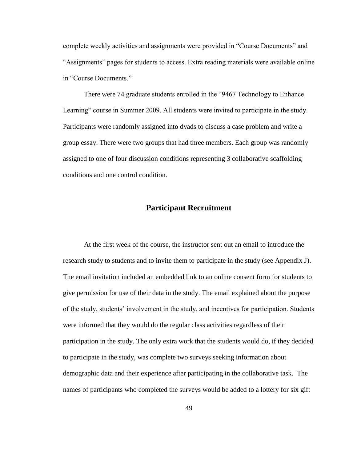complete weekly activities and assignments were provided in "Course Documents" and "Assignments" pages for students to access. Extra reading materials were available online in "Course Documents."

There were 74 graduate students enrolled in the "9467 Technology to Enhance Learning" course in Summer 2009. All students were invited to participate in the study. Participants were randomly assigned into dyads to discuss a case problem and write a group essay. There were two groups that had three members. Each group was randomly assigned to one of four discussion conditions representing 3 collaborative scaffolding conditions and one control condition.

### **Participant Recruitment**

At the first week of the course, the instructor sent out an email to introduce the research study to students and to invite them to participate in the study (see Appendix J). The email invitation included an embedded link to an online consent form for students to give permission for use of their data in the study. The email explained about the purpose of the study, students" involvement in the study, and incentives for participation. Students were informed that they would do the regular class activities regardless of their participation in the study. The only extra work that the students would do, if they decided to participate in the study, was complete two surveys seeking information about demographic data and their experience after participating in the collaborative task. The names of participants who completed the surveys would be added to a lottery for six gift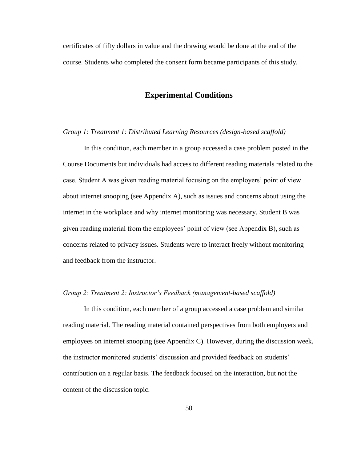certificates of fifty dollars in value and the drawing would be done at the end of the course. Students who completed the consent form became participants of this study.

### **Experimental Conditions**

#### *Group 1: Treatment 1: Distributed Learning Resources (design-based scaffold)*

In this condition, each member in a group accessed a case problem posted in the Course Documents but individuals had access to different reading materials related to the case. Student A was given reading material focusing on the employers' point of view about internet snooping (see Appendix A), such as issues and concerns about using the internet in the workplace and why internet monitoring was necessary. Student B was given reading material from the employees' point of view (see Appendix B), such as concerns related to privacy issues. Students were to interact freely without monitoring and feedback from the instructor.

#### *Group 2: Treatment 2: Instructor's Feedback (management-based scaffold)*

In this condition, each member of a group accessed a case problem and similar reading material. The reading material contained perspectives from both employers and employees on internet snooping (see Appendix C). However, during the discussion week, the instructor monitored students' discussion and provided feedback on students' contribution on a regular basis. The feedback focused on the interaction, but not the content of the discussion topic.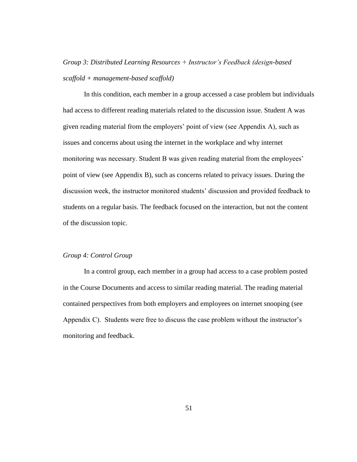# *Group 3: Distributed Learning Resources + Instructor's Feedback (design-based scaffold + management-based scaffold)*

In this condition, each member in a group accessed a case problem but individuals had access to different reading materials related to the discussion issue. Student A was given reading material from the employers' point of view (see Appendix A), such as issues and concerns about using the internet in the workplace and why internet monitoring was necessary. Student B was given reading material from the employees' point of view (see Appendix B), such as concerns related to privacy issues. During the discussion week, the instructor monitored students" discussion and provided feedback to students on a regular basis. The feedback focused on the interaction, but not the content of the discussion topic.

#### *Group 4: Control Group*

In a control group, each member in a group had access to a case problem posted in the Course Documents and access to similar reading material. The reading material contained perspectives from both employers and employees on internet snooping (see Appendix C). Students were free to discuss the case problem without the instructor's monitoring and feedback.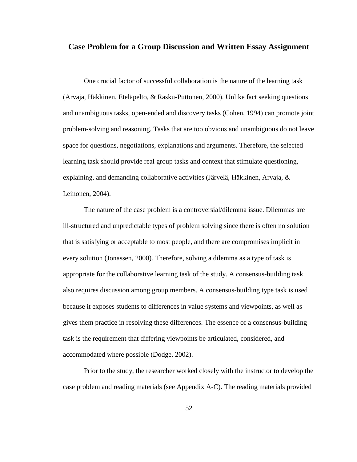### **Case Problem for a Group Discussion and Written Essay Assignment**

One crucial factor of successful collaboration is the nature of the learning task (Arvaja, Häkkinen, Eteläpelto, & Rasku-Puttonen, 2000). Unlike fact seeking questions and unambiguous tasks, open-ended and discovery tasks (Cohen, 1994) can promote joint problem-solving and reasoning. Tasks that are too obvious and unambiguous do not leave space for questions, negotiations, explanations and arguments. Therefore, the selected learning task should provide real group tasks and context that stimulate questioning, explaining, and demanding collaborative activities (Järvelä, Häkkinen, Arvaja, & Leinonen, 2004).

The nature of the case problem is a controversial/dilemma issue. Dilemmas are ill-structured and unpredictable types of problem solving since there is often no solution that is satisfying or acceptable to most people, and there are compromises implicit in every solution (Jonassen, 2000). Therefore, solving a dilemma as a type of task is appropriate for the collaborative learning task of the study. A consensus-building task also requires discussion among group members. A consensus-building type task is used because it exposes students to differences in value systems and viewpoints, as well as gives them practice in resolving these differences. The essence of a consensus-building task is the requirement that differing viewpoints be articulated, considered, and accommodated where possible (Dodge, 2002).

Prior to the study, the researcher worked closely with the instructor to develop the case problem and reading materials (see Appendix A-C). The reading materials provided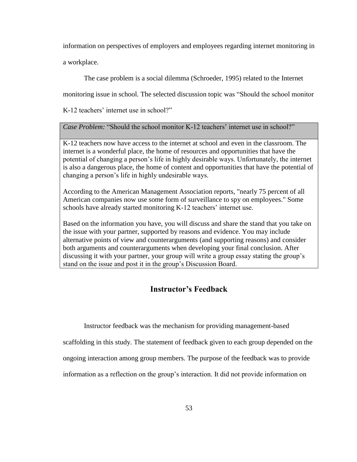information on perspectives of employers and employees regarding internet monitoring in a workplace.

The case problem is a social dilemma (Schroeder, 1995) related to the Internet

monitoring issue in school. The selected discussion topic was "Should the school monitor

K-12 teachers' internet use in school?"

*Case Problem:* "Should the school monitor K-12 teachers' internet use in school?"

K-12 teachers now have access to the internet at school and even in the classroom. The internet is a wonderful place, the home of resources and opportunities that have the potential of changing a person"s life in highly desirable ways. Unfortunately, the internet is also a dangerous place, the home of content and opportunities that have the potential of changing a person"s life in highly undesirable ways.

According to the American Management Association reports, "nearly 75 percent of all American companies now use some form of surveillance to spy on employees." Some schools have already started monitoring K-12 teachers' internet use.

Based on the information you have, you will discuss and share the stand that you take on the issue with your partner, supported by reasons and evidence. You may include alternative points of view and counterarguments (and supporting reasons) and consider both arguments and counterarguments when developing your final conclusion. After discussing it with your partner, your group will write a group essay stating the group's stand on the issue and post it in the group"s Discussion Board.

# **Instructor's Feedback**

Instructor feedback was the mechanism for providing management-based

scaffolding in this study. The statement of feedback given to each group depended on the

ongoing interaction among group members. The purpose of the feedback was to provide

information as a reflection on the group"s interaction. It did not provide information on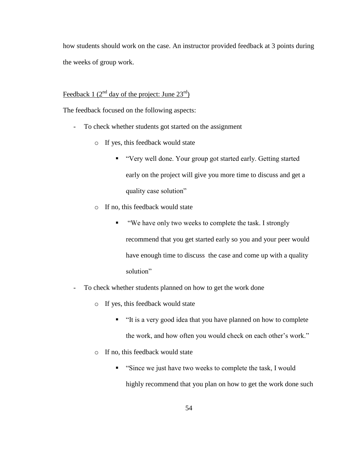how students should work on the case. An instructor provided feedback at 3 points during the weeks of group work.

# Feedback 1 ( $2<sup>nd</sup>$  day of the project: June  $23<sup>rd</sup>$ )

The feedback focused on the following aspects:

- To check whether students got started on the assignment
	- o If yes, this feedback would state
		- "Very well done. Your group got started early. Getting started early on the project will give you more time to discuss and get a quality case solution"
	- o If no, this feedback would state
		- "We have only two weeks to complete the task. I strongly recommend that you get started early so you and your peer would have enough time to discuss the case and come up with a quality solution"
- To check whether students planned on how to get the work done
	- o If yes, this feedback would state
		- "It is a very good idea that you have planned on how to complete the work, and how often you would check on each other's work."
	- o If no, this feedback would state
		- "Since we just have two weeks to complete the task, I would highly recommend that you plan on how to get the work done such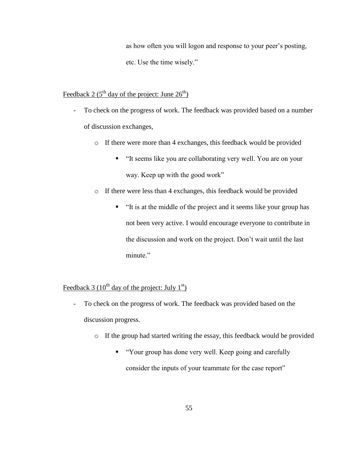as how often you will logon and response to your peer"s posting, etc. Use the time wisely."

Feedback 2 ( $5<sup>th</sup>$  day of the project: June  $26<sup>th</sup>$ )

- To check on the progress of work. The feedback was provided based on a number of discussion exchanges,
	- o If there were more than 4 exchanges, this feedback would be provided
		- "It seems like you are collaborating very well. You are on your way. Keep up with the good work"
	- o If there were less than 4 exchanges, this feedback would be provided
		- "It is at the middle of the project and it seems like your group has not been very active. I would encourage everyone to contribute in the discussion and work on the project. Don"t wait until the last minute."

# Feedback 3 (10<sup>th</sup> day of the project: July  $1<sup>st</sup>$ )

- To check on the progress of work. The feedback was provided based on the discussion progress.
	- o If the group had started writing the essay, this feedback would be provided
		- " "Your group has done very well. Keep going and carefully consider the inputs of your teammate for the case report"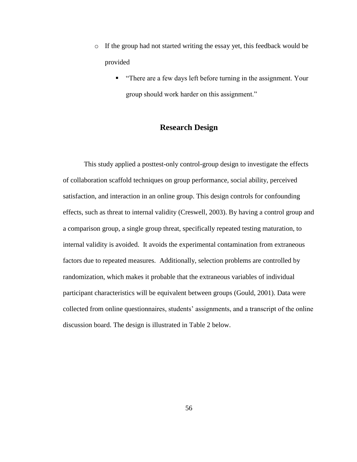- o If the group had not started writing the essay yet, this feedback would be provided
	- "There are a few days left before turning in the assignment. Your group should work harder on this assignment."

# **Research Design**

This study applied a posttest-only control-group design to investigate the effects of collaboration scaffold techniques on group performance, social ability, perceived satisfaction, and interaction in an online group. This design controls for confounding effects, such as threat to internal validity (Creswell, 2003). By having a control group and a comparison group, a single group threat, specifically repeated testing maturation, to internal validity is avoided. It avoids the experimental contamination from extraneous factors due to repeated measures. Additionally, selection problems are controlled by randomization, which makes it probable that the extraneous variables of individual participant characteristics will be equivalent between groups (Gould, 2001). Data were collected from online questionnaires, students" assignments, and a transcript of the online discussion board. The design is illustrated in Table 2 below.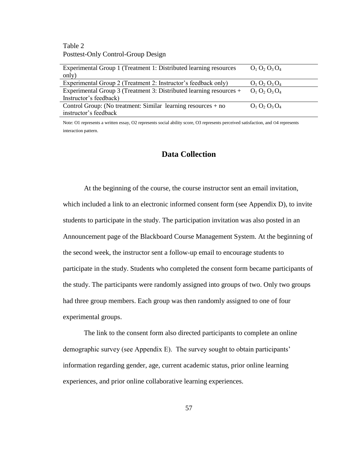### Table 2 Posttest-Only Control-Group Design

| Experimental Group 1 (Treatment 1: Distributed learning resources   | $O_1 O_2 O_3 O_4$ |  |  |  |
|---------------------------------------------------------------------|-------------------|--|--|--|
| only)                                                               |                   |  |  |  |
| Experimental Group 2 (Treatment 2: Instructor's feedback only)      | $O_1 O_2 O_3 O_4$ |  |  |  |
| Experimental Group 3 (Treatment 3: Distributed learning resources + | $O_1 O_2 O_3 O_4$ |  |  |  |
| Instructor's feedback)                                              |                   |  |  |  |
| Control Group: (No treatment: Similar learning resources $+$ no     | $O_1 O_2 O_3 O_4$ |  |  |  |
| instructor's feedback                                               |                   |  |  |  |

Note: O1 represents a written essay, O2 represents social ability score, O3 represents perceived satisfaction, and O4 represents interaction pattern.

# **Data Collection**

At the beginning of the course, the course instructor sent an email invitation, which included a link to an electronic informed consent form (see Appendix D), to invite students to participate in the study. The participation invitation was also posted in an Announcement page of the Blackboard Course Management System. At the beginning of the second week, the instructor sent a follow-up email to encourage students to participate in the study. Students who completed the consent form became participants of the study. The participants were randomly assigned into groups of two. Only two groups had three group members. Each group was then randomly assigned to one of four experimental groups.

The link to the consent form also directed participants to complete an online demographic survey (see Appendix E). The survey sought to obtain participants" information regarding gender, age, current academic status, prior online learning experiences, and prior online collaborative learning experiences.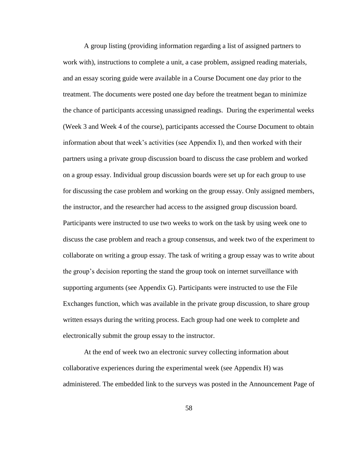A group listing (providing information regarding a list of assigned partners to work with), instructions to complete a unit, a case problem, assigned reading materials, and an essay scoring guide were available in a Course Document one day prior to the treatment. The documents were posted one day before the treatment began to minimize the chance of participants accessing unassigned readings. During the experimental weeks (Week 3 and Week 4 of the course), participants accessed the Course Document to obtain information about that week"s activities (see Appendix I), and then worked with their partners using a private group discussion board to discuss the case problem and worked on a group essay. Individual group discussion boards were set up for each group to use for discussing the case problem and working on the group essay. Only assigned members, the instructor, and the researcher had access to the assigned group discussion board. Participants were instructed to use two weeks to work on the task by using week one to discuss the case problem and reach a group consensus, and week two of the experiment to collaborate on writing a group essay. The task of writing a group essay was to write about the group"s decision reporting the stand the group took on internet surveillance with supporting arguments (see Appendix G). Participants were instructed to use the File Exchanges function, which was available in the private group discussion, to share group written essays during the writing process. Each group had one week to complete and electronically submit the group essay to the instructor.

At the end of week two an electronic survey collecting information about collaborative experiences during the experimental week (see Appendix H) was administered. The embedded link to the surveys was posted in the Announcement Page of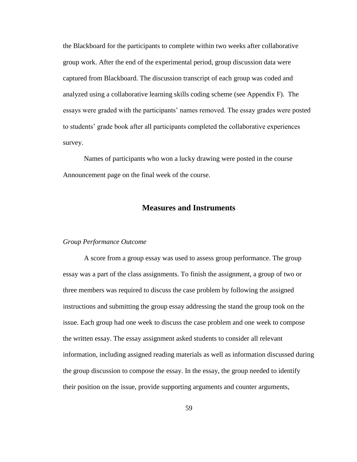the Blackboard for the participants to complete within two weeks after collaborative group work. After the end of the experimental period, group discussion data were captured from Blackboard. The discussion transcript of each group was coded and analyzed using a collaborative learning skills coding scheme (see Appendix F). The essays were graded with the participants" names removed. The essay grades were posted to students" grade book after all participants completed the collaborative experiences survey.

Names of participants who won a lucky drawing were posted in the course Announcement page on the final week of the course.

# **Measures and Instruments**

#### *Group Performance Outcome*

A score from a group essay was used to assess group performance. The group essay was a part of the class assignments. To finish the assignment, a group of two or three members was required to discuss the case problem by following the assigned instructions and submitting the group essay addressing the stand the group took on the issue. Each group had one week to discuss the case problem and one week to compose the written essay. The essay assignment asked students to consider all relevant information, including assigned reading materials as well as information discussed during the group discussion to compose the essay. In the essay, the group needed to identify their position on the issue, provide supporting arguments and counter arguments,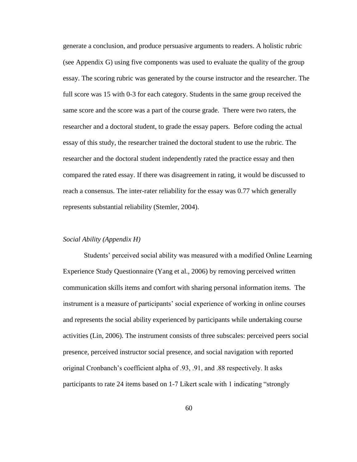generate a conclusion, and produce persuasive arguments to readers. A holistic rubric (see Appendix G) using five components was used to evaluate the quality of the group essay. The scoring rubric was generated by the course instructor and the researcher. The full score was 15 with 0-3 for each category. Students in the same group received the same score and the score was a part of the course grade. There were two raters, the researcher and a doctoral student, to grade the essay papers. Before coding the actual essay of this study, the researcher trained the doctoral student to use the rubric. The researcher and the doctoral student independently rated the practice essay and then compared the rated essay. If there was disagreement in rating, it would be discussed to reach a consensus. The inter-rater reliability for the essay was 0.77 which generally represents substantial reliability (Stemler, 2004).

#### *Social Ability (Appendix H)*

Students" perceived social ability was measured with a modified Online Learning Experience Study Questionnaire (Yang et al., 2006) by removing perceived written communication skills items and comfort with sharing personal information items. The instrument is a measure of participants' social experience of working in online courses and represents the social ability experienced by participants while undertaking course activities (Lin, 2006). The instrument consists of three subscales: perceived peers social presence, perceived instructor social presence, and social navigation with reported original Cronbanch"s coefficient alpha of .93, .91, and .88 respectively. It asks participants to rate 24 items based on 1-7 Likert scale with 1 indicating "strongly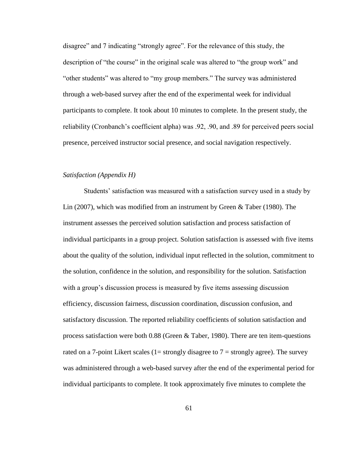disagree" and 7 indicating "strongly agree". For the relevance of this study, the description of "the course" in the original scale was altered to "the group work" and "other students" was altered to "my group members." The survey was administered through a web-based survey after the end of the experimental week for individual participants to complete. It took about 10 minutes to complete. In the present study, the reliability (Cronbanch"s coefficient alpha) was .92, .90, and .89 for perceived peers social presence, perceived instructor social presence, and social navigation respectively.

#### *Satisfaction (Appendix H)*

Students" satisfaction was measured with a satisfaction survey used in a study by Lin (2007), which was modified from an instrument by Green & Taber (1980). The instrument assesses the perceived solution satisfaction and process satisfaction of individual participants in a group project. Solution satisfaction is assessed with five items about the quality of the solution, individual input reflected in the solution, commitment to the solution, confidence in the solution, and responsibility for the solution. Satisfaction with a group's discussion process is measured by five items assessing discussion efficiency, discussion fairness, discussion coordination, discussion confusion, and satisfactory discussion. The reported reliability coefficients of solution satisfaction and process satisfaction were both 0.88 (Green & Taber, 1980). There are ten item-questions rated on a 7-point Likert scales (1= strongly disagree to  $7$  = strongly agree). The survey was administered through a web-based survey after the end of the experimental period for individual participants to complete. It took approximately five minutes to complete the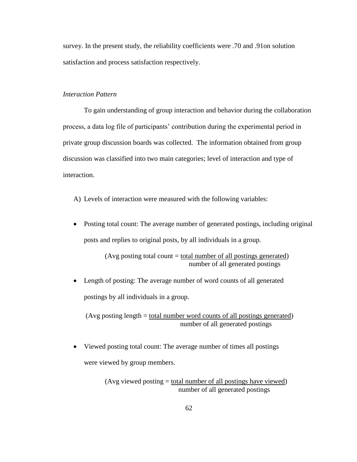survey. In the present study, the reliability coefficients were .70 and .91on solution satisfaction and process satisfaction respectively.

#### *Interaction Pattern*

To gain understanding of group interaction and behavior during the collaboration process, a data log file of participants" contribution during the experimental period in private group discussion boards was collected. The information obtained from group discussion was classified into two main categories; level of interaction and type of interaction.

A) Levels of interaction were measured with the following variables:

• Posting total count: The average number of generated postings, including original posts and replies to original posts, by all individuals in a group.

> (Avg posting total count = total number of all postings generated) number of all generated postings

• Length of posting: The average number of word counts of all generated postings by all individuals in a group.

(Avg posting length = total number word counts of all postings generated) number of all generated postings

• Viewed posting total count: The average number of times all postings were viewed by group members.

> (Avg viewed posting = total number of all postings have viewed) number of all generated postings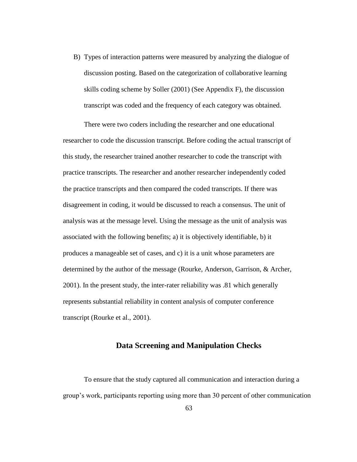B) Types of interaction patterns were measured by analyzing the dialogue of discussion posting. Based on the categorization of collaborative learning skills coding scheme by Soller (2001) (See Appendix F), the discussion transcript was coded and the frequency of each category was obtained.

There were two coders including the researcher and one educational researcher to code the discussion transcript. Before coding the actual transcript of this study, the researcher trained another researcher to code the transcript with practice transcripts. The researcher and another researcher independently coded the practice transcripts and then compared the coded transcripts. If there was disagreement in coding, it would be discussed to reach a consensus. The unit of analysis was at the message level. Using the message as the unit of analysis was associated with the following benefits; a) it is objectively identifiable, b) it produces a manageable set of cases, and c) it is a unit whose parameters are determined by the author of the message (Rourke, Anderson, Garrison, & Archer, 2001). In the present study, the inter-rater reliability was .81 which generally represents substantial reliability in content analysis of computer conference transcript (Rourke et al., 2001).

# **Data Screening and Manipulation Checks**

To ensure that the study captured all communication and interaction during a group"s work, participants reporting using more than 30 percent of other communication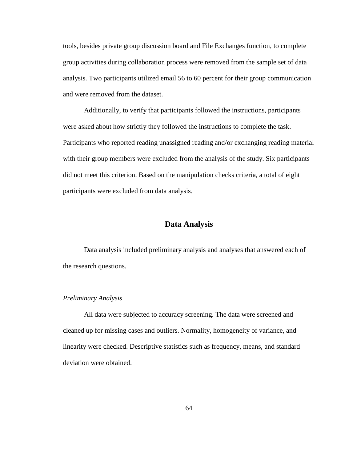tools, besides private group discussion board and File Exchanges function, to complete group activities during collaboration process were removed from the sample set of data analysis. Two participants utilized email 56 to 60 percent for their group communication and were removed from the dataset.

Additionally, to verify that participants followed the instructions, participants were asked about how strictly they followed the instructions to complete the task. Participants who reported reading unassigned reading and/or exchanging reading material with their group members were excluded from the analysis of the study. Six participants did not meet this criterion. Based on the manipulation checks criteria, a total of eight participants were excluded from data analysis.

# **Data Analysis**

Data analysis included preliminary analysis and analyses that answered each of the research questions.

#### *Preliminary Analysis*

All data were subjected to accuracy screening. The data were screened and cleaned up for missing cases and outliers. Normality, homogeneity of variance, and linearity were checked. Descriptive statistics such as frequency, means, and standard deviation were obtained.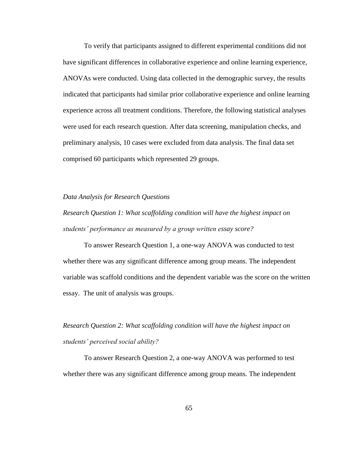To verify that participants assigned to different experimental conditions did not have significant differences in collaborative experience and online learning experience, ANOVAs were conducted. Using data collected in the demographic survey, the results indicated that participants had similar prior collaborative experience and online learning experience across all treatment conditions. Therefore, the following statistical analyses were used for each research question. After data screening, manipulation checks, and preliminary analysis, 10 cases were excluded from data analysis. The final data set comprised 60 participants which represented 29 groups.

#### *Data Analysis for Research Questions*

*Research Question 1: What scaffolding condition will have the highest impact on students' performance as measured by a group written essay score?*

To answer Research Question 1, a one-way ANOVA was conducted to test whether there was any significant difference among group means. The independent variable was scaffold conditions and the dependent variable was the score on the written essay. The unit of analysis was groups.

# *Research Question 2: What scaffolding condition will have the highest impact on students' perceived social ability?*

To answer Research Question 2, a one-way ANOVA was performed to test whether there was any significant difference among group means. The independent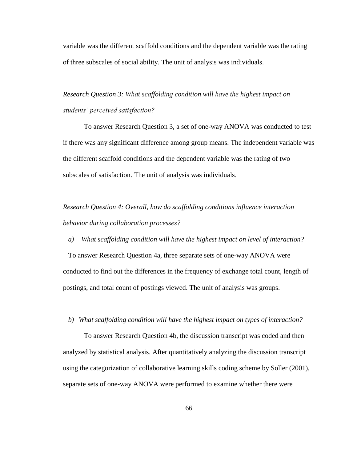variable was the different scaffold conditions and the dependent variable was the rating of three subscales of social ability. The unit of analysis was individuals.

*Research Question 3: What scaffolding condition will have the highest impact on students' perceived satisfaction?*

To answer Research Question 3, a set of one-way ANOVA was conducted to test if there was any significant difference among group means. The independent variable was the different scaffold conditions and the dependent variable was the rating of two subscales of satisfaction. The unit of analysis was individuals.

*Research Question 4: Overall, how do scaffolding conditions influence interaction behavior during collaboration processes?*

*a) What scaffolding condition will have the highest impact on level of interaction?*

To answer Research Question 4a, three separate sets of one-way ANOVA were conducted to find out the differences in the frequency of exchange total count, length of postings, and total count of postings viewed. The unit of analysis was groups.

#### *b) What scaffolding condition will have the highest impact on types of interaction?*

To answer Research Question 4b, the discussion transcript was coded and then analyzed by statistical analysis. After quantitatively analyzing the discussion transcript using the categorization of collaborative learning skills coding scheme by Soller (2001), separate sets of one-way ANOVA were performed to examine whether there were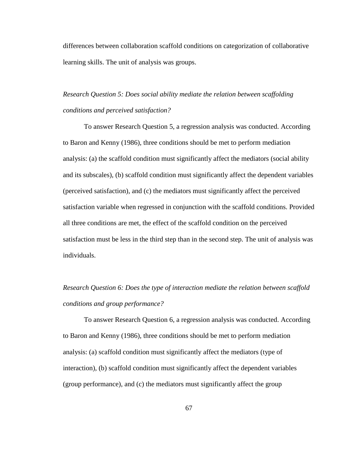differences between collaboration scaffold conditions on categorization of collaborative learning skills. The unit of analysis was groups.

*Research Question 5: Does social ability mediate the relation between scaffolding conditions and perceived satisfaction?*

To answer Research Question 5, a regression analysis was conducted. According to Baron and Kenny (1986), three conditions should be met to perform mediation analysis: (a) the scaffold condition must significantly affect the mediators (social ability and its subscales), (b) scaffold condition must significantly affect the dependent variables (perceived satisfaction), and (c) the mediators must significantly affect the perceived satisfaction variable when regressed in conjunction with the scaffold conditions. Provided all three conditions are met, the effect of the scaffold condition on the perceived satisfaction must be less in the third step than in the second step. The unit of analysis was individuals.

# *Research Question 6: Does the type of interaction mediate the relation between scaffold conditions and group performance?*

To answer Research Question 6, a regression analysis was conducted. According to Baron and Kenny (1986), three conditions should be met to perform mediation analysis: (a) scaffold condition must significantly affect the mediators (type of interaction), (b) scaffold condition must significantly affect the dependent variables (group performance), and (c) the mediators must significantly affect the group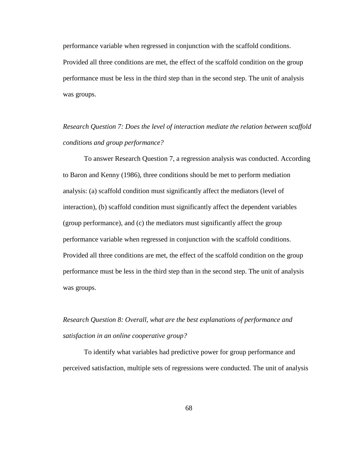performance variable when regressed in conjunction with the scaffold conditions. Provided all three conditions are met, the effect of the scaffold condition on the group performance must be less in the third step than in the second step. The unit of analysis was groups.

# *Research Question 7: Does the level of interaction mediate the relation between scaffold conditions and group performance?*

To answer Research Question 7, a regression analysis was conducted. According to Baron and Kenny (1986), three conditions should be met to perform mediation analysis: (a) scaffold condition must significantly affect the mediators (level of interaction), (b) scaffold condition must significantly affect the dependent variables (group performance), and (c) the mediators must significantly affect the group performance variable when regressed in conjunction with the scaffold conditions. Provided all three conditions are met, the effect of the scaffold condition on the group performance must be less in the third step than in the second step. The unit of analysis was groups.

# *Research Question 8: Overall, what are the best explanations of performance and satisfaction in an online cooperative group?*

To identify what variables had predictive power for group performance and perceived satisfaction, multiple sets of regressions were conducted. The unit of analysis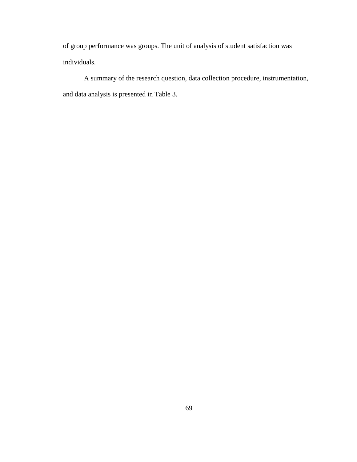of group performance was groups. The unit of analysis of student satisfaction was individuals.

A summary of the research question, data collection procedure, instrumentation, and data analysis is presented in Table 3.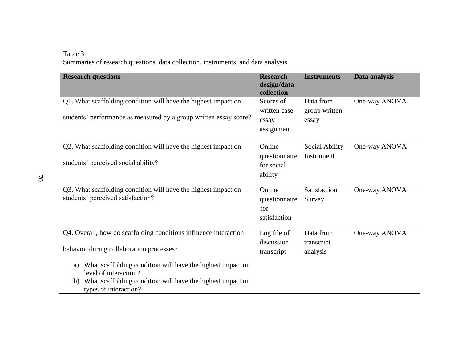Table 3 Summaries of research questions, data collection, instruments, and data analysis

| <b>Research questions</b>                                                                                                                                                              | <b>Research</b><br>design/data<br>collection     | <b>Instruments</b>                  | Data analysis |
|----------------------------------------------------------------------------------------------------------------------------------------------------------------------------------------|--------------------------------------------------|-------------------------------------|---------------|
| Q1. What scaffolding condition will have the highest impact on                                                                                                                         | Scores of                                        | Data from                           | One-way ANOVA |
| students' performance as measured by a group written essay score?                                                                                                                      | written case<br>essay<br>assignment              | group written<br>essay              |               |
| Q2. What scaffolding condition will have the highest impact on<br>students' perceived social ability?                                                                                  | Online<br>questionnaire<br>for social<br>ability | <b>Social Ability</b><br>Instrument | One-way ANOVA |
| Q3. What scaffolding condition will have the highest impact on<br>students' perceived satisfaction?                                                                                    | Online<br>questionnaire<br>for<br>satisfaction   | Satisfaction<br>Survey              | One-way ANOVA |
| Q4. Overall, how do scaffolding conditions influence interaction                                                                                                                       | Log file of                                      | Data from                           | One-way ANOVA |
| behavior during collaboration processes?                                                                                                                                               | discussion<br>transcript                         | transcript<br>analysis              |               |
| What scaffolding condition will have the highest impact on<br>a)<br>level of interaction?<br>What scaffolding condition will have the highest impact on<br>b)<br>types of interaction? |                                                  |                                     |               |

70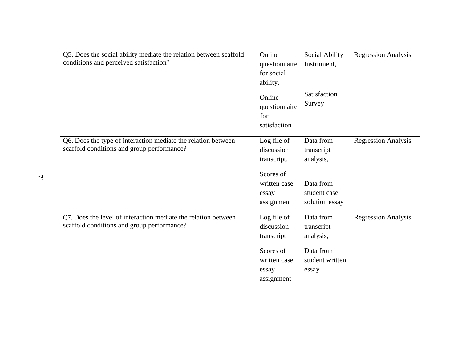| Q5. Does the social ability mediate the relation between scaffold<br>conditions and perceived satisfaction?  | Online<br>questionnaire<br>for social<br>ability, | Social Ability<br>Instrument,               | <b>Regression Analysis</b> |
|--------------------------------------------------------------------------------------------------------------|---------------------------------------------------|---------------------------------------------|----------------------------|
|                                                                                                              | Online<br>questionnaire<br>for<br>satisfaction    | Satisfaction<br>Survey                      |                            |
| Q6. Does the type of interaction mediate the relation between<br>scaffold conditions and group performance?  | Log file of<br>discussion<br>transcript,          | Data from<br>transcript<br>analysis,        | <b>Regression Analysis</b> |
|                                                                                                              | Scores of<br>written case<br>essay<br>assignment  | Data from<br>student case<br>solution essay |                            |
| Q7. Does the level of interaction mediate the relation between<br>scaffold conditions and group performance? | Log file of<br>discussion<br>transcript           | Data from<br>transcript<br>analysis,        | <b>Regression Analysis</b> |
|                                                                                                              | Scores of<br>written case<br>essay<br>assignment  | Data from<br>student written<br>essay       |                            |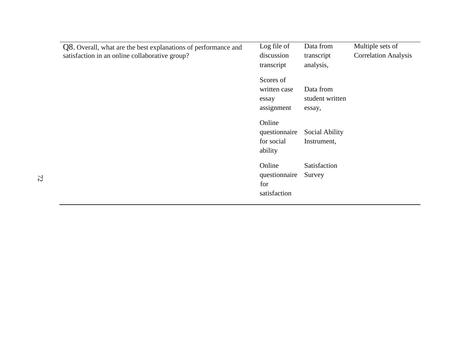| Q8. Overall, what are the best explanations of performance and | Log file of   | Data from             | Multiple sets of            |
|----------------------------------------------------------------|---------------|-----------------------|-----------------------------|
| satisfaction in an online collaborative group?                 | discussion    | transcript            | <b>Correlation Analysis</b> |
|                                                                | transcript    | analysis,             |                             |
|                                                                | Scores of     |                       |                             |
|                                                                | written case  | Data from             |                             |
|                                                                | essay         | student written       |                             |
|                                                                | assignment    | essay,                |                             |
|                                                                | Online        |                       |                             |
|                                                                | questionnaire | <b>Social Ability</b> |                             |
|                                                                | for social    | Instrument,           |                             |
|                                                                | ability       |                       |                             |
|                                                                | Online        | Satisfaction          |                             |
|                                                                | questionnaire | Survey                |                             |
|                                                                | for           |                       |                             |
|                                                                | satisfaction  |                       |                             |
|                                                                |               |                       |                             |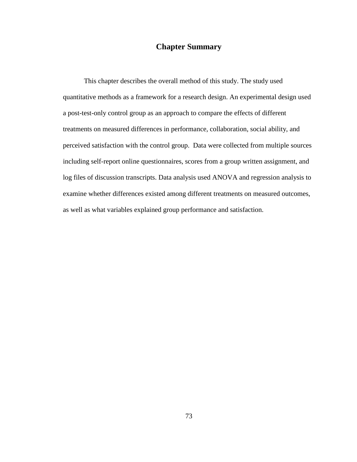# **Chapter Summary**

This chapter describes the overall method of this study. The study used quantitative methods as a framework for a research design. An experimental design used a post-test-only control group as an approach to compare the effects of different treatments on measured differences in performance, collaboration, social ability, and perceived satisfaction with the control group. Data were collected from multiple sources including self-report online questionnaires, scores from a group written assignment, and log files of discussion transcripts. Data analysis used ANOVA and regression analysis to examine whether differences existed among different treatments on measured outcomes, as well as what variables explained group performance and satisfaction.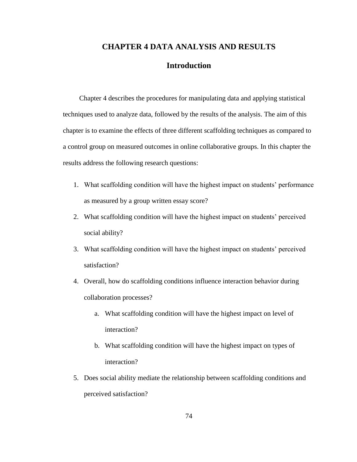### **CHAPTER 4 DATA ANALYSIS AND RESULTS**

# **Introduction**

Chapter 4 describes the procedures for manipulating data and applying statistical techniques used to analyze data, followed by the results of the analysis. The aim of this chapter is to examine the effects of three different scaffolding techniques as compared to a control group on measured outcomes in online collaborative groups. In this chapter the results address the following research questions:

- 1. What scaffolding condition will have the highest impact on students" performance as measured by a group written essay score?
- 2. What scaffolding condition will have the highest impact on students" perceived social ability?
- 3. What scaffolding condition will have the highest impact on students" perceived satisfaction?
- 4. Overall, how do scaffolding conditions influence interaction behavior during collaboration processes?
	- a. What scaffolding condition will have the highest impact on level of interaction?
	- b. What scaffolding condition will have the highest impact on types of interaction?
- 5. Does social ability mediate the relationship between scaffolding conditions and perceived satisfaction?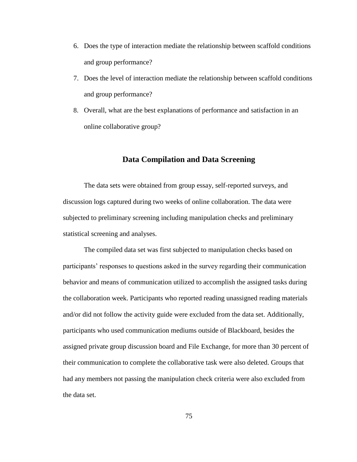- 6. Does the type of interaction mediate the relationship between scaffold conditions and group performance?
- 7. Does the level of interaction mediate the relationship between scaffold conditions and group performance?
- 8. Overall, what are the best explanations of performance and satisfaction in an online collaborative group?

# **Data Compilation and Data Screening**

The data sets were obtained from group essay, self-reported surveys, and discussion logs captured during two weeks of online collaboration. The data were subjected to preliminary screening including manipulation checks and preliminary statistical screening and analyses.

The compiled data set was first subjected to manipulation checks based on participants' responses to questions asked in the survey regarding their communication behavior and means of communication utilized to accomplish the assigned tasks during the collaboration week. Participants who reported reading unassigned reading materials and/or did not follow the activity guide were excluded from the data set. Additionally, participants who used communication mediums outside of Blackboard, besides the assigned private group discussion board and File Exchange, for more than 30 percent of their communication to complete the collaborative task were also deleted. Groups that had any members not passing the manipulation check criteria were also excluded from the data set.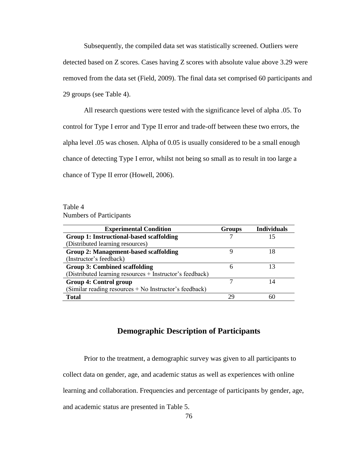Subsequently, the compiled data set was statistically screened. Outliers were detected based on Z scores. Cases having Z scores with absolute value above 3.29 were removed from the data set (Field, 2009). The final data set comprised 60 participants and 29 groups (see Table 4).

All research questions were tested with the significance level of alpha .05. To control for Type I error and Type II error and trade-off between these two errors, the alpha level .05 was chosen. Alpha of 0.05 is usually considered to be a small enough chance of detecting Type I error, whilst not being so small as to result in too large a chance of Type II error (Howell, 2006).

## Table 4 Numbers of Participants

| <b>Experimental Condition</b>                            | Groups | <b>Individuals</b> |
|----------------------------------------------------------|--------|--------------------|
| Group 1: Instructional-based scaffolding                 |        | 15                 |
| (Distributed learning resources)                         |        |                    |
| <b>Group 2: Management-based scaffolding</b>             |        | 18                 |
| (Instructor's feedback)                                  |        |                    |
| <b>Group 3: Combined scaffolding</b>                     | h      | 13                 |
| (Distributed learning resources + Instructor's feedback) |        |                    |
| <b>Group 4: Control group</b>                            |        | 14                 |
| (Similar reading resources + No Instructor's feedback)   |        |                    |
| <b>Total</b>                                             | 29     |                    |

# **Demographic Description of Participants**

Prior to the treatment, a demographic survey was given to all participants to

collect data on gender, age, and academic status as well as experiences with online

learning and collaboration. Frequencies and percentage of participants by gender, age,

and academic status are presented in Table 5.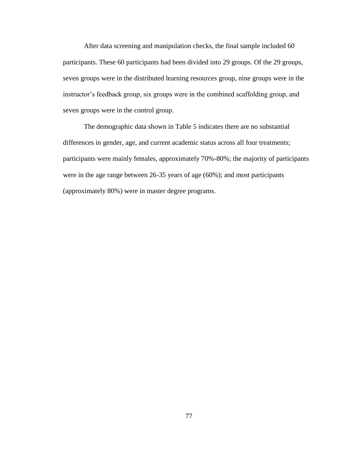After data screening and manipulation checks, the final sample included 60 participants. These 60 participants had been divided into 29 groups. Of the 29 groups, seven groups were in the distributed learning resources group, nine groups were in the instructor's feedback group, six groups were in the combined scaffolding group, and seven groups were in the control group.

The demographic data shown in Table 5 indicates there are no substantial differences in gender, age, and current academic status across all four treatments; participants were mainly females, approximately 70%-80%; the majority of participants were in the age range between 26-35 years of age (60%); and most participants (approximately 80%) were in master degree programs.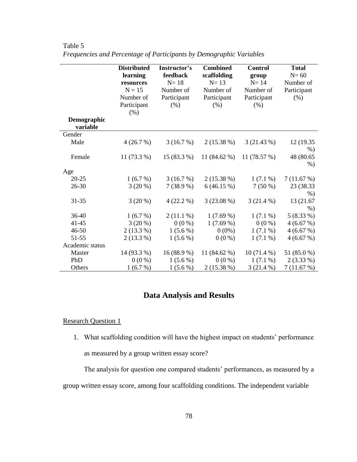|                         | <b>Distributed</b><br>learning<br>resources | Instructor's<br>feedback<br>$N=18$ | <b>Combined</b><br>scaffolding<br>$N=13$ | <b>Control</b><br>group<br>$N=14$ | <b>Total</b><br>$N=60$<br>Number of |
|-------------------------|---------------------------------------------|------------------------------------|------------------------------------------|-----------------------------------|-------------------------------------|
|                         | $N = 15$<br>Number of                       | Number of<br>Participant           | Number of<br>Participant                 | Number of<br>Participant          | Participant<br>(% )                 |
|                         | Participant                                 | (% )                               | (% )                                     | (% )                              |                                     |
|                         | (% )                                        |                                    |                                          |                                   |                                     |
| Demographic<br>variable |                                             |                                    |                                          |                                   |                                     |
| Gender                  |                                             |                                    |                                          |                                   |                                     |
| Male                    | 4(26.7%)                                    | 3(16.7%)                           | $2(15.38\%)$                             | 3(21.43%)                         | 12 (19.35)<br>$%$ )                 |
| Female                  | 11 $(73.3\%)$                               | $15(83.3\%)$                       | $11(84.62\%)$                            | 11 $(78.57%)$                     | 48 (80.65)<br>$%$ )                 |
| Age                     |                                             |                                    |                                          |                                   |                                     |
| $20 - 25$               | 1(6.7%)                                     | 3(16.7%)                           | $2(15.38\%)$                             | $1(7.1\%)$                        | 7(11.67%)                           |
| 26-30                   | $3(20\%)$                                   | 7(38.9%)                           | 6(46.15%)                                | $7(50\%)$                         | 23 (38.33)<br>$%$ )                 |
| $31 - 35$               | $3(20\%)$                                   | $4(22.2\%)$                        | $3(23.08\%)$                             | $3(21.4\%)$                       | 13 (21.67)<br>$%$ )                 |
| 36-40                   | 1(6.7%)                                     | $2(11.1\%)$                        | $1(7.69\%)$                              | $1(7.1\%)$                        | $5(8.33\%)$                         |
| $41 - 45$               | $3(20\%)$                                   | $0(0\%)$                           | $1(7.69\%)$                              | $0(0\%)$                          | 4(6.67%)                            |
| $46 - 50$               | $2(13.3\%)$                                 | $1(5.6\%)$                         | $0(0\%)$                                 | $1(7.1\%)$                        | 4(6.67%)                            |
| 51-55                   | $2(13.3\%)$                                 | $1(5.6\%)$                         | $0(0\%)$                                 | $1(7.1\%)$                        | 4(6.67%)                            |
| Academic status         |                                             |                                    |                                          |                                   |                                     |
| Master                  | 14 (93.3 %)                                 | 16(88.9%)                          | 11 $(84.62\%)$                           | $10(71.4\%)$                      | 51 (85.0 %)                         |
| PhD                     | $0(0\%)$                                    | $1(5.6\%)$                         | $0(0\%)$                                 | $1(7.1\%)$                        | $2(3.33\%)$                         |
| Others                  | 1(6.7%)                                     | $1(5.6\%)$                         | $2(15.38\%)$                             | $3(21.4\%)$                       | 7(11.67%)                           |

Table 5 *Frequencies and Percentage of Participants by Demographic Variables*

# **Data Analysis and Results**

Research Question 1

1. What scaffolding condition will have the highest impact on students" performance as measured by a group written essay score?

The analysis for question one compared students' performances, as measured by a

group written essay score, among four scaffolding conditions. The independent variable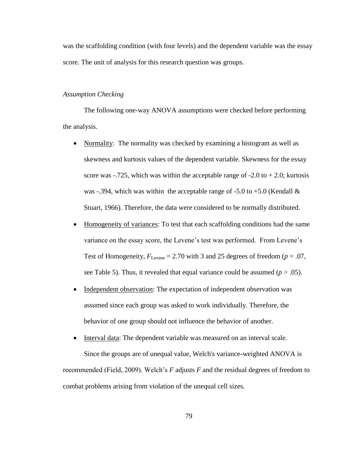was the scaffolding condition (with four levels) and the dependent variable was the essay score. The unit of analysis for this research question was groups.

## *Assumption Checking*

The following one-way ANOVA assumptions were checked before performing the analysis.

- Normality: The normality was checked by examining a histogram as well as skewness and kurtosis values of the dependent variable. Skewness for the essay score was -.725, which was within the acceptable range of  $-2.0$  to  $+ 2.0$ ; kurtosis was -.394, which was within the acceptable range of -5.0 to +5.0 (Kendall  $\&$ Stuart, 1966). Therefore, the data were considered to be normally distributed.
- Homogeneity of variances: To test that each scaffolding conditions had the same variance on the essay score, the Levene's test was performed. From Levene's Test of Homogeneity,  $F_{\text{Levene}} = 2.70$  with 3 and 25 degrees of freedom ( $p = .07$ , see Table 5). Thus, it revealed that equal variance could be assumed  $(p > .05)$ .
- Independent observation: The expectation of independent observation was assumed since each group was asked to work individually. Therefore, the behavior of one group should not influence the behavior of another.
- Interval data: The dependent variable was measured on an interval scale. Since the groups are of unequal value, Welch's variance-weighted ANOVA is recommended (Field, 2009). Welch"s *F* adjusts *F* and the residual degrees of freedom to combat problems arising from violation of the unequal cell sizes.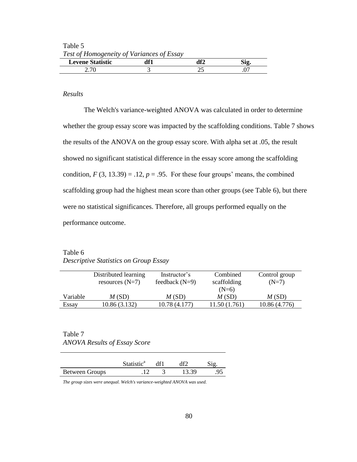Table 5 *Test of Homogeneity of Variances of Essay* **Levene Statistic df1 df2 Sig.** 2.70 3 25 .07

## *Results*

The Welch's variance-weighted ANOVA was calculated in order to determine whether the group essay score was impacted by the scaffolding conditions. Table 7 shows the results of the ANOVA on the group essay score. With alpha set at .05, the result showed no significant statistical difference in the essay score among the scaffolding condition,  $F(3, 13.39) = .12$ ,  $p = .95$ . For these four groups' means, the combined scaffolding group had the highest mean score than other groups (see Table 6), but there were no statistical significances. Therefore, all groups performed equally on the performance outcome.

## Table 6 *Descriptive Statistics on Group Essay*

|          | Distributed learning | Instructor's     | Combined      | Control group |
|----------|----------------------|------------------|---------------|---------------|
|          | resources $(N=7)$    | feedback $(N=9)$ | scaffolding   | $(N=7)$       |
|          |                      |                  | $(N=6)$       |               |
| Variable | M(SD)                | M(SD)            | M(SD)         | M(SD)         |
| Essay    | 10.86(3.132)         | 10.78(4.177)     | 11.50 (1.761) | 10.86 (4.776) |

Table 7 *ANOVA Results of Essay Score*

|                | Statistic <sup>a</sup> | df1 | df2   |     |
|----------------|------------------------|-----|-------|-----|
| Between Groups |                        |     | 13.39 | .95 |

*The group sizes were unequal. Welch's variance-weighted ANOVA was used.*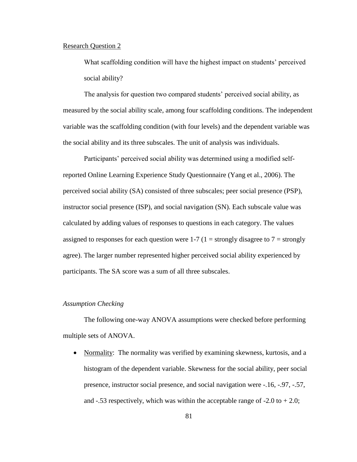#### Research Question 2

What scaffolding condition will have the highest impact on students" perceived social ability?

The analysis for question two compared students' perceived social ability, as measured by the social ability scale, among four scaffolding conditions. The independent variable was the scaffolding condition (with four levels) and the dependent variable was the social ability and its three subscales. The unit of analysis was individuals.

Participants' perceived social ability was determined using a modified selfreported Online Learning Experience Study Questionnaire (Yang et al., 2006). The perceived social ability (SA) consisted of three subscales; peer social presence (PSP), instructor social presence (ISP), and social navigation (SN). Each subscale value was calculated by adding values of responses to questions in each category. The values assigned to responses for each question were 1-7 (1 = strongly disagree to  $7$  = strongly agree). The larger number represented higher perceived social ability experienced by participants. The SA score was a sum of all three subscales.

#### *Assumption Checking*

The following one-way ANOVA assumptions were checked before performing multiple sets of ANOVA.

• Normality: The normality was verified by examining skewness, kurtosis, and a histogram of the dependent variable. Skewness for the social ability, peer social presence, instructor social presence, and social navigation were -.16, -.97, -.57, and -.53 respectively, which was within the acceptable range of  $-2.0$  to  $+ 2.0$ ;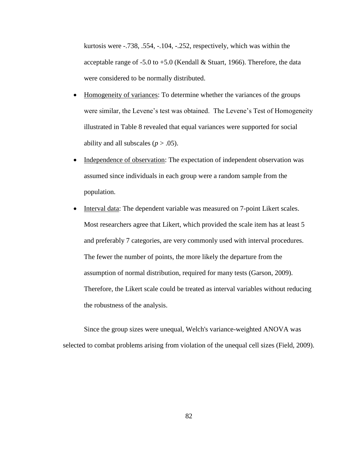kurtosis were -.738, .554, -.104, -.252, respectively, which was within the acceptable range of  $-5.0$  to  $+5.0$  (Kendall & Stuart, 1966). Therefore, the data were considered to be normally distributed.

- Homogeneity of variances: To determine whether the variances of the groups were similar, the Levene's test was obtained. The Levene's Test of Homogeneity illustrated in Table 8 revealed that equal variances were supported for social ability and all subscales ( $p > .05$ ).
- Independence of observation: The expectation of independent observation was assumed since individuals in each group were a random sample from the population.
- Interval data: The dependent variable was measured on 7-point Likert scales. Most researchers agree that Likert, which provided the scale item has at least 5 and preferably 7 categories, are very commonly used with interval procedures. The fewer the number of points, the more likely the departure from the assumption of normal distribution, required for many tests (Garson, 2009). Therefore, the Likert scale could be treated as interval variables without reducing the robustness of the analysis.

Since the group sizes were unequal, Welch's variance-weighted ANOVA was selected to combat problems arising from violation of the unequal cell sizes (Field, 2009).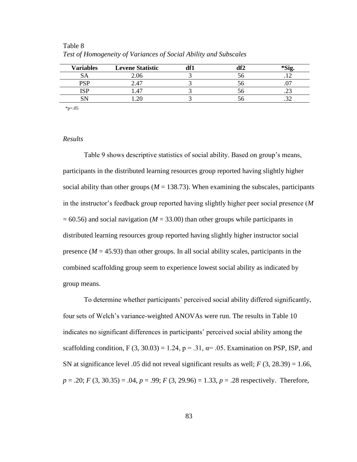| <b>Variables</b> | <b>Levene Statistic</b> | ле1 | <b>TAS</b> |      |
|------------------|-------------------------|-----|------------|------|
| 12.              |                         |     |            |      |
| <b>PSP</b>       |                         |     |            |      |
| TCD              |                         |     |            | $-$  |
|                  |                         |     |            | ے بی |
|                  |                         |     |            |      |

Table 8 *Test of Homogeneity of Variances of Social Ability and Subscales*

 $*_{p=.05}$ 

#### *Results*

Table 9 shows descriptive statistics of social ability. Based on group's means, participants in the distributed learning resources group reported having slightly higher social ability than other groups ( $M = 138.73$ ). When examining the subscales, participants in the instructor"s feedback group reported having slightly higher peer social presence (*M*  $= 60.56$ ) and social navigation ( $M = 33.00$ ) than other groups while participants in distributed learning resources group reported having slightly higher instructor social presence  $(M = 45.93)$  than other groups. In all social ability scales, participants in the combined scaffolding group seem to experience lowest social ability as indicated by group means.

To determine whether participants" perceived social ability differed significantly, four sets of Welch"s variance-weighted ANOVAs were run. The results in Table 10 indicates no significant differences in participants' perceived social ability among the scaffolding condition,  $F(3, 30.03) = 1.24$ ,  $p = .31$ ,  $\alpha = .05$ . Examination on PSP, ISP, and SN at significance level .05 did not reveal significant results as well; *F* (3, 28.39) = 1.66, *p* = .20; *F* (3, 30.35) = .04, *p* = .99; *F* (3, 29.96) = 1.33, *p* = .28 respectively. Therefore,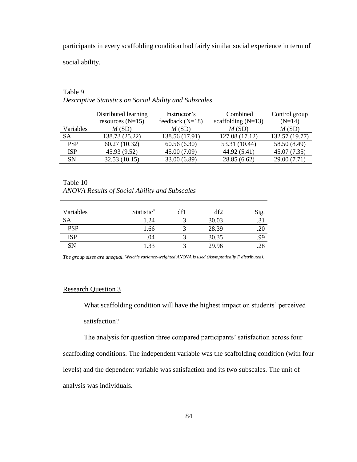participants in every scaffolding condition had fairly similar social experience in term of social ability.

## Table 9 *Descriptive Statistics on Social Ability and Subscales*

| Distributed learning | Instructor's      | Combined             | Control group  |
|----------------------|-------------------|----------------------|----------------|
| resources $(N=15)$   | feedback $(N=18)$ | scaffolding $(N=13)$ | $(N=14)$       |
| M(SD)                | M(SD)             | M(SD)                | M(SD)          |
| 138.73 (25.22)       | 138.56 (17.91)    | 127.08 (17.12)       | 132.57 (19.77) |
| 60.27(10.32)         | 60.56(6.30)       | 53.31 (10.44)        | 58.50 (8.49)   |
| 45.93 (9.52)         | 45.00 (7.09)      | 44.92 (5.41)         | 45.07 (7.35)   |
| 32.53 (10.15)        | 33.00 (6.89)      | 28.85 (6.62)         | 29.00 (7.71)   |
|                      |                   |                      |                |

## Table 10 *ANOVA Results of Social Ability and Subscales*

| Variables  | Statistic <sup>a</sup> | 1f1 | df2   |     |
|------------|------------------------|-----|-------|-----|
| SА         | .24                    |     | 30.03 |     |
| <b>PSP</b> | 1.66                   |     | 28.39 | .∠∪ |
| <b>ISP</b> | .04                    |     | 30.35 | QQ  |
| SN         | .33                    |     | 29.96 | .28 |

*The group sizes are unequal. Welch's variance-weighted ANOVA is used (Asymptotically F distributed).* 

## Research Question 3

What scaffolding condition will have the highest impact on students' perceived satisfaction?

The analysis for question three compared participants' satisfaction across four scaffolding conditions. The independent variable was the scaffolding condition (with four levels) and the dependent variable was satisfaction and its two subscales. The unit of analysis was individuals.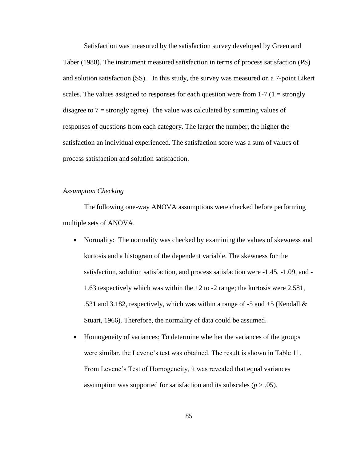Satisfaction was measured by the satisfaction survey developed by Green and Taber (1980). The instrument measured satisfaction in terms of process satisfaction (PS) and solution satisfaction (SS). In this study, the survey was measured on a 7-point Likert scales. The values assigned to responses for each question were from  $1-7$  ( $1 =$  strongly disagree to 7 = strongly agree). The value was calculated by summing values of responses of questions from each category. The larger the number, the higher the satisfaction an individual experienced. The satisfaction score was a sum of values of process satisfaction and solution satisfaction.

## *Assumption Checking*

The following one-way ANOVA assumptions were checked before performing multiple sets of ANOVA.

- Normality: The normality was checked by examining the values of skewness and kurtosis and a histogram of the dependent variable. The skewness for the satisfaction, solution satisfaction, and process satisfaction were -1.45, -1.09, and - 1.63 respectively which was within the +2 to -2 range; the kurtosis were 2.581, .531 and 3.182, respectively, which was within a range of -5 and +5 (Kendall  $\&$ Stuart, 1966). Therefore, the normality of data could be assumed.
- Homogeneity of variances: To determine whether the variances of the groups were similar, the Levene's test was obtained. The result is shown in Table 11. From Levene"s Test of Homogeneity, it was revealed that equal variances assumption was supported for satisfaction and its subscales  $(p > .05)$ .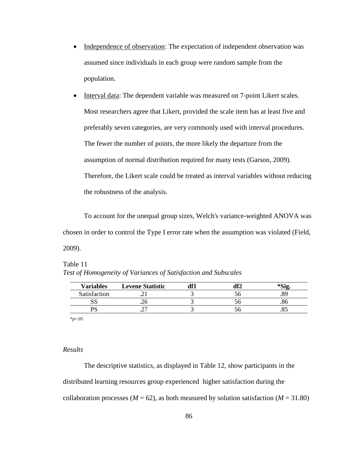- Independence of observation: The expectation of independent observation was assumed since individuals in each group were random sample from the population.
- Interval data: The dependent variable was measured on 7-point Likert scales. Most researchers agree that Likert, provided the scale item has at least five and preferably seven categories, are very commonly used with interval procedures. The fewer the number of points, the more likely the departure from the assumption of normal distribution required for many tests (Garson, 2009). Therefore, the Likert scale could be treated as interval variables without reducing the robustness of the analysis.

To account for the unequal group sizes, Welch's variance-weighted ANOVA was chosen in order to control the Type I error rate when the assumption was violated (Field, 2009).

| <b>Variables</b> | <b>Levene Statistic</b> | df' | $\cdot$ $\sim$ |
|------------------|-------------------------|-----|----------------|
| Satisfaction     |                         |     |                |
|                  |                         |     |                |
|                  |                         |     |                |

| Table 11                                                       |  |  |
|----------------------------------------------------------------|--|--|
| Test of Homogeneity of Variances of Satisfaction and Subscales |  |  |

 $*_{p=.05}$ 

### *Results*

The descriptive statistics, as displayed in Table 12, show participants in the distributed learning resources group experienced higher satisfaction during the collaboration processes ( $M = 62$ ), as both measured by solution satisfaction ( $M = 31.80$ )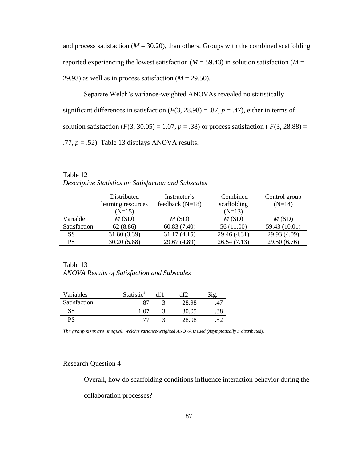and process satisfaction ( $M = 30.20$ ), than others. Groups with the combined scaffolding reported experiencing the lowest satisfaction ( $M = 59.43$ ) in solution satisfaction ( $M =$ 29.93) as well as in process satisfaction  $(M = 29.50)$ .

Separate Welch"s variance-weighted ANOVAs revealed no statistically significant differences in satisfaction  $(F(3, 28.98) = .87, p = .47)$ , either in terms of solution satisfaction  $(F(3, 30.05) = 1.07, p = .38)$  or process satisfaction ( $F(3, 28.88) =$ .77,  $p = .52$ ). Table 13 displays ANOVA results.

Table 12 *Descriptive Statistics on Satisfaction and Subscales*

|              | Distributed        | Instructor's      | Combined     | Control group |
|--------------|--------------------|-------------------|--------------|---------------|
|              | learning resources | feedback $(N=18)$ | scaffolding  | $(N=14)$      |
|              | $(N=15)$           |                   | $(N=13)$     |               |
| Variable     | M(SD)              | M(SD)             | M(SD)        | M(SD)         |
| Satisfaction | 62(8.86)           | 60.83 (7.40)      | 56 (11.00)   | 59.43 (10.01) |
| SS           | 31.80 (3.39)       | 31.17(4.15)       | 29.46 (4.31) | 29.93 (4.09)  |
| PS           | 30.20 (5.88)       | 29.67 (4.89)      | 26.54(7.13)  | 29.50 (6.76)  |
|              |                    |                   |              |               |

Table 13 *ANOVA Results of Satisfaction and Subscales*

| Variables    | Statistic <sup>a</sup> | df2   |  |
|--------------|------------------------|-------|--|
| Satisfaction |                        | 28.98 |  |
| SS           | 1 ሰ7                   | 30.05 |  |
| PS           |                        | 28.98 |  |

*The group sizes are unequal. Welch's variance-weighted ANOVA is used (Asymptotically F distributed).* 

#### Research Question 4

Overall, how do scaffolding conditions influence interaction behavior during the

collaboration processes?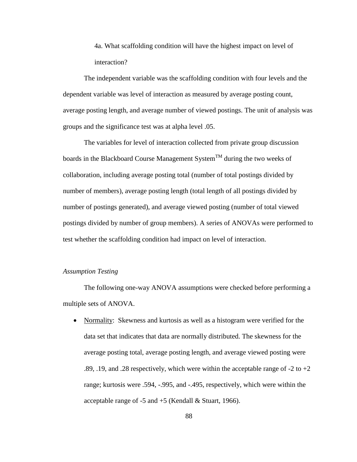4a. What scaffolding condition will have the highest impact on level of interaction?

The independent variable was the scaffolding condition with four levels and the dependent variable was level of interaction as measured by average posting count, average posting length, and average number of viewed postings. The unit of analysis was groups and the significance test was at alpha level .05.

The variables for level of interaction collected from private group discussion boards in the Blackboard Course Management System<sup>TM</sup> during the two weeks of collaboration, including average posting total (number of total postings divided by number of members), average posting length (total length of all postings divided by number of postings generated), and average viewed posting (number of total viewed postings divided by number of group members). A series of ANOVAs were performed to test whether the scaffolding condition had impact on level of interaction.

#### *Assumption Testing*

The following one-way ANOVA assumptions were checked before performing a multiple sets of ANOVA.

 Normality: Skewness and kurtosis as well as a histogram were verified for the data set that indicates that data are normally distributed. The skewness for the average posting total, average posting length, and average viewed posting were .89, .19, and .28 respectively, which were within the acceptable range of  $-2$  to  $+2$ range; kurtosis were .594, -.995, and -.495, respectively, which were within the acceptable range of  $-5$  and  $+5$  (Kendall & Stuart, 1966).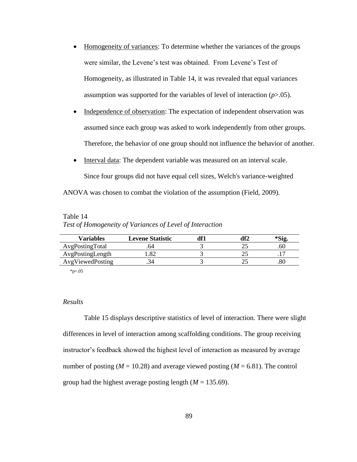- Homogeneity of variances: To determine whether the variances of the groups were similar, the Levene's test was obtained. From Levene's Test of Homogeneity, as illustrated in Table 14, it was revealed that equal variances assumption was supported for the variables of level of interaction (*p*>.05).
- Independence of observation: The expectation of independent observation was assumed since each group was asked to work independently from other groups. Therefore, the behavior of one group should not influence the behavior of another.
- Interval data: The dependent variable was measured on an interval scale. Since four groups did not have equal cell sizes, Welch's variance-weighted

ANOVA was chosen to combat the violation of the assumption (Field, 2009).

| Table 14                                                 |  |
|----------------------------------------------------------|--|
| Test of Homogeneity of Variances of Level of Interaction |  |

| <b>Variables</b> | <b>Levene Statistic</b> |  |    |
|------------------|-------------------------|--|----|
| AvgPostingTotal  | Ŋ4                      |  | 60 |
| AvgPostingLength |                         |  |    |
| AvgViewedPosting |                         |  |    |

 $*_{p=.05}$ 

# *Results*

Table 15 displays descriptive statistics of level of interaction. There were slight differences in level of interaction among scaffolding conditions. The group receiving instructor"s feedback showed the highest level of interaction as measured by average number of posting ( $M = 10.28$ ) and average viewed posting ( $M = 6.81$ ). The control group had the highest average posting length  $(M = 135.69)$ .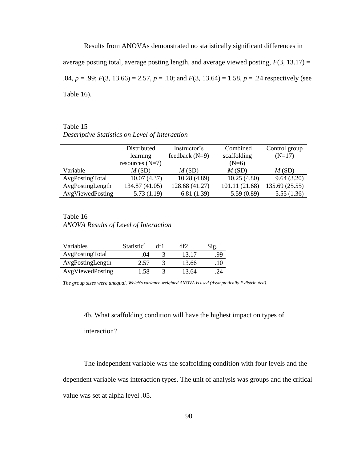Results from ANOVAs demonstrated no statistically significant differences in average posting total, average posting length, and average viewed posting,  $F(3, 13.17) =$ .04,  $p = .99$ ;  $F(3, 13.66) = 2.57$ ,  $p = .10$ ; and  $F(3, 13.64) = 1.58$ ,  $p = .24$  respectively (see Table 16).

# Table 15 *Descriptive Statistics on Level of Interaction*

|                  | Distributed       | Instructor's     | Combined       | Control group  |
|------------------|-------------------|------------------|----------------|----------------|
|                  | learning          | feedback $(N=9)$ | scaffolding    | $(N=17)$       |
|                  | resources $(N=7)$ |                  | $(N=6)$        |                |
| Variable         | M(SD)             | M(SD)            | M(SD)          | M(SD)          |
| AvgPostingTotal  | 10.07(4.37)       | 10.28(4.89)      | 10.25(4.80)    | 9.64(3.20)     |
| AvgPostingLength | 134.87 (41.05)    | 128.68 (41.27)   | 101.11 (21.68) | 135.69 (25.55) |
| AvgViewedPosting | 5.73(1.19)        | 6.81(1.39)       | 5.59(0.89)     | 5.55(1.36)     |

# Table 16

*ANOVA Results of Level of Interaction*

| <b>Variables</b> | Statistic <sup>a</sup> | df1 | df2   | Sig.    |
|------------------|------------------------|-----|-------|---------|
| AvgPostingTotal  | .04                    |     | 13.17 | .99     |
| AvgPostingLength | 2.57                   |     | 13.66 | $.10\,$ |
| AvgViewedPosting | 1.58                   |     | 13.64 | 24      |

*The group sizes were unequal. Welch's variance-weighted ANOVA is used (Asymptotically F distributed).* 

4b. What scaffolding condition will have the highest impact on types of

interaction?

The independent variable was the scaffolding condition with four levels and the dependent variable was interaction types. The unit of analysis was groups and the critical value was set at alpha level .05.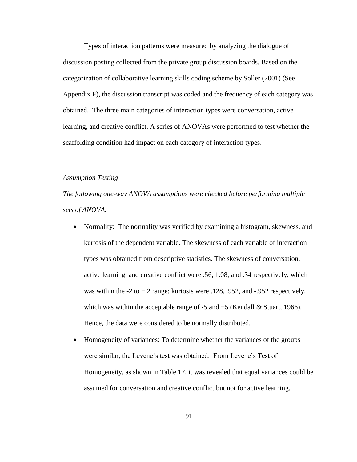Types of interaction patterns were measured by analyzing the dialogue of discussion posting collected from the private group discussion boards. Based on the categorization of collaborative learning skills coding scheme by Soller (2001) (See Appendix F), the discussion transcript was coded and the frequency of each category was obtained. The three main categories of interaction types were conversation, active learning, and creative conflict. A series of ANOVAs were performed to test whether the scaffolding condition had impact on each category of interaction types.

#### *Assumption Testing*

*The following one-way ANOVA assumptions were checked before performing multiple sets of ANOVA.*

- Normality: The normality was verified by examining a histogram, skewness, and kurtosis of the dependent variable. The skewness of each variable of interaction types was obtained from descriptive statistics. The skewness of conversation, active learning, and creative conflict were .56, 1.08, and .34 respectively, which was within the  $-2$  to  $+2$  range; kurtosis were .128, .952, and  $-.952$  respectively, which was within the acceptable range of  $-5$  and  $+5$  (Kendall & Stuart, 1966). Hence, the data were considered to be normally distributed.
- Homogeneity of variances: To determine whether the variances of the groups were similar, the Levene"s test was obtained. From Levene"s Test of Homogeneity, as shown in Table 17, it was revealed that equal variances could be assumed for conversation and creative conflict but not for active learning.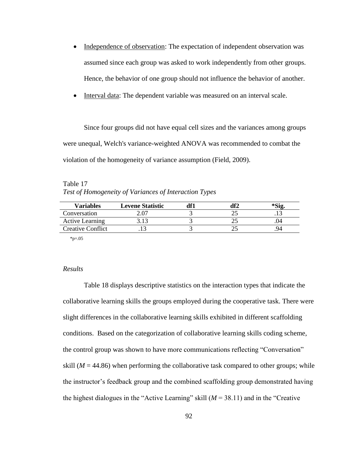- Independence of observation: The expectation of independent observation was assumed since each group was asked to work independently from other groups. Hence, the behavior of one group should not influence the behavior of another.
- Interval data: The dependent variable was measured on an interval scale.

Since four groups did not have equal cell sizes and the variances among groups were unequal, Welch's variance-weighted ANOVA was recommended to combat the violation of the homogeneity of variance assumption (Field, 2009).

Table 17 *Test of Homogeneity of Variances of Interaction Types*

| <b>Variables</b>         | <b>Levene Statistic</b> |  |  |
|--------------------------|-------------------------|--|--|
| Conversation             |                         |  |  |
| <b>Active Learning</b>   |                         |  |  |
| <b>Creative Conflict</b> |                         |  |  |

 $*p = .05$ 

### *Results*

Table 18 displays descriptive statistics on the interaction types that indicate the collaborative learning skills the groups employed during the cooperative task. There were slight differences in the collaborative learning skills exhibited in different scaffolding conditions. Based on the categorization of collaborative learning skills coding scheme, the control group was shown to have more communications reflecting "Conversation" skill ( $M = 44.86$ ) when performing the collaborative task compared to other groups; while the instructor"s feedback group and the combined scaffolding group demonstrated having the highest dialogues in the "Active Learning" skill  $(M = 38.11)$  and in the "Creative"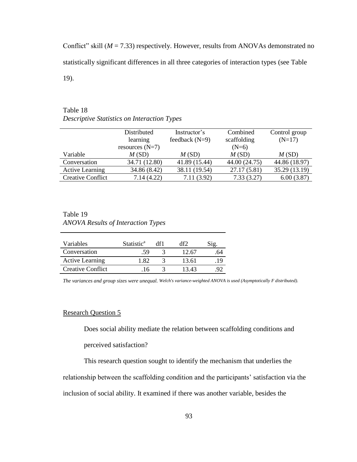Conflict" skill  $(M = 7.33)$  respectively. However, results from ANOVAs demonstrated no statistically significant differences in all three categories of interaction types (see Table 19).

# Table 18 *Descriptive Statistics on Interaction Types*

|                          | Distributed       | Instructor's     | Combined      | Control group |
|--------------------------|-------------------|------------------|---------------|---------------|
|                          | learning          | feedback $(N=9)$ | scaffolding   | $(N=17)$      |
|                          | resources $(N=7)$ |                  | $(N=6)$       |               |
| Variable                 | M(SD)             | M(SD)            | M(SD)         | M(SD)         |
| Conversation             | 34.71 (12.80)     | 41.89 (15.44)    | 44.00 (24.75) | 44.86 (18.97) |
| <b>Active Learning</b>   | 34.86 (8.42)      | 38.11 (19.54)    | 27.17(5.81)   | 35.29 (13.19) |
| <b>Creative Conflict</b> | 7.14(4.22)        | 7.11(3.92)       | 7.33(3.27)    | 6.00(3.87)    |

## Table 19 *ANOVA Results of Interaction Types*

| Variables                | Statistic <sup>a</sup> | df1 | df2   |     |
|--------------------------|------------------------|-----|-------|-----|
| Conversation             | .59                    |     | 12.67 | .64 |
| <b>Active Learning</b>   | 1.82                   |     | 13.61 | .19 |
| <b>Creative Conflict</b> | -16                    |     | 13 43 | 92  |

*The variances and group sizes were unequal. Welch's variance-weighted ANOVA is used (Asymptotically F distributed).* 

#### Research Question 5

Does social ability mediate the relation between scaffolding conditions and

perceived satisfaction?

This research question sought to identify the mechanism that underlies the

relationship between the scaffolding condition and the participants' satisfaction via the

inclusion of social ability. It examined if there was another variable, besides the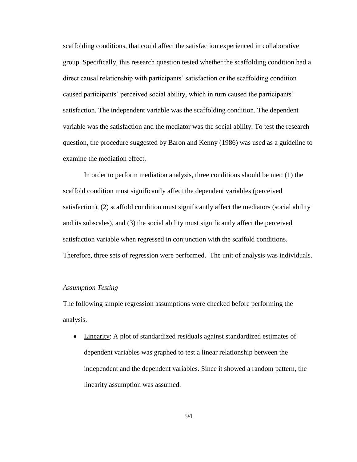scaffolding conditions, that could affect the satisfaction experienced in collaborative group. Specifically, this research question tested whether the scaffolding condition had a direct causal relationship with participants' satisfaction or the scaffolding condition caused participants" perceived social ability, which in turn caused the participants" satisfaction. The independent variable was the scaffolding condition. The dependent variable was the satisfaction and the mediator was the social ability. To test the research question, the procedure suggested by Baron and Kenny (1986) was used as a guideline to examine the mediation effect.

In order to perform mediation analysis, three conditions should be met: (1) the scaffold condition must significantly affect the dependent variables (perceived satisfaction), (2) scaffold condition must significantly affect the mediators (social ability and its subscales), and (3) the social ability must significantly affect the perceived satisfaction variable when regressed in conjunction with the scaffold conditions. Therefore, three sets of regression were performed. The unit of analysis was individuals.

#### *Assumption Testing*

The following simple regression assumptions were checked before performing the analysis.

 Linearity: A plot of standardized residuals against standardized estimates of dependent variables was graphed to test a linear relationship between the independent and the dependent variables. Since it showed a random pattern, the linearity assumption was assumed.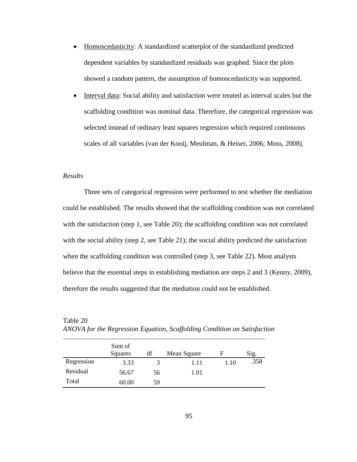- Homoscedasticity: A standardized scatterplot of the standardized predicted dependent variables by standardized residuals was graphed. Since the plots showed a random pattern, the assumption of homoscedasticity was supported.
- Interval data: Social ability and satisfaction were treated as interval scales but the scaffolding condition was nominal data. Therefore, the categorical regression was selected instead of ordinary least squares regression which required continuous scales of all variables (van der Kooij, Meulman, & Heiser, 2006; Moss, 2008).

#### *Results*

Three sets of categorical regression were performed to test whether the mediation could be established. The results showed that the scaffolding condition was not correlated with the satisfaction (step 1, see Table 20); the scaffolding condition was not correlated with the social ability (step 2, see Table 21); the social ability predicted the satisfaction when the scaffolding condition was controlled (step 3, see Table 22). Most analysts believe that the essential steps in establishing mediation are steps 2 and 3 (Kenny, 2009), therefore the results suggested that the mediation could not be established.

|            | Sum of<br>Squares | df | Mean Square | н    | Sig. |
|------------|-------------------|----|-------------|------|------|
| Regression | 3.33              | 3  | 1.11        | 1.10 | .358 |
| Residual   | 56.67             | 56 | 1.01        |      |      |
| Total      | 60.00             | 59 |             |      |      |

Table 20 *ANOVA for the Regression Equation, Scaffolding Condition on Satisfaction*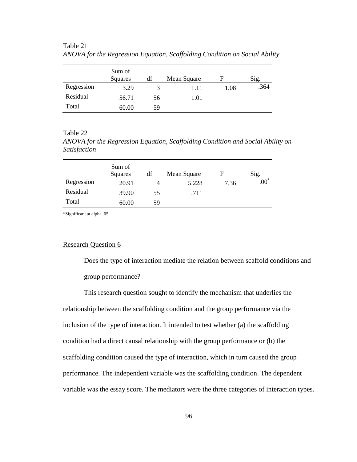|            | Sum of<br>Squares | df | Mean Square | F    | Sig. |
|------------|-------------------|----|-------------|------|------|
| Regression | 3.29              | 3  | 1.11        | 1.08 | .364 |
| Residual   | 56.71             | 56 | 1.01        |      |      |
| Total      | 60.00             | 59 |             |      |      |

Table 21 *ANOVA for the Regression Equation, Scaffolding Condition on Social Ability*

#### Table 22

*ANOVA for the Regression Equation, Scaffolding Condition and Social Ability on Satisfaction*

|            | Sum of<br>Squares | df | Mean Square | F    | Sig.   |
|------------|-------------------|----|-------------|------|--------|
| Regression | 20.91             |    | 5.228       | 7.36 | $.00*$ |
| Residual   | 39.90             | 55 | .711        |      |        |
| Total      | 60.00             | 59 |             |      |        |

\*Significant at alpha .05

# Research Question 6

Does the type of interaction mediate the relation between scaffold conditions and group performance?

This research question sought to identify the mechanism that underlies the relationship between the scaffolding condition and the group performance via the inclusion of the type of interaction. It intended to test whether (a) the scaffolding condition had a direct causal relationship with the group performance or (b) the scaffolding condition caused the type of interaction, which in turn caused the group performance. The independent variable was the scaffolding condition. The dependent variable was the essay score. The mediators were the three categories of interaction types.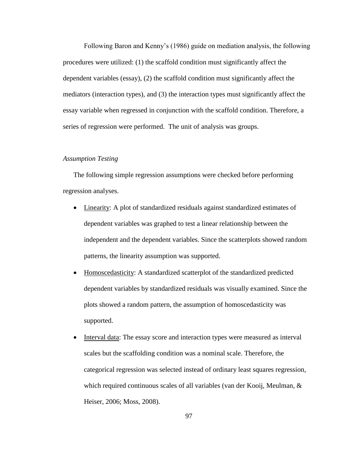Following Baron and Kenny"s (1986) guide on mediation analysis, the following procedures were utilized: (1) the scaffold condition must significantly affect the dependent variables (essay), (2) the scaffold condition must significantly affect the mediators (interaction types), and (3) the interaction types must significantly affect the essay variable when regressed in conjunction with the scaffold condition. Therefore, a series of regression were performed. The unit of analysis was groups.

#### *Assumption Testing*

The following simple regression assumptions were checked before performing regression analyses.

- Linearity: A plot of standardized residuals against standardized estimates of dependent variables was graphed to test a linear relationship between the independent and the dependent variables. Since the scatterplots showed random patterns, the linearity assumption was supported.
- Homoscedasticity: A standardized scatterplot of the standardized predicted dependent variables by standardized residuals was visually examined. Since the plots showed a random pattern, the assumption of homoscedasticity was supported.
- Interval data: The essay score and interaction types were measured as interval scales but the scaffolding condition was a nominal scale. Therefore, the categorical regression was selected instead of ordinary least squares regression, which required continuous scales of all variables (van der Kooij, Meulman, & Heiser, 2006; Moss, 2008).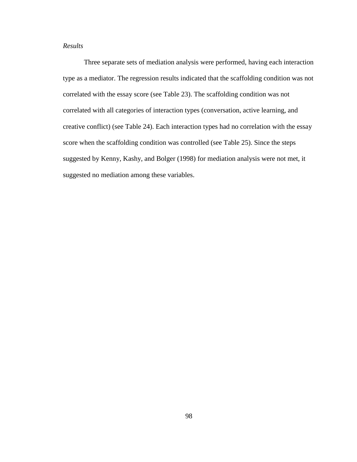## *Results*

Three separate sets of mediation analysis were performed, having each interaction type as a mediator. The regression results indicated that the scaffolding condition was not correlated with the essay score (see Table 23). The scaffolding condition was not correlated with all categories of interaction types (conversation, active learning, and creative conflict) (see Table 24). Each interaction types had no correlation with the essay score when the scaffolding condition was controlled (see Table 25). Since the steps suggested by Kenny, Kashy, and Bolger (1998) for mediation analysis were not met, it suggested no mediation among these variables.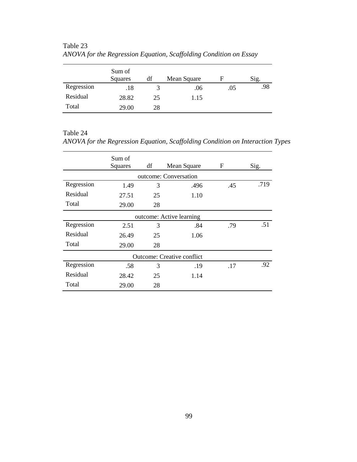|            | Sum of<br>Squares | df | Mean Square | F   | Sig. |
|------------|-------------------|----|-------------|-----|------|
| Regression | .18               | 3  | .06         | .05 | .98  |
| Residual   | 28.82             | 25 | 1.15        |     |      |
| Total      | 29.00             | 28 |             |     |      |

Table 23 *ANOVA for the Regression Equation, Scaffolding Condition on Essay*

Table 24

*ANOVA for the Regression Equation, Scaffolding Condition on Interaction Types*

|                          | Sum of<br>Squares | df | Mean Square                       | F   | Sig. |  |  |  |
|--------------------------|-------------------|----|-----------------------------------|-----|------|--|--|--|
|                          |                   |    | outcome: Conversation             |     |      |  |  |  |
| Regression               | 1.49              | 3  | .496                              | .45 | .719 |  |  |  |
| Residual                 | 27.51             | 25 | 1.10                              |     |      |  |  |  |
| Total                    | 29.00             | 28 |                                   |     |      |  |  |  |
| outcome: Active learning |                   |    |                                   |     |      |  |  |  |
| Regression               | 2.51              | 3  | .84                               | .79 | .51  |  |  |  |
| Residual                 | 26.49             | 25 | 1.06                              |     |      |  |  |  |
| Total                    | 29.00             | 28 |                                   |     |      |  |  |  |
|                          |                   |    | <b>Outcome: Creative conflict</b> |     |      |  |  |  |
| Regression               | .58               | 3  | .19                               | .17 | .92  |  |  |  |
| Residual                 | 28.42             | 25 | 1.14                              |     |      |  |  |  |
| Total                    | 29.00             | 28 |                                   |     |      |  |  |  |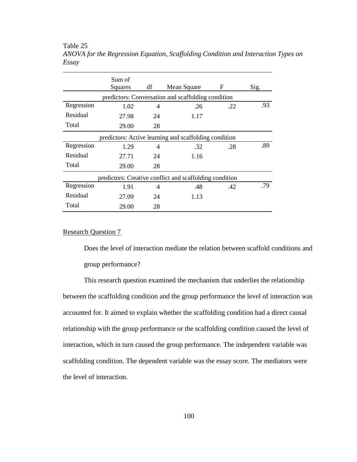Table 25

|                                                       | Sum of<br>Squares | df | Mean Square                                             | F   | Sig. |  |  |  |
|-------------------------------------------------------|-------------------|----|---------------------------------------------------------|-----|------|--|--|--|
|                                                       |                   |    | predictors: Conversation and scaffolding condition      |     |      |  |  |  |
| Regression                                            | 1.02              | 4  | .22<br>.26                                              |     | .93  |  |  |  |
| Residual                                              | 27.98             | 24 | 1.17                                                    |     |      |  |  |  |
| Total                                                 | 29.00             | 28 |                                                         |     |      |  |  |  |
| predictors: Active learning and scaffolding condition |                   |    |                                                         |     |      |  |  |  |
| Regression                                            | 1.29              | 4  | .32                                                     | .28 | .89  |  |  |  |
| Residual                                              | 27.71             | 24 | 1.16                                                    |     |      |  |  |  |
| Total                                                 | 29.00             | 28 |                                                         |     |      |  |  |  |
|                                                       |                   |    | predictors: Creative conflict and scaffolding condition |     |      |  |  |  |
| Regression                                            | 1.91              | 4  | .48                                                     | .42 | .79  |  |  |  |
| Residual                                              | 27.09             | 24 | 1.13                                                    |     |      |  |  |  |
| Total                                                 | 29.00             | 28 |                                                         |     |      |  |  |  |

*ANOVA for the Regression Equation, Scaffolding Condition and Interaction Types on Essay*

# Research Question 7

Does the level of interaction mediate the relation between scaffold conditions and group performance?

This research question examined the mechanism that underlies the relationship between the scaffolding condition and the group performance the level of interaction was accounted for. It aimed to explain whether the scaffolding condition had a direct causal relationship with the group performance or the scaffolding condition caused the level of interaction, which in turn caused the group performance. The independent variable was scaffolding condition. The dependent variable was the essay score. The mediators were the level of interaction.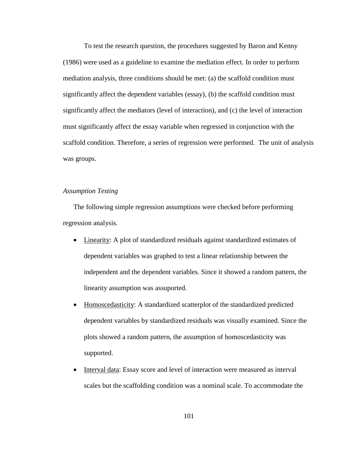To test the research question, the procedures suggested by Baron and Kenny (1986) were used as a guideline to examine the mediation effect. In order to perform mediation analysis, three conditions should be met: (a) the scaffold condition must significantly affect the dependent variables (essay), (b) the scaffold condition must significantly affect the mediators (level of interaction), and (c) the level of interaction must significantly affect the essay variable when regressed in conjunction with the scaffold condition. Therefore, a series of regression were performed. The unit of analysis was groups.

## *Assumption Testing*

The following simple regression assumptions were checked before performing regression analysis.

- Linearity: A plot of standardized residuals against standardized estimates of dependent variables was graphed to test a linear relationship between the independent and the dependent variables. Since it showed a random pattern, the linearity assumption was assuported.
- Homoscedasticity: A standardized scatterplot of the standardized predicted dependent variables by standardized residuals was visually examined. Since the plots showed a random pattern, the assumption of homoscedasticity was supported.
- Interval data: Essay score and level of interaction were measured as interval scales but the scaffolding condition was a nominal scale. To accommodate the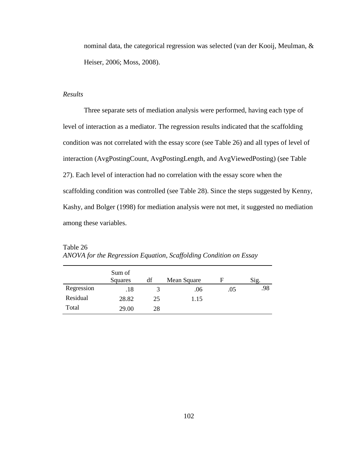nominal data, the categorical regression was selected (van der Kooij, Meulman, & Heiser, 2006; Moss, 2008).

## *Results*

Three separate sets of mediation analysis were performed, having each type of level of interaction as a mediator. The regression results indicated that the scaffolding condition was not correlated with the essay score (see Table 26) and all types of level of interaction (AvgPostingCount, AvgPostingLength, and AvgViewedPosting) (see Table 27). Each level of interaction had no correlation with the essay score when the scaffolding condition was controlled (see Table 28). Since the steps suggested by Kenny, Kashy, and Bolger (1998) for mediation analysis were not met, it suggested no mediation among these variables.

|            | Sum of<br>Squares | df | Mean Square |     | Sig. |
|------------|-------------------|----|-------------|-----|------|
| Regression | .18               | 3  | .06         | .05 | .98  |
| Residual   | 28.82             | 25 | 1.15        |     |      |
| Total      | 29.00             | 28 |             |     |      |

Table 26 *ANOVA for the Regression Equation, Scaffolding Condition on Essay*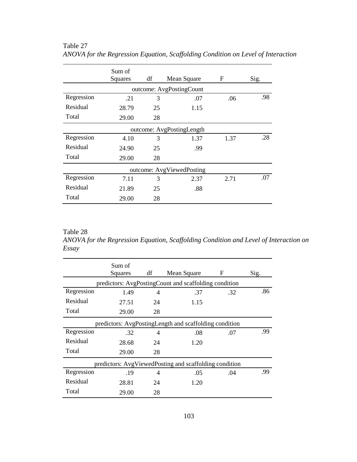|                           | Sum of<br>Squares | df | Mean Square               | F    | Sig. |  |  |  |
|---------------------------|-------------------|----|---------------------------|------|------|--|--|--|
|                           |                   |    | outcome: AvgPostingCount  |      |      |  |  |  |
| Regression                | .21               | 3  | .07                       | .06  | .98  |  |  |  |
| Residual                  | 28.79             | 25 | 1.15                      |      |      |  |  |  |
| Total                     | 29.00             | 28 |                           |      |      |  |  |  |
| outcome: AvgPostingLength |                   |    |                           |      |      |  |  |  |
| Regression                | 4.10              | 3  | 1.37                      | 1.37 | .28  |  |  |  |
| Residual                  | 24.90             | 25 | .99                       |      |      |  |  |  |
| Total                     | 29.00             | 28 |                           |      |      |  |  |  |
|                           |                   |    | outcome: AvgViewedPosting |      |      |  |  |  |
| Regression                | 7.11              | 3  | 2.37                      | 2.71 | .07  |  |  |  |
| Residual                  | 21.89             | 25 | .88                       |      |      |  |  |  |
| Total                     | 29.00             | 28 |                           |      |      |  |  |  |

Table 27 *ANOVA for the Regression Equation, Scaffolding Condition on Level of Interaction*

Table 28

*ANOVA for the Regression Equation, Scaffolding Condition and Level of Interaction on Essay*

|                                                        | Sum of<br>Squares | df              | Mean Square                                            | F   | Sig. |  |  |  |
|--------------------------------------------------------|-------------------|-----------------|--------------------------------------------------------|-----|------|--|--|--|
|                                                        |                   |                 | predictors: AvgPostingCount and scaffolding condition  |     |      |  |  |  |
| Regression                                             | 1.49              | .37<br>.32<br>4 |                                                        | .86 |      |  |  |  |
| Residual                                               | 27.51             | 24              | 1.15                                                   |     |      |  |  |  |
| Total                                                  | 29.00             | 28              |                                                        |     |      |  |  |  |
| predictors: AvgPostingLength and scaffolding condition |                   |                 |                                                        |     |      |  |  |  |
| Regression                                             | .32               | 4               | .08                                                    | .07 | .99  |  |  |  |
| Residual                                               | 28.68             | 24              | 1.20                                                   |     |      |  |  |  |
| Total                                                  | 29.00             | 28              |                                                        |     |      |  |  |  |
|                                                        |                   |                 | predictors: AvgViewedPosting and scaffolding condition |     |      |  |  |  |
| Regression                                             | .19               | 4               | .05                                                    | .04 | .99  |  |  |  |
| Residual                                               | 28.81             | 24              | 1.20                                                   |     |      |  |  |  |
| Total                                                  | 29.00             | 28              |                                                        |     |      |  |  |  |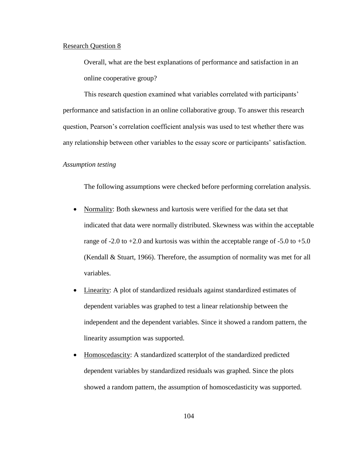#### Research Question 8

Overall, what are the best explanations of performance and satisfaction in an online cooperative group?

This research question examined what variables correlated with participants' performance and satisfaction in an online collaborative group. To answer this research question, Pearson"s correlation coefficient analysis was used to test whether there was any relationship between other variables to the essay score or participants" satisfaction.

#### *Assumption testing*

The following assumptions were checked before performing correlation analysis.

- Normality: Both skewness and kurtosis were verified for the data set that indicated that data were normally distributed. Skewness was within the acceptable range of  $-2.0$  to  $+2.0$  and kurtosis was within the acceptable range of  $-5.0$  to  $+5.0$ (Kendall & Stuart, 1966). Therefore, the assumption of normality was met for all variables.
- Linearity: A plot of standardized residuals against standardized estimates of dependent variables was graphed to test a linear relationship between the independent and the dependent variables. Since it showed a random pattern, the linearity assumption was supported.
- Homoscedascity: A standardized scatterplot of the standardized predicted dependent variables by standardized residuals was graphed. Since the plots showed a random pattern, the assumption of homoscedasticity was supported.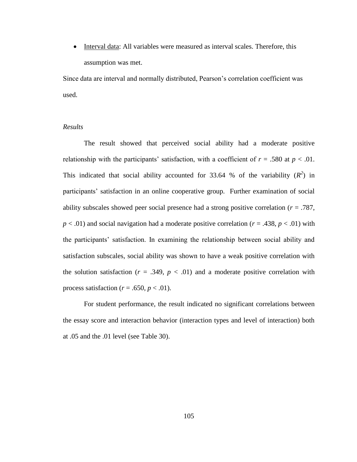Interval data: All variables were measured as interval scales. Therefore, this assumption was met.

Since data are interval and normally distributed, Pearson's correlation coefficient was used.

#### *Results*

The result showed that perceived social ability had a moderate positive relationship with the participants' satisfaction, with a coefficient of  $r = .580$  at  $p < .01$ . This indicated that social ability accounted for 33.64 % of the variability  $(R^2)$  in participants' satisfaction in an online cooperative group. Further examination of social ability subscales showed peer social presence had a strong positive correlation (*r* = .787, *p* < .01) and social navigation had a moderate positive correlation (*r* = .438, *p* < .01) with the participants" satisfaction. In examining the relationship between social ability and satisfaction subscales, social ability was shown to have a weak positive correlation with the solution satisfaction ( $r = .349$ ,  $p < .01$ ) and a moderate positive correlation with process satisfaction ( $r = .650$ ,  $p < .01$ ).

For student performance, the result indicated no significant correlations between the essay score and interaction behavior (interaction types and level of interaction) both at .05 and the .01 level (see Table 30).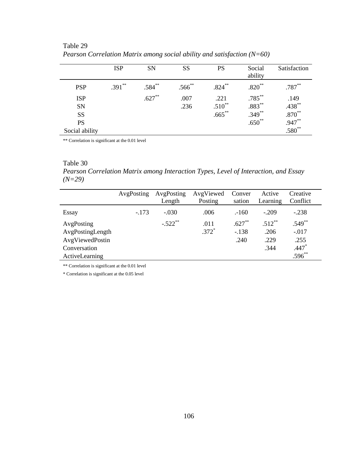|                | <b>ISP</b> | SN        | <b>SS</b>   | <b>PS</b>   | Social<br>ability | Satisfaction                         |
|----------------|------------|-----------|-------------|-------------|-------------------|--------------------------------------|
| <b>PSP</b>     | $.391**$   | $.584***$ | $.566^{**}$ | $.824***$   | $.820**$          | $.787**$                             |
| <b>ISP</b>     |            | $.627**$  | .007        | .221        | $.785***$         |                                      |
| SN             |            |           | .236        | $.510^{**}$ | $.883***$         | $.149$<br>$.438^{**}$<br>$.870^{**}$ |
| <b>SS</b>      |            |           |             | $.665***$   | $.349***$         |                                      |
| <b>PS</b>      |            |           |             |             | $.650**$          | $.947***$                            |
| Social ability |            |           |             |             |                   | $.580^{**}$                          |

Table 29 *Pearson Correlation Matrix among social ability and satisfaction (N=60)*

\*\* Correlation is significant at the 0.01 level

#### Table 30

*Pearson Correlation Matrix among Interaction Types, Level of Interaction, and Essay (N=29)*

|                                                                                     | AvgPosting | AvgPosting<br>Length | AvgViewed<br>Posting | Conver<br>sation            | Active<br>Learning               | Creative<br>Conflict                                |
|-------------------------------------------------------------------------------------|------------|----------------------|----------------------|-----------------------------|----------------------------------|-----------------------------------------------------|
| Essay                                                                               | $-173$     | $-.030$              | .006                 | $-160$                      | $-.209$                          | $-.238$                                             |
| AvgPosting<br>AvgPostingLength<br>AvgViewedPostin<br>Conversation<br>ActiveLearning |            | $-.522$ **           | .011<br>$.372^{*}$   | $.627**$<br>$-.138$<br>.240 | $.512**$<br>.206<br>.229<br>.344 | $.549**$<br>$-0.017$<br>.255<br>$.447*$<br>$.596**$ |

\*\* Correlation is significant at the 0.01 level

\* Correlation is significant at the 0.05 level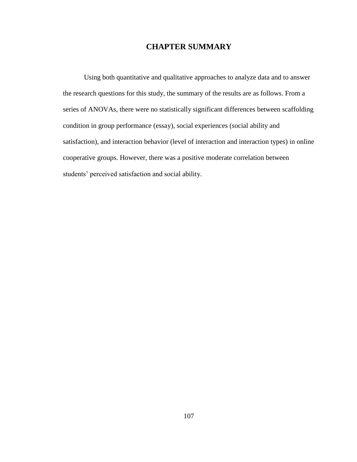# **CHAPTER SUMMARY**

Using both quantitative and qualitative approaches to analyze data and to answer the research questions for this study, the summary of the results are as follows. From a series of ANOVAs, there were no statistically significant differences between scaffolding condition in group performance (essay), social experiences (social ability and satisfaction), and interaction behavior (level of interaction and interaction types) in online cooperative groups. However, there was a positive moderate correlation between students" perceived satisfaction and social ability.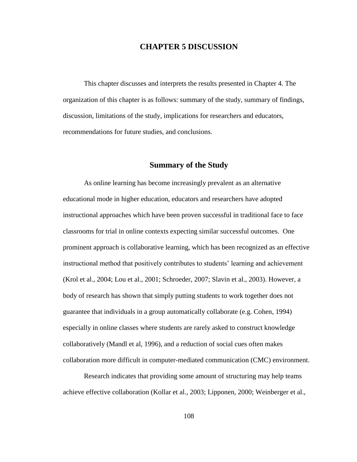# **CHAPTER 5 DISCUSSION**

This chapter discusses and interprets the results presented in Chapter 4. The organization of this chapter is as follows: summary of the study, summary of findings, discussion, limitations of the study, implications for researchers and educators, recommendations for future studies, and conclusions.

# **Summary of the Study**

As online learning has become increasingly prevalent as an alternative educational mode in higher education, educators and researchers have adopted instructional approaches which have been proven successful in traditional face to face classrooms for trial in online contexts expecting similar successful outcomes. One prominent approach is collaborative learning, which has been recognized as an effective instructional method that positively contributes to students' learning and achievement (Krol et al., 2004; Lou et al., 2001; Schroeder, 2007; Slavin et al., 2003). However, a body of research has shown that simply putting students to work together does not guarantee that individuals in a group automatically collaborate (e.g. Cohen, 1994) especially in online classes where students are rarely asked to construct knowledge collaboratively (Mandl et al, 1996), and a reduction of social cues often makes collaboration more difficult in computer-mediated communication (CMC) environment.

Research indicates that providing some amount of structuring may help teams achieve effective collaboration (Kollar et al., 2003; Lipponen, 2000; Weinberger et al.,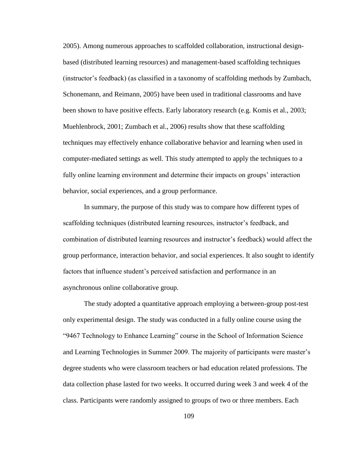2005). Among numerous approaches to scaffolded collaboration, instructional designbased (distributed learning resources) and management-based scaffolding techniques (instructor"s feedback) (as classified in a taxonomy of scaffolding methods by Zumbach, Schonemann, and Reimann, 2005) have been used in traditional classrooms and have been shown to have positive effects. Early laboratory research (e.g. Komis et al., 2003; Muehlenbrock, 2001; Zumbach et al., 2006) results show that these scaffolding techniques may effectively enhance collaborative behavior and learning when used in computer-mediated settings as well. This study attempted to apply the techniques to a fully online learning environment and determine their impacts on groups" interaction behavior, social experiences, and a group performance.

In summary, the purpose of this study was to compare how different types of scaffolding techniques (distributed learning resources, instructor"s feedback, and combination of distributed learning resources and instructor"s feedback) would affect the group performance, interaction behavior, and social experiences. It also sought to identify factors that influence student's perceived satisfaction and performance in an asynchronous online collaborative group.

The study adopted a quantitative approach employing a between-group post-test only experimental design. The study was conducted in a fully online course using the "9467 Technology to Enhance Learning" course in the School of Information Science and Learning Technologies in Summer 2009. The majority of participants were master's degree students who were classroom teachers or had education related professions. The data collection phase lasted for two weeks. It occurred during week 3 and week 4 of the class. Participants were randomly assigned to groups of two or three members. Each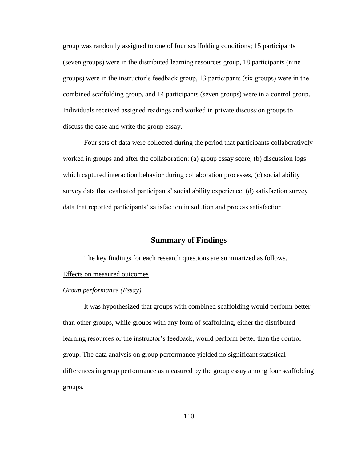group was randomly assigned to one of four scaffolding conditions; 15 participants (seven groups) were in the distributed learning resources group, 18 participants (nine groups) were in the instructor"s feedback group, 13 participants (six groups) were in the combined scaffolding group, and 14 participants (seven groups) were in a control group. Individuals received assigned readings and worked in private discussion groups to discuss the case and write the group essay.

Four sets of data were collected during the period that participants collaboratively worked in groups and after the collaboration: (a) group essay score, (b) discussion logs which captured interaction behavior during collaboration processes, (c) social ability survey data that evaluated participants' social ability experience, (d) satisfaction survey data that reported participants" satisfaction in solution and process satisfaction.

# **Summary of Findings**

The key findings for each research questions are summarized as follows. Effects on measured outcomes

## *Group performance (Essay)*

It was hypothesized that groups with combined scaffolding would perform better than other groups, while groups with any form of scaffolding, either the distributed learning resources or the instructor"s feedback, would perform better than the control group. The data analysis on group performance yielded no significant statistical differences in group performance as measured by the group essay among four scaffolding groups.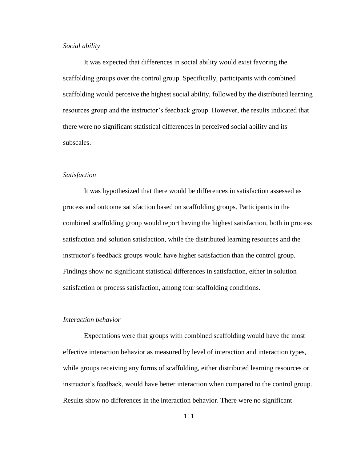#### *Social ability*

It was expected that differences in social ability would exist favoring the scaffolding groups over the control group. Specifically, participants with combined scaffolding would perceive the highest social ability, followed by the distributed learning resources group and the instructor"s feedback group. However, the results indicated that there were no significant statistical differences in perceived social ability and its subscales.

#### *Satisfaction*

It was hypothesized that there would be differences in satisfaction assessed as process and outcome satisfaction based on scaffolding groups. Participants in the combined scaffolding group would report having the highest satisfaction, both in process satisfaction and solution satisfaction, while the distributed learning resources and the instructor"s feedback groups would have higher satisfaction than the control group. Findings show no significant statistical differences in satisfaction, either in solution satisfaction or process satisfaction, among four scaffolding conditions.

#### *Interaction behavior*

Expectations were that groups with combined scaffolding would have the most effective interaction behavior as measured by level of interaction and interaction types, while groups receiving any forms of scaffolding, either distributed learning resources or instructor"s feedback, would have better interaction when compared to the control group. Results show no differences in the interaction behavior. There were no significant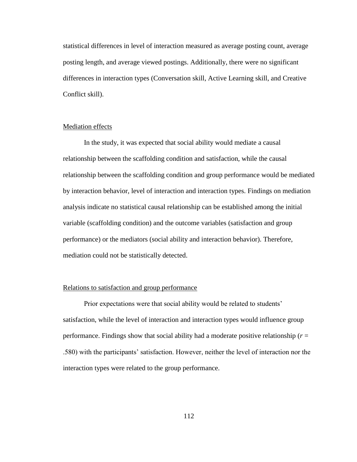statistical differences in level of interaction measured as average posting count, average posting length, and average viewed postings. Additionally, there were no significant differences in interaction types (Conversation skill, Active Learning skill, and Creative Conflict skill).

#### Mediation effects

In the study, it was expected that social ability would mediate a causal relationship between the scaffolding condition and satisfaction, while the causal relationship between the scaffolding condition and group performance would be mediated by interaction behavior, level of interaction and interaction types. Findings on mediation analysis indicate no statistical causal relationship can be established among the initial variable (scaffolding condition) and the outcome variables (satisfaction and group performance) or the mediators (social ability and interaction behavior). Therefore, mediation could not be statistically detected.

#### Relations to satisfaction and group performance

Prior expectations were that social ability would be related to students' satisfaction, while the level of interaction and interaction types would influence group performance. Findings show that social ability had a moderate positive relationship (*r* = .580) with the participants" satisfaction. However, neither the level of interaction nor the interaction types were related to the group performance.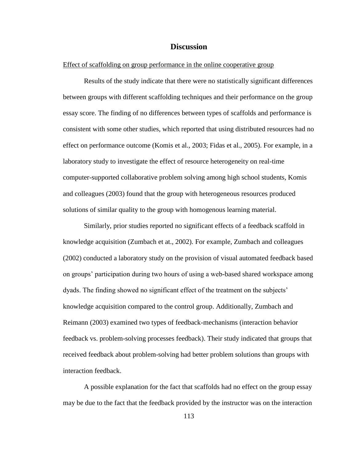#### **Discussion**

#### Effect of scaffolding on group performance in the online cooperative group

Results of the study indicate that there were no statistically significant differences between groups with different scaffolding techniques and their performance on the group essay score. The finding of no differences between types of scaffolds and performance is consistent with some other studies, which reported that using distributed resources had no effect on performance outcome (Komis et al., 2003; Fidas et al., 2005). For example, in a laboratory study to investigate the effect of resource heterogeneity on real-time computer-supported collaborative problem solving among high school students, Komis and colleagues (2003) found that the group with heterogeneous resources produced solutions of similar quality to the group with homogenous learning material.

Similarly, prior studies reported no significant effects of a feedback scaffold in knowledge acquisition (Zumbach et at., 2002). For example, Zumbach and colleagues (2002) conducted a laboratory study on the provision of visual automated feedback based on groups" participation during two hours of using a web-based shared workspace among dyads. The finding showed no significant effect of the treatment on the subjects" knowledge acquisition compared to the control group. Additionally, Zumbach and Reimann (2003) examined two types of feedback-mechanisms (interaction behavior feedback vs. problem-solving processes feedback). Their study indicated that groups that received feedback about problem-solving had better problem solutions than groups with interaction feedback.

A possible explanation for the fact that scaffolds had no effect on the group essay may be due to the fact that the feedback provided by the instructor was on the interaction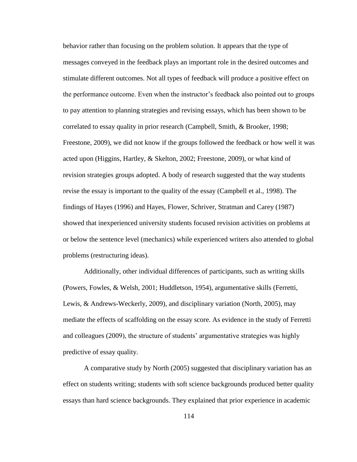behavior rather than focusing on the problem solution. It appears that the type of messages conveyed in the feedback plays an important role in the desired outcomes and stimulate different outcomes. Not all types of feedback will produce a positive effect on the performance outcome. Even when the instructor"s feedback also pointed out to groups to pay attention to planning strategies and revising essays, which has been shown to be correlated to essay quality in prior research (Campbell, Smith, & Brooker, 1998; Freestone, 2009), we did not know if the groups followed the feedback or how well it was acted upon (Higgins, Hartley, & Skelton, 2002; Freestone, 2009), or what kind of revision strategies groups adopted. A body of research suggested that the way students revise the essay is important to the quality of the essay (Campbell et al., 1998). The findings of Hayes (1996) and Hayes, Flower, Schriver, Stratman and Carey (1987) showed that inexperienced university students focused revision activities on problems at or below the sentence level (mechanics) while experienced writers also attended to global problems (restructuring ideas).

Additionally, other individual differences of participants, such as writing skills (Powers, Fowles, & Welsh, 2001; Huddletson, 1954), argumentative skills (Ferretti, Lewis, & Andrews-Weckerly, 2009), and disciplinary variation (North, 2005), may mediate the effects of scaffolding on the essay score. As evidence in the study of Ferretti and colleagues (2009), the structure of students" argumentative strategies was highly predictive of essay quality.

A comparative study by North (2005) suggested that disciplinary variation has an effect on students writing; students with soft science backgrounds produced better quality essays than hard science backgrounds. They explained that prior experience in academic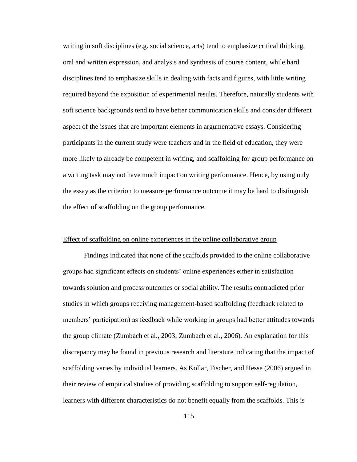writing in soft disciplines (e.g. social science, arts) tend to emphasize critical thinking, oral and written expression, and analysis and synthesis of course content, while hard disciplines tend to emphasize skills in dealing with facts and figures, with little writing required beyond the exposition of experimental results. Therefore, naturally students with soft science backgrounds tend to have better communication skills and consider different aspect of the issues that are important elements in argumentative essays. Considering participants in the current study were teachers and in the field of education, they were more likely to already be competent in writing, and scaffolding for group performance on a writing task may not have much impact on writing performance. Hence, by using only the essay as the criterion to measure performance outcome it may be hard to distinguish the effect of scaffolding on the group performance.

#### Effect of scaffolding on online experiences in the online collaborative group

Findings indicated that none of the scaffolds provided to the online collaborative groups had significant effects on students" online experiences either in satisfaction towards solution and process outcomes or social ability. The results contradicted prior studies in which groups receiving management-based scaffolding (feedback related to members" participation) as feedback while working in groups had better attitudes towards the group climate (Zumbach et al., 2003; Zumbach et al., 2006). An explanation for this discrepancy may be found in previous research and literature indicating that the impact of scaffolding varies by individual learners. As Kollar, Fischer, and Hesse (2006) argued in their review of empirical studies of providing scaffolding to support self-regulation, learners with different characteristics do not benefit equally from the scaffolds. This is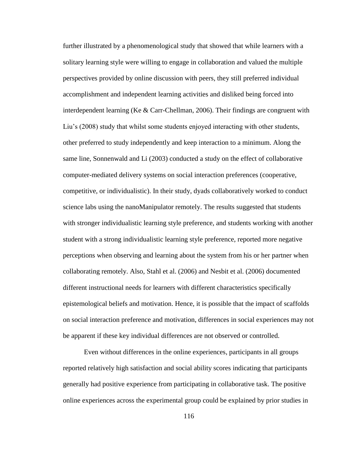further illustrated by a phenomenological study that showed that while learners with a solitary learning style were willing to engage in collaboration and valued the multiple perspectives provided by online discussion with peers, they still preferred individual accomplishment and independent learning activities and disliked being forced into interdependent learning (Ke  $&$  Carr-Chellman, 2006). Their findings are congruent with Liu"s (2008) study that whilst some students enjoyed interacting with other students, other preferred to study independently and keep interaction to a minimum. Along the same line, Sonnenwald and Li (2003) conducted a study on the effect of collaborative computer-mediated delivery systems on social interaction preferences (cooperative, competitive, or individualistic). In their study, dyads collaboratively worked to conduct science labs using the nanoManipulator remotely. The results suggested that students with stronger individualistic learning style preference, and students working with another student with a strong individualistic learning style preference, reported more negative perceptions when observing and learning about the system from his or her partner when collaborating remotely. Also, Stahl et al. (2006) and Nesbit et al. (2006) documented different instructional needs for learners with different characteristics specifically epistemological beliefs and motivation. Hence, it is possible that the impact of scaffolds on social interaction preference and motivation, differences in social experiences may not be apparent if these key individual differences are not observed or controlled.

Even without differences in the online experiences, participants in all groups reported relatively high satisfaction and social ability scores indicating that participants generally had positive experience from participating in collaborative task. The positive online experiences across the experimental group could be explained by prior studies in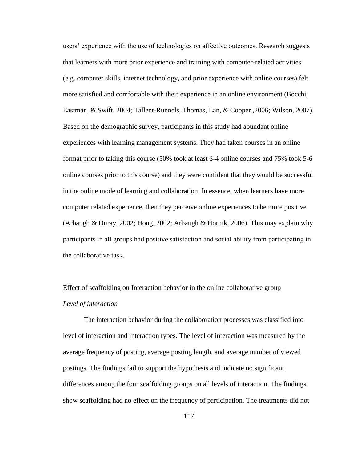users" experience with the use of technologies on affective outcomes. Research suggests that learners with more prior experience and training with computer-related activities (e.g. computer skills, internet technology, and prior experience with online courses) felt more satisfied and comfortable with their experience in an online environment (Bocchi, Eastman, & Swift, 2004; Tallent-Runnels, Thomas, Lan, & Cooper ,2006; Wilson, 2007). Based on the demographic survey, participants in this study had abundant online experiences with learning management systems. They had taken courses in an online format prior to taking this course (50% took at least 3-4 online courses and 75% took 5-6 online courses prior to this course) and they were confident that they would be successful in the online mode of learning and collaboration. In essence, when learners have more computer related experience, then they perceive online experiences to be more positive (Arbaugh & Duray, 2002; Hong, 2002; Arbaugh & Hornik, 2006). This may explain why participants in all groups had positive satisfaction and social ability from participating in the collaborative task.

# Effect of scaffolding on Interaction behavior in the online collaborative group *Level of interaction*

The interaction behavior during the collaboration processes was classified into level of interaction and interaction types. The level of interaction was measured by the average frequency of posting, average posting length, and average number of viewed postings. The findings fail to support the hypothesis and indicate no significant differences among the four scaffolding groups on all levels of interaction. The findings show scaffolding had no effect on the frequency of participation. The treatments did not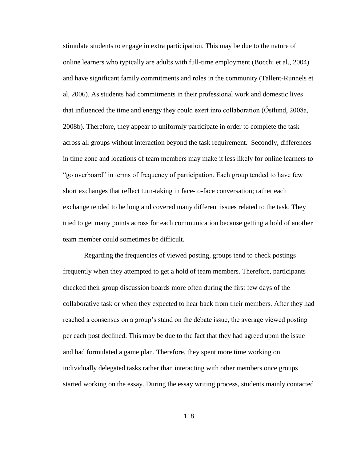stimulate students to engage in extra participation. This may be due to the nature of online learners who typically are adults with full-time employment (Bocchi et al., 2004) and have significant family commitments and roles in the community (Tallent-Runnels et al, 2006). As students had commitments in their professional work and domestic lives that influenced the time and energy they could exert into collaboration (Őstlund, 2008a, 2008b). Therefore, they appear to uniformly participate in order to complete the task across all groups without interaction beyond the task requirement. Secondly, differences in time zone and locations of team members may make it less likely for online learners to "go overboard" in terms of frequency of participation. Each group tended to have few short exchanges that reflect turn-taking in face-to-face conversation; rather each exchange tended to be long and covered many different issues related to the task. They tried to get many points across for each communication because getting a hold of another team member could sometimes be difficult.

Regarding the frequencies of viewed posting, groups tend to check postings frequently when they attempted to get a hold of team members. Therefore, participants checked their group discussion boards more often during the first few days of the collaborative task or when they expected to hear back from their members. After they had reached a consensus on a group"s stand on the debate issue, the average viewed posting per each post declined. This may be due to the fact that they had agreed upon the issue and had formulated a game plan. Therefore, they spent more time working on individually delegated tasks rather than interacting with other members once groups started working on the essay. During the essay writing process, students mainly contacted

118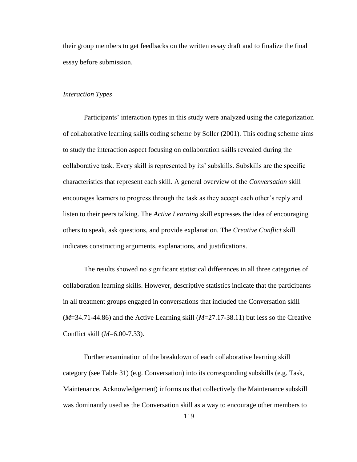their group members to get feedbacks on the written essay draft and to finalize the final essay before submission.

#### *Interaction Types*

Participants' interaction types in this study were analyzed using the categorization of collaborative learning skills coding scheme by Soller (2001). This coding scheme aims to study the interaction aspect focusing on collaboration skills revealed during the collaborative task. Every skill is represented by its" subskills. Subskills are the specific characteristics that represent each skill. A general overview of the *Conversation* skill encourages learners to progress through the task as they accept each other"s reply and listen to their peers talking. The *Active Learning* skill expresses the idea of encouraging others to speak, ask questions, and provide explanation. The *Creative Conflict* skill indicates constructing arguments, explanations, and justifications.

The results showed no significant statistical differences in all three categories of collaboration learning skills. However, descriptive statistics indicate that the participants in all treatment groups engaged in conversations that included the Conversation skill (*M*=34.71-44.86) and the Active Learning skill (*M*=27.17-38.11) but less so the Creative Conflict skill (*M*=6.00-7.33).

Further examination of the breakdown of each collaborative learning skill category (see Table 31) (e.g. Conversation) into its corresponding subskills (e.g. Task, Maintenance, Acknowledgement) informs us that collectively the Maintenance subskill was dominantly used as the Conversation skill as a way to encourage other members to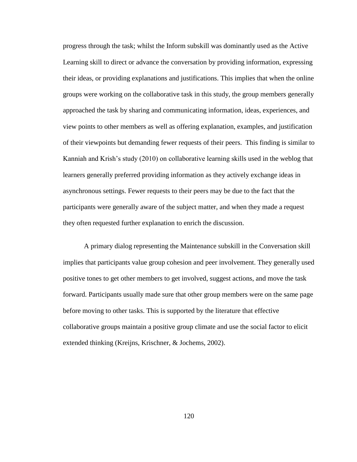progress through the task; whilst the Inform subskill was dominantly used as the Active Learning skill to direct or advance the conversation by providing information, expressing their ideas, or providing explanations and justifications. This implies that when the online groups were working on the collaborative task in this study, the group members generally approached the task by sharing and communicating information, ideas, experiences, and view points to other members as well as offering explanation, examples, and justification of their viewpoints but demanding fewer requests of their peers. This finding is similar to Kanniah and Krish"s study (2010) on collaborative learning skills used in the weblog that learners generally preferred providing information as they actively exchange ideas in asynchronous settings. Fewer requests to their peers may be due to the fact that the participants were generally aware of the subject matter, and when they made a request they often requested further explanation to enrich the discussion.

A primary dialog representing the Maintenance subskill in the Conversation skill implies that participants value group cohesion and peer involvement. They generally used positive tones to get other members to get involved, suggest actions, and move the task forward. Participants usually made sure that other group members were on the same page before moving to other tasks. This is supported by the literature that effective collaborative groups maintain a positive group climate and use the social factor to elicit extended thinking (Kreijns, Krischner, & Jochems, 2002).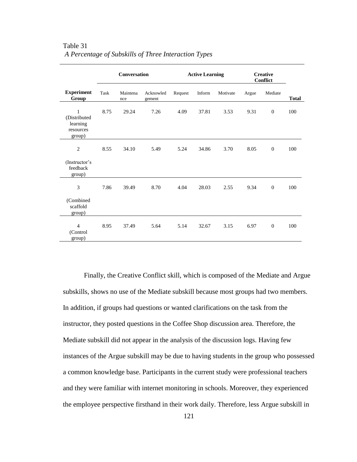|                                                                 | <b>Conversation</b> |                 |                     | <b>Creative</b><br><b>Active Learning</b><br>Conflict |        |          |       |              |              |
|-----------------------------------------------------------------|---------------------|-----------------|---------------------|-------------------------------------------------------|--------|----------|-------|--------------|--------------|
| <b>Experiment</b><br>Group                                      | Task                | Maintena<br>nce | Acknowled<br>gement | Request                                               | Inform | Motivate | Argue | Mediate      | <b>Total</b> |
| $\mathbf{1}$<br>(Distributed<br>learning<br>resources<br>group) | 8.75                | 29.24           | 7.26                | 4.09                                                  | 37.81  | 3.53     | 9.31  | $\theta$     | 100          |
| $\overline{2}$                                                  | 8.55                | 34.10           | 5.49                | 5.24                                                  | 34.86  | 3.70     | 8.05  | $\mathbf{0}$ | 100          |
| (Instructor's<br>feedback<br>group)                             |                     |                 |                     |                                                       |        |          |       |              |              |
| 3                                                               | 7.86                | 39.49           | 8.70                | 4.04                                                  | 28.03  | 2.55     | 9.34  | $\theta$     | 100          |
| (Combined<br>scaffold<br>group)                                 |                     |                 |                     |                                                       |        |          |       |              |              |
| $\overline{4}$<br>(Control<br>group)                            | 8.95                | 37.49           | 5.64                | 5.14                                                  | 32.67  | 3.15     | 6.97  | $\theta$     | 100          |

# Table 31 *A Percentage of Subskills of Three Interaction Types*

Finally, the Creative Conflict skill, which is composed of the Mediate and Argue subskills, shows no use of the Mediate subskill because most groups had two members. In addition, if groups had questions or wanted clarifications on the task from the instructor, they posted questions in the Coffee Shop discussion area. Therefore, the Mediate subskill did not appear in the analysis of the discussion logs. Having few instances of the Argue subskill may be due to having students in the group who possessed a common knowledge base. Participants in the current study were professional teachers and they were familiar with internet monitoring in schools. Moreover, they experienced the employee perspective firsthand in their work daily. Therefore, less Argue subskill in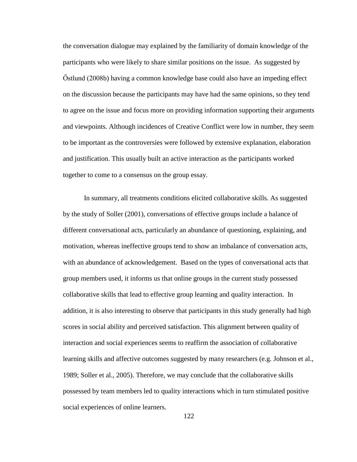the conversation dialogue may explained by the familiarity of domain knowledge of the participants who were likely to share similar positions on the issue. As suggested by Őstlund (2008b) having a common knowledge base could also have an impeding effect on the discussion because the participants may have had the same opinions, so they tend to agree on the issue and focus more on providing information supporting their arguments and viewpoints. Although incidences of Creative Conflict were low in number, they seem to be important as the controversies were followed by extensive explanation, elaboration and justification. This usually built an active interaction as the participants worked together to come to a consensus on the group essay.

In summary, all treatments conditions elicited collaborative skills. As suggested by the study of Soller (2001), conversations of effective groups include a balance of different conversational acts, particularly an abundance of questioning, explaining, and motivation, whereas ineffective groups tend to show an imbalance of conversation acts, with an abundance of acknowledgement. Based on the types of conversational acts that group members used, it informs us that online groups in the current study possessed collaborative skills that lead to effective group learning and quality interaction. In addition, it is also interesting to observe that participants in this study generally had high scores in social ability and perceived satisfaction. This alignment between quality of interaction and social experiences seems to reaffirm the association of collaborative learning skills and affective outcomes suggested by many researchers (e.g. Johnson et al., 1989; Soller et al., 2005). Therefore, we may conclude that the collaborative skills possessed by team members led to quality interactions which in turn stimulated positive social experiences of online learners.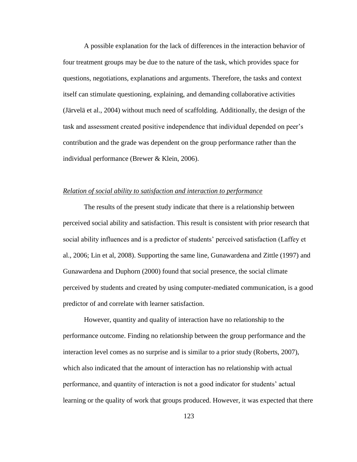A possible explanation for the lack of differences in the interaction behavior of four treatment groups may be due to the nature of the task, which provides space for questions, negotiations, explanations and arguments. Therefore, the tasks and context itself can stimulate questioning, explaining, and demanding collaborative activities (Järvelä et al., 2004) without much need of scaffolding. Additionally, the design of the task and assessment created positive independence that individual depended on peer"s contribution and the grade was dependent on the group performance rather than the individual performance (Brewer & Klein, 2006).

#### *Relation of social ability to satisfaction and interaction to performance*

The results of the present study indicate that there is a relationship between perceived social ability and satisfaction. This result is consistent with prior research that social ability influences and is a predictor of students' perceived satisfaction (Laffey et al., 2006; Lin et al, 2008). Supporting the same line, Gunawardena and Zittle (1997) and Gunawardena and Duphorn (2000) found that social presence, the social climate perceived by students and created by using computer-mediated communication, is a good predictor of and correlate with learner satisfaction.

However, quantity and quality of interaction have no relationship to the performance outcome. Finding no relationship between the group performance and the interaction level comes as no surprise and is similar to a prior study (Roberts, 2007), which also indicated that the amount of interaction has no relationship with actual performance, and quantity of interaction is not a good indicator for students" actual learning or the quality of work that groups produced. However, it was expected that there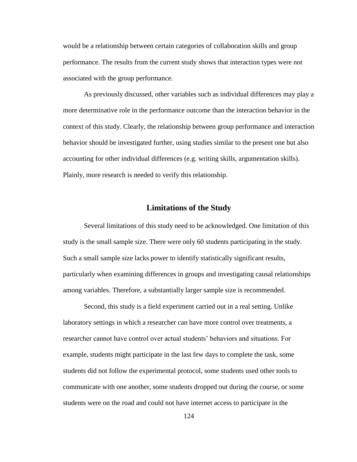would be a relationship between certain categories of collaboration skills and group performance. The results from the current study shows that interaction types were not associated with the group performance.

As previously discussed, other variables such as individual differences may play a more determinative role in the performance outcome than the interaction behavior in the context of this study. Clearly, the relationship between group performance and interaction behavior should be investigated further, using studies similar to the present one but also accounting for other individual differences (e.g. writing skills, argumentation skills). Plainly, more research is needed to verify this relationship.

# **Limitations of the Study**

Several limitations of this study need to be acknowledged. One limitation of this study is the small sample size. There were only 60 students participating in the study. Such a small sample size lacks power to identify statistically significant results, particularly when examining differences in groups and investigating causal relationships among variables. Therefore, a substantially larger sample size is recommended.

Second, this study is a field experiment carried out in a real setting. Unlike laboratory settings in which a researcher can have more control over treatments, a researcher cannot have control over actual students" behaviors and situations. For example, students might participate in the last few days to complete the task, some students did not follow the experimental protocol, some students used other tools to communicate with one another, some students dropped out during the course, or some students were on the road and could not have internet access to participate in the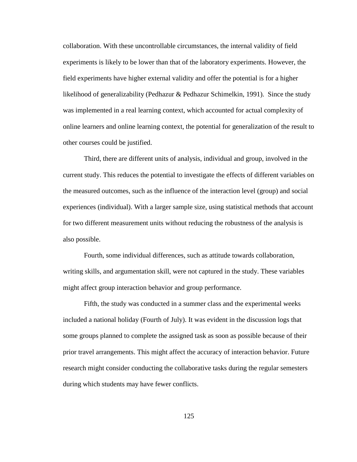collaboration. With these uncontrollable circumstances, the internal validity of field experiments is likely to be lower than that of the laboratory experiments. However, the field experiments have higher external validity and offer the potential is for a higher likelihood of generalizability (Pedhazur & Pedhazur Schimelkin, 1991). Since the study was implemented in a real learning context, which accounted for actual complexity of online learners and online learning context, the potential for generalization of the result to other courses could be justified.

Third, there are different units of analysis, individual and group, involved in the current study. This reduces the potential to investigate the effects of different variables on the measured outcomes, such as the influence of the interaction level (group) and social experiences (individual). With a larger sample size, using statistical methods that account for two different measurement units without reducing the robustness of the analysis is also possible.

Fourth, some individual differences, such as attitude towards collaboration, writing skills, and argumentation skill, were not captured in the study. These variables might affect group interaction behavior and group performance.

Fifth, the study was conducted in a summer class and the experimental weeks included a national holiday (Fourth of July). It was evident in the discussion logs that some groups planned to complete the assigned task as soon as possible because of their prior travel arrangements. This might affect the accuracy of interaction behavior. Future research might consider conducting the collaborative tasks during the regular semesters during which students may have fewer conflicts.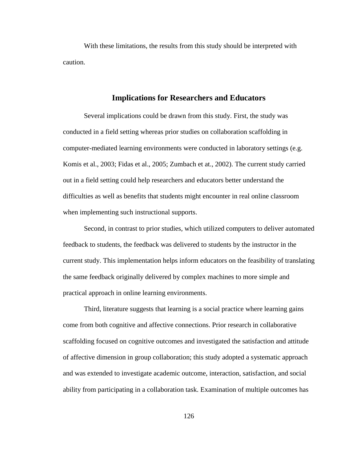With these limitations, the results from this study should be interpreted with caution.

#### **Implications for Researchers and Educators**

Several implications could be drawn from this study. First, the study was conducted in a field setting whereas prior studies on collaboration scaffolding in computer-mediated learning environments were conducted in laboratory settings (e.g. Komis et al., 2003; Fidas et al., 2005; Zumbach et at., 2002). The current study carried out in a field setting could help researchers and educators better understand the difficulties as well as benefits that students might encounter in real online classroom when implementing such instructional supports.

Second, in contrast to prior studies, which utilized computers to deliver automated feedback to students, the feedback was delivered to students by the instructor in the current study. This implementation helps inform educators on the feasibility of translating the same feedback originally delivered by complex machines to more simple and practical approach in online learning environments.

Third, literature suggests that learning is a social practice where learning gains come from both cognitive and affective connections. Prior research in collaborative scaffolding focused on cognitive outcomes and investigated the satisfaction and attitude of affective dimension in group collaboration; this study adopted a systematic approach and was extended to investigate academic outcome, interaction, satisfaction, and social ability from participating in a collaboration task. Examination of multiple outcomes has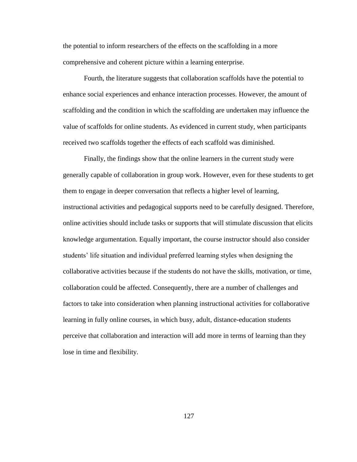the potential to inform researchers of the effects on the scaffolding in a more comprehensive and coherent picture within a learning enterprise.

Fourth, the literature suggests that collaboration scaffolds have the potential to enhance social experiences and enhance interaction processes. However, the amount of scaffolding and the condition in which the scaffolding are undertaken may influence the value of scaffolds for online students. As evidenced in current study, when participants received two scaffolds together the effects of each scaffold was diminished.

Finally, the findings show that the online learners in the current study were generally capable of collaboration in group work. However, even for these students to get them to engage in deeper conversation that reflects a higher level of learning, instructional activities and pedagogical supports need to be carefully designed. Therefore, online activities should include tasks or supports that will stimulate discussion that elicits knowledge argumentation. Equally important, the course instructor should also consider students" life situation and individual preferred learning styles when designing the collaborative activities because if the students do not have the skills, motivation, or time, collaboration could be affected. Consequently, there are a number of challenges and factors to take into consideration when planning instructional activities for collaborative learning in fully online courses, in which busy, adult, distance-education students perceive that collaboration and interaction will add more in terms of learning than they lose in time and flexibility.

127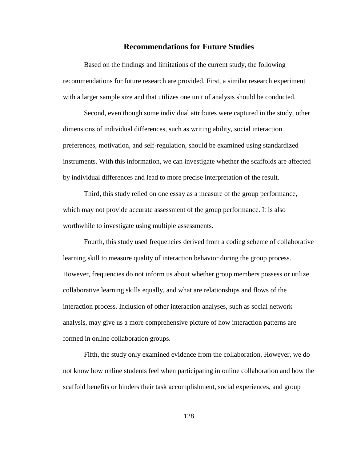# **Recommendations for Future Studies**

Based on the findings and limitations of the current study, the following recommendations for future research are provided. First, a similar research experiment with a larger sample size and that utilizes one unit of analysis should be conducted.

Second, even though some individual attributes were captured in the study, other dimensions of individual differences, such as writing ability, social interaction preferences, motivation, and self-regulation, should be examined using standardized instruments. With this information, we can investigate whether the scaffolds are affected by individual differences and lead to more precise interpretation of the result.

Third, this study relied on one essay as a measure of the group performance, which may not provide accurate assessment of the group performance. It is also worthwhile to investigate using multiple assessments.

Fourth, this study used frequencies derived from a coding scheme of collaborative learning skill to measure quality of interaction behavior during the group process. However, frequencies do not inform us about whether group members possess or utilize collaborative learning skills equally, and what are relationships and flows of the interaction process. Inclusion of other interaction analyses, such as social network analysis, may give us a more comprehensive picture of how interaction patterns are formed in online collaboration groups.

Fifth, the study only examined evidence from the collaboration. However, we do not know how online students feel when participating in online collaboration and how the scaffold benefits or hinders their task accomplishment, social experiences, and group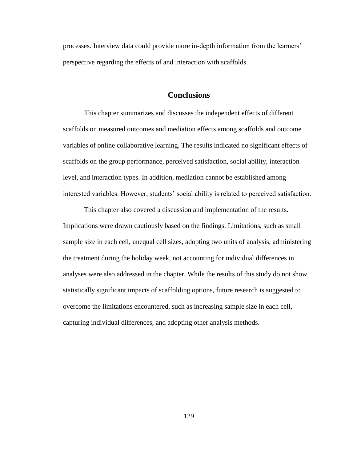processes. Interview data could provide more in-depth information from the learners" perspective regarding the effects of and interaction with scaffolds.

# **Conclusions**

This chapter summarizes and discusses the independent effects of different scaffolds on measured outcomes and mediation effects among scaffolds and outcome variables of online collaborative learning. The results indicated no significant effects of scaffolds on the group performance, perceived satisfaction, social ability, interaction level, and interaction types. In addition, mediation cannot be established among interested variables. However, students" social ability is related to perceived satisfaction.

This chapter also covered a discussion and implementation of the results. Implications were drawn cautiously based on the findings. Limitations, such as small sample size in each cell, unequal cell sizes, adopting two units of analysis, administering the treatment during the holiday week, not accounting for individual differences in analyses were also addressed in the chapter. While the results of this study do not show statistically significant impacts of scaffolding options, future research is suggested to overcome the limitations encountered, such as increasing sample size in each cell, capturing individual differences, and adopting other analysis methods.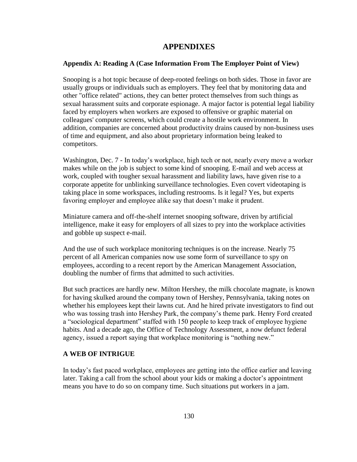# **APPENDIXES**

# **Appendix A: Reading A (Case Information From The Employer Point of View)**

Snooping is a hot topic because of deep-rooted feelings on both sides. Those in favor are usually groups or individuals such as employers. They feel that by monitoring data and other "office related" actions, they can better protect themselves from such things as sexual harassment suits and corporate espionage. A major factor is potential legal liability faced by employers when workers are exposed to offensive or graphic material on colleagues' computer screens, which could create a hostile work environment. In addition, companies are concerned about productivity drains caused by non-business uses of time and equipment, and also about proprietary information being leaked to competitors.

Washington, Dec. 7 - In today's workplace, high tech or not, nearly every move a worker makes while on the job is subject to some kind of snooping. E-mail and web access at work, coupled with tougher sexual harassment and liability laws, have given rise to a corporate appetite for unblinking surveillance technologies. Even covert videotaping is taking place in some workspaces, including restrooms. Is it legal? Yes, but experts favoring employer and employee alike say that doesn't make it prudent.

Miniature camera and off-the-shelf internet snooping software, driven by artificial intelligence, make it easy for employers of all sizes to pry into the workplace activities and gobble up suspect e-mail.

And the use of such workplace monitoring techniques is on the increase. Nearly 75 percent of all American companies now use some form of surveillance to spy on employees, according to a recent report by the American Management Association, doubling the number of firms that admitted to such activities.

But such practices are hardly new. Milton Hershey, the milk chocolate magnate, is known for having skulked around the company town of Hershey, Pennsylvania, taking notes on whether his employees kept their lawns cut. And he hired private investigators to find out who was tossing trash into Hershey Park, the company"s theme park. Henry Ford created a "sociological department" staffed with 150 people to keep track of employee hygiene habits. And a decade ago, the Office of Technology Assessment, a now defunct federal agency, issued a report saying that workplace monitoring is "nothing new."

# **A WEB OF INTRIGUE**

In today"s fast paced workplace, employees are getting into the office earlier and leaving later. Taking a call from the school about your kids or making a doctor"s appointment means you have to do so on company time. Such situations put workers in a jam.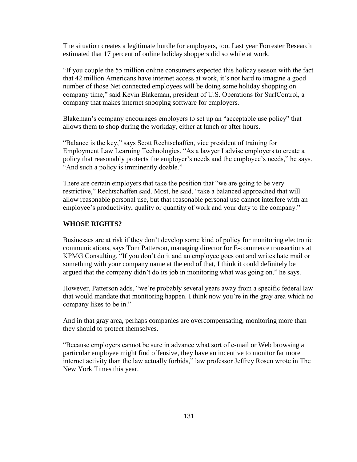The situation creates a legitimate hurdle for employers, too. Last year Forrester Research estimated that 17 percent of online holiday shoppers did so while at work.

"If you couple the 55 million online consumers expected this holiday season with the fact that 42 million Americans have internet access at work, it"s not hard to imagine a good number of those Net connected employees will be doing some holiday shopping on company time," said Kevin Blakeman, president of U.S. Operations for SurfControl, a company that makes internet snooping software for employers.

Blakeman"s company encourages employers to set up an "acceptable use policy" that allows them to shop during the workday, either at lunch or after hours.

"Balance is the key," says Scott Rechtschaffen, vice president of training for Employment Law Learning Technologies. "As a lawyer I advise employers to create a policy that reasonably protects the employer's needs and the employee's needs," he says. "And such a policy is imminently doable."

There are certain employers that take the position that "we are going to be very restrictive," Rechtschaffen said. Most, he said, "take a balanced approached that will allow reasonable personal use, but that reasonable personal use cannot interfere with an employee's productivity, quality or quantity of work and your duty to the company."

#### **WHOSE RIGHTS?**

Businesses are at risk if they don"t develop some kind of policy for monitoring electronic communications, says Tom Patterson, managing director for E-commerce transactions at KPMG Consulting. "If you don"t do it and an employee goes out and writes hate mail or something with your company name at the end of that, I think it could definitely be argued that the company didn"t do its job in monitoring what was going on," he says.

However, Patterson adds, "we're probably several years away from a specific federal law that would mandate that monitoring happen. I think now you"re in the gray area which no company likes to be in."

And in that gray area, perhaps companies are overcompensating, monitoring more than they should to protect themselves.

"Because employers cannot be sure in advance what sort of e-mail or Web browsing a particular employee might find offensive, they have an incentive to monitor far more internet activity than the law actually forbids," law professor Jeffrey Rosen wrote in The New York Times this year.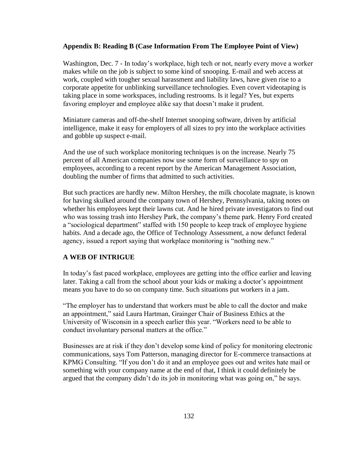## **Appendix B: Reading B (Case Information From The Employee Point of View)**

Washington, Dec. 7 - In today"s workplace, high tech or not, nearly every move a worker makes while on the job is subject to some kind of snooping. E-mail and web access at work, coupled with tougher sexual harassment and liability laws, have given rise to a corporate appetite for unblinking surveillance technologies. Even covert videotaping is taking place in some workspaces, including restrooms. Is it legal? Yes, but experts favoring employer and employee alike say that doesn't make it prudent.

Miniature cameras and off-the-shelf Internet snooping software, driven by artificial intelligence, make it easy for employers of all sizes to pry into the workplace activities and gobble up suspect e-mail.

And the use of such workplace monitoring techniques is on the increase. Nearly 75 percent of all American companies now use some form of surveillance to spy on employees, according to a recent report by the American Management Association, doubling the number of firms that admitted to such activities.

But such practices are hardly new. Milton Hershey, the milk chocolate magnate, is known for having skulked around the company town of Hershey, Pennsylvania, taking notes on whether his employees kept their lawns cut. And he hired private investigators to find out who was tossing trash into Hershey Park, the company's theme park. Henry Ford created a "sociological department" staffed with 150 people to keep track of employee hygiene habits. And a decade ago, the Office of Technology Assessment, a now defunct federal agency, issued a report saying that workplace monitoring is "nothing new."

# **A WEB OF INTRIGUE**

In today"s fast paced workplace, employees are getting into the office earlier and leaving later. Taking a call from the school about your kids or making a doctor's appointment means you have to do so on company time. Such situations put workers in a jam.

"The employer has to understand that workers must be able to call the doctor and make an appointment," said Laura Hartman, Grainger Chair of Business Ethics at the University of Wisconsin in a speech earlier this year. "Workers need to be able to conduct involuntary personal matters at the office."

Businesses are at risk if they don"t develop some kind of policy for monitoring electronic communications, says Tom Patterson, managing director for E-commerce transactions at KPMG Consulting. "If you don"t do it and an employee goes out and writes hate mail or something with your company name at the end of that, I think it could definitely be argued that the company didn"t do its job in monitoring what was going on," he says.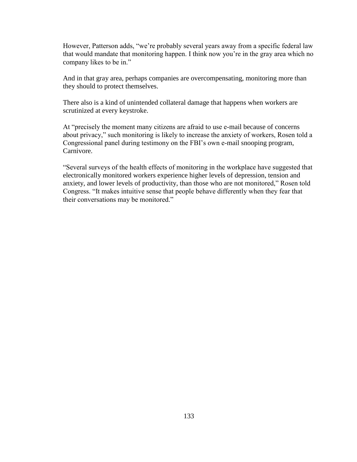However, Patterson adds, "we"re probably several years away from a specific federal law that would mandate that monitoring happen. I think now you"re in the gray area which no company likes to be in."

And in that gray area, perhaps companies are overcompensating, monitoring more than they should to protect themselves.

There also is a kind of unintended collateral damage that happens when workers are scrutinized at every keystroke.

At "precisely the moment many citizens are afraid to use e-mail because of concerns about privacy," such monitoring is likely to increase the anxiety of workers, Rosen told a Congressional panel during testimony on the FBI"s own e-mail snooping program, Carnivore.

"Several surveys of the health effects of monitoring in the workplace have suggested that electronically monitored workers experience higher levels of depression, tension and anxiety, and lower levels of productivity, than those who are not monitored," Rosen told Congress. "It makes intuitive sense that people behave differently when they fear that their conversations may be monitored."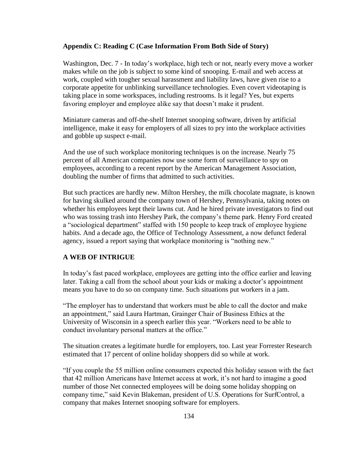### **Appendix C: Reading C (Case Information From Both Side of Story)**

Washington, Dec. 7 - In today"s workplace, high tech or not, nearly every move a worker makes while on the job is subject to some kind of snooping. E-mail and web access at work, coupled with tougher sexual harassment and liability laws, have given rise to a corporate appetite for unblinking surveillance technologies. Even covert videotaping is taking place in some workspaces, including restrooms. Is it legal? Yes, but experts favoring employer and employee alike say that doesn"t make it prudent.

Miniature cameras and off-the-shelf Internet snooping software, driven by artificial intelligence, make it easy for employers of all sizes to pry into the workplace activities and gobble up suspect e-mail.

And the use of such workplace monitoring techniques is on the increase. Nearly 75 percent of all American companies now use some form of surveillance to spy on employees, according to a recent report by the American Management Association, doubling the number of firms that admitted to such activities.

But such practices are hardly new. Milton Hershey, the milk chocolate magnate, is known for having skulked around the company town of Hershey, Pennsylvania, taking notes on whether his employees kept their lawns cut. And he hired private investigators to find out who was tossing trash into Hershey Park, the company's theme park. Henry Ford created a "sociological department" staffed with 150 people to keep track of employee hygiene habits. And a decade ago, the Office of Technology Assessment, a now defunct federal agency, issued a report saying that workplace monitoring is "nothing new."

# **A WEB OF INTRIGUE**

In today"s fast paced workplace, employees are getting into the office earlier and leaving later. Taking a call from the school about your kids or making a doctor's appointment means you have to do so on company time. Such situations put workers in a jam.

"The employer has to understand that workers must be able to call the doctor and make an appointment," said Laura Hartman, Grainger Chair of Business Ethics at the University of Wisconsin in a speech earlier this year. "Workers need to be able to conduct involuntary personal matters at the office."

The situation creates a legitimate hurdle for employers, too. Last year Forrester Research estimated that 17 percent of online holiday shoppers did so while at work.

"If you couple the 55 million online consumers expected this holiday season with the fact that 42 million Americans have Internet access at work, it"s not hard to imagine a good number of those Net connected employees will be doing some holiday shopping on company time," said Kevin Blakeman, president of U.S. Operations for SurfControl, a company that makes Internet snooping software for employers.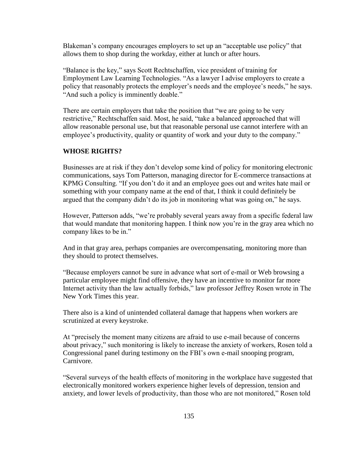Blakeman"s company encourages employers to set up an "acceptable use policy" that allows them to shop during the workday, either at lunch or after hours.

"Balance is the key," says Scott Rechtschaffen, vice president of training for Employment Law Learning Technologies. "As a lawyer I advise employers to create a policy that reasonably protects the employer's needs and the employee's needs," he says. "And such a policy is imminently doable."

There are certain employers that take the position that "we are going to be very restrictive," Rechtschaffen said. Most, he said, "take a balanced approached that will allow reasonable personal use, but that reasonable personal use cannot interfere with an employee's productivity, quality or quantity of work and your duty to the company."

#### **WHOSE RIGHTS?**

Businesses are at risk if they don"t develop some kind of policy for monitoring electronic communications, says Tom Patterson, managing director for E-commerce transactions at KPMG Consulting. "If you don"t do it and an employee goes out and writes hate mail or something with your company name at the end of that, I think it could definitely be argued that the company didn"t do its job in monitoring what was going on," he says.

However, Patterson adds, "we"re probably several years away from a specific federal law that would mandate that monitoring happen. I think now you"re in the gray area which no company likes to be in."

And in that gray area, perhaps companies are overcompensating, monitoring more than they should to protect themselves.

"Because employers cannot be sure in advance what sort of e-mail or Web browsing a particular employee might find offensive, they have an incentive to monitor far more Internet activity than the law actually forbids," law professor Jeffrey Rosen wrote in The New York Times this year.

There also is a kind of unintended collateral damage that happens when workers are scrutinized at every keystroke.

At "precisely the moment many citizens are afraid to use e-mail because of concerns about privacy," such monitoring is likely to increase the anxiety of workers, Rosen told a Congressional panel during testimony on the FBI"s own e-mail snooping program, Carnivore.

"Several surveys of the health effects of monitoring in the workplace have suggested that electronically monitored workers experience higher levels of depression, tension and anxiety, and lower levels of productivity, than those who are not monitored," Rosen told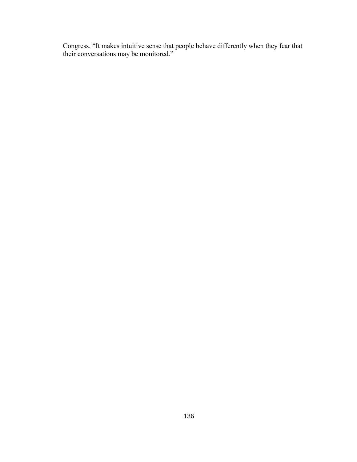Congress. "It makes intuitive sense that people behave differently when they fear that their conversations may be monitored."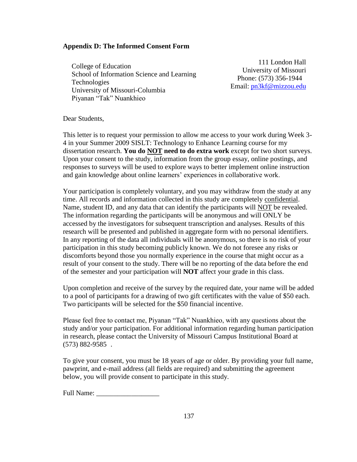# **Appendix D: The Informed Consent Form**

College of Education School of Information Science and Learning Technologies University of Missouri-Columbia Piyanan "Tak" Nuankhieo

111 London Hall University of Missouri Phone: (573) 356-1944 Email: [pn3kf@mizzou.edu](mailto:pn3kf@mizzou.edu)

Dear Students,

This letter is to request your permission to allow me access to your work during Week 3- 4 in your Summer 2009 SISLT: Technology to Enhance Learning course for my dissertation research. **You do NOT need to do extra work** except for two short surveys. Upon your consent to the study, information from the group essay, online postings, and responses to surveys will be used to explore ways to better implement online instruction and gain knowledge about online learners' experiences in collaborative work.

Your participation is completely voluntary, and you may withdraw from the study at any time. All records and information collected in this study are completely confidential. Name, student ID, and any data that can identify the participants will NOT be revealed. The information regarding the participants will be anonymous and will ONLY be accessed by the investigators for subsequent transcription and analyses. Results of this research will be presented and published in aggregate form with no personal identifiers. In any reporting of the data all individuals will be anonymous, so there is no risk of your participation in this study becoming publicly known. We do not foresee any risks or discomforts beyond those you normally experience in the course that might occur as a result of your consent to the study. There will be no reporting of the data before the end of the semester and your participation will **NOT** affect your grade in this class.

Upon completion and receive of the survey by the required date, your name will be added to a pool of participants for a drawing of two gift certificates with the value of \$50 each. Two participants will be selected for the \$50 financial incentive.

Please feel free to contact me, Piyanan "Tak" Nuankhieo, with any questions about the study and/or your participation. For additional information regarding human participation in research, please contact the University of Missouri Campus Institutional Board at (573) 882-9585 .

To give your consent, you must be 18 years of age or older. By providing your full name, pawprint, and e-mail address (all fields are required) and submitting the agreement below, you will provide consent to participate in this study.

Full Name: \_\_\_\_\_\_\_\_\_\_\_\_\_\_\_\_\_\_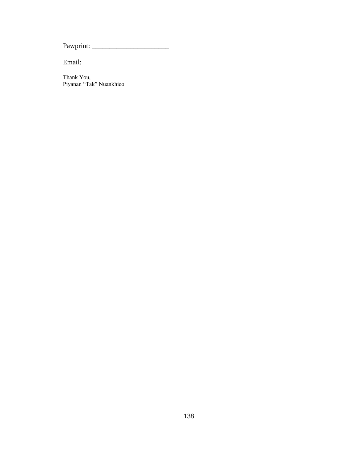Pawprint: \_\_\_\_\_\_\_\_\_\_\_\_\_\_\_\_\_\_\_\_\_\_

Email: \_\_\_\_\_\_\_\_\_\_\_\_\_\_\_\_\_\_

Thank You, Piyanan "Tak" Nuankhieo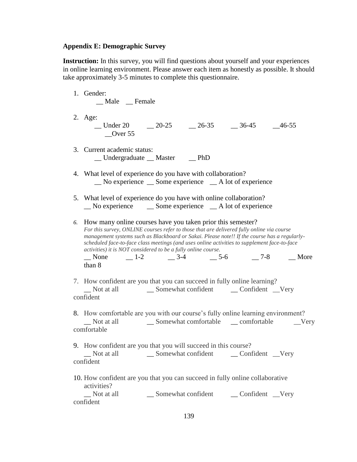#### **Appendix E: Demographic Survey**

**Instruction:** In this survey, you will find questions about yourself and your experiences in online learning environment. Please answer each item as honestly as possible. It should take approximately 3-5 minutes to complete this questionnaire.

1. Gender: \_\_ Male \_\_ Female 2. Age: \_\_ Under 20 \_\_ 20-25 \_\_ 26-35 \_\_ 36-45 \_\_46-55 Over  $55$ 3. Current academic status: \_\_ Undergraduate \_\_ Master \_\_ PhD 4. What level of experience do you have with collaboration? \_\_ No experience \_\_ Some experience \_\_ A lot of experience 5. What level of experience do you have with online collaboration? \_\_ No experience \_\_ Some experience \_\_ A lot of experience *6.* How many online courses have you taken prior this semester? *For this survey, ONLINE courses refer to those that are delivered fully online via course management systems such as Blackboard or Sakai. Please note!! If the course has a regularlyscheduled face-to-face class meetings (and uses online activities to supplement face-to-face activities) it is NOT considered to be a fully online course.*  $\frac{\text{None}}{\text{None}}$   $\frac{\text{1-2}}{\text{1-2}}$   $\frac{\text{3-4}}{\text{1-3}}$   $\frac{\text{5-6}}{\text{1-2}}$   $\frac{\text{7-8}}{\text{1-2}}$   $\frac{\text{More}}{\text{1-2}}$ than 8 7. How confident are you that you can succeed in fully online learning? \_\_ Not at all \_\_ Somewhat confident \_\_ Confident \_\_Very confident 8. How comfortable are you with our course"s fully online learning environment? \_\_ Not at all \_\_ Somewhat comfortable \_\_ comfortable \_\_Very comfortable 9. How confident are you that you will succeed in this course? \_\_ Not at all \_\_ Somewhat confident \_\_ Confident \_\_Very confident 10. How confident are you that you can succeed in fully online collaborative activities? \_\_ Not at all \_\_ Somewhat confident \_\_ Confident \_\_Very confident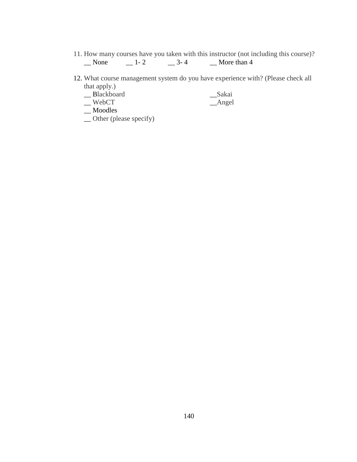- 11. How many courses have you taken with this instructor (not including this course)?  $\frac{1}{2}$  None  $\frac{1-2}{2}$   $\frac{3-4}{2}$   $\frac{1}{2}$  More than 4
- 12. What course management system do you have experience with? (Please check all that apply.)
	- \_\_ Blackboard \_\_Sakai
	- \_\_ WebCT \_\_Angel
	- \_\_ Moodles
	- \_\_ Other (please specify)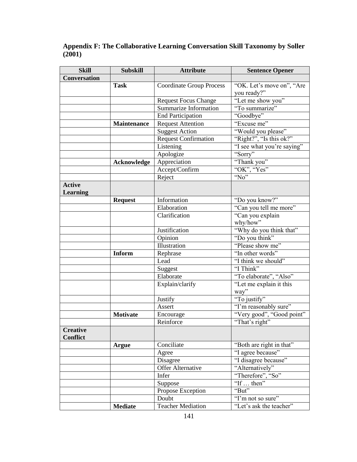# **Appendix F: The Collaborative Learning Conversation Skill Taxonomy by Soller (2001)**

| <b>Skill</b>                       | <b>Subskill</b>    | <b>Attribute</b>                | <b>Sentence Opener</b>     |
|------------------------------------|--------------------|---------------------------------|----------------------------|
| <b>Conversation</b>                |                    |                                 |                            |
|                                    | <b>Task</b>        | <b>Coordinate Group Process</b> | "OK. Let's move on", "Are  |
|                                    |                    |                                 | you ready?"                |
|                                    |                    | <b>Request Focus Change</b>     | "Let me show you"          |
|                                    |                    | Summarize Information           | "To summarize"             |
|                                    |                    | <b>End Participation</b>        | "Goodbye"                  |
|                                    | <b>Maintenance</b> | <b>Request Attention</b>        | "Excuse me"                |
|                                    |                    | <b>Suggest Action</b>           | "Would you please"         |
|                                    |                    | <b>Request Confirmation</b>     | "Right?", "Is this ok?"    |
|                                    |                    | Listening                       | "I see what you're saying" |
|                                    |                    | Apologize                       | "Sorry"                    |
|                                    | <b>Acknowledge</b> | Appreciation                    | "Thank you"                |
|                                    |                    | Accept/Confirm                  | "OK", "Yes"                |
|                                    |                    | Reject                          | " $\overline{No}$ "        |
| <b>Active</b><br><b>Learning</b>   |                    |                                 |                            |
|                                    | <b>Request</b>     | Information                     | "Do you know?"             |
|                                    |                    | Elaboration                     | "Can you tell me more"     |
|                                    |                    | Clarification                   | "Can you explain           |
|                                    |                    |                                 | why/how"                   |
|                                    |                    | Justification                   | "Why do you think that"    |
|                                    |                    | Opinion                         | "Do you think"             |
|                                    |                    | Illustration                    | "Please show me"           |
|                                    | <b>Inform</b>      | Rephrase                        | "In other words"           |
|                                    |                    | Lead                            | "I think we should"        |
|                                    |                    | Suggest                         | "I Think"                  |
|                                    |                    | Elaborate                       | "To elaborate", "Also"     |
|                                    |                    | Explain/clarify                 | "Let me explain it this    |
|                                    |                    |                                 | way"                       |
|                                    |                    | Justify                         | "To justify"               |
|                                    |                    | Assert                          | "I'm reasonably sure"      |
|                                    | Motivate           | Encourage                       | "Very good", "Good point"  |
|                                    |                    | Reinforce                       | "That's right"             |
| <b>Creative</b><br><b>Conflict</b> |                    |                                 |                            |
|                                    | <b>Argue</b>       | Conciliate                      | "Both are right in that"   |
|                                    |                    | Agree                           | "I agree because"          |
|                                    |                    | Disagree                        | "I disagree because"       |
|                                    |                    | Offer Alternative               | "Alternatively"            |
|                                    |                    | Infer                           | "Therefore", "So"          |
|                                    |                    | Suppose                         | "If $\ldots$ then"         |
|                                    |                    | Propose Exception               | "But"                      |
|                                    |                    | Doubt                           | "I'm not so sure"          |
|                                    | <b>Mediate</b>     | <b>Teacher Mediation</b>        | "Let's ask the teacher"    |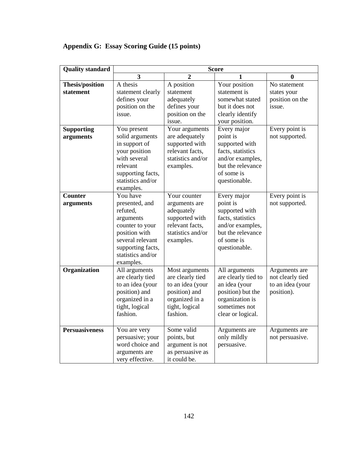# **Appendix G: Essay Scoring Guide (15 points)**

| <b>Quality standard</b>                                  | <b>Score</b>                                                                                                                                                       |                                                                                                                         |                                                                                                                                        |                                                                            |  |  |  |
|----------------------------------------------------------|--------------------------------------------------------------------------------------------------------------------------------------------------------------------|-------------------------------------------------------------------------------------------------------------------------|----------------------------------------------------------------------------------------------------------------------------------------|----------------------------------------------------------------------------|--|--|--|
|                                                          | 3                                                                                                                                                                  | $\mathbf{2}$                                                                                                            | 1                                                                                                                                      | $\bf{0}$                                                                   |  |  |  |
| <b>Thesis/position</b><br>statement<br><b>Supporting</b> | A thesis<br>statement clearly<br>defines your<br>position on the<br>issue.<br>You present                                                                          | A position<br>statement<br>adequately<br>defines your<br>position on the<br>issue.<br>Your arguments                    | Your position<br>statement is<br>somewhat stated<br>but it does not<br>clearly identify<br>your position.<br>Every major               | No statement<br>states your<br>position on the<br>issue.<br>Every point is |  |  |  |
| arguments                                                | solid arguments<br>in support of<br>your position<br>with several<br>relevant<br>supporting facts,<br>statistics and/or<br>examples.                               | are adequately<br>supported with<br>relevant facts,<br>statistics and/or<br>examples.                                   | point is<br>supported with<br>facts, statistics<br>and/or examples,<br>but the relevance<br>of some is<br>questionable.                | not supported.                                                             |  |  |  |
| <b>Counter</b><br>arguments                              | You have<br>presented, and<br>refuted,<br>arguments<br>counter to your<br>position with<br>several relevant<br>supporting facts,<br>statistics and/or<br>examples. | Your counter<br>arguments are<br>adequately<br>supported with<br>relevant facts,<br>statistics and/or<br>examples.      | Every major<br>point is<br>supported with<br>facts, statistics<br>and/or examples,<br>but the relevance<br>of some is<br>questionable. | Every point is<br>not supported.                                           |  |  |  |
| Organization                                             | All arguments<br>are clearly tied<br>to an idea (your<br>position) and<br>organized in a<br>tight, logical<br>fashion.                                             | Most arguments<br>are clearly tied<br>to an idea (your<br>position) and<br>organized in a<br>tight, logical<br>fashion. | All arguments<br>are clearly tied to<br>an idea (your<br>position) but the<br>organization is<br>sometimes not<br>clear or logical.    | Arguments are<br>not clearly tied<br>to an idea (your<br>position).        |  |  |  |
| <b>Persuasiveness</b>                                    | You are very<br>persuasive; your<br>word choice and<br>arguments are<br>very effective.                                                                            | Some valid<br>points, but<br>argument is not<br>as persuasive as<br>it could be.                                        | Arguments are<br>only mildly<br>persuasive.                                                                                            | Arguments are<br>not persuasive.                                           |  |  |  |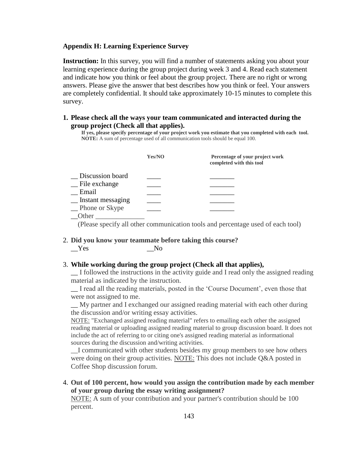### **Appendix H: Learning Experience Survey**

**Instruction:** In this survey, you will find a number of statements asking you about your learning experience during the group project during week 3 and 4. Read each statement and indicate how you think or feel about the group project. There are no right or wrong answers. Please give the answer that best describes how you think or feel. Your answers are completely confidential. It should take approximately 10-15 minutes to complete this survey.

#### **1. Please check all the ways your team communicated and interacted during the group project (Check all that applies).**

**If yes, please specify percentage of your project work you estimate that you completed with each tool. NOTE:** A sum of percentage used of all communication tools should be equal 100.

|                                        | Yes/NO | Percentage of your project work<br>completed with this tool |  |  |
|----------------------------------------|--------|-------------------------------------------------------------|--|--|
| Discussion board                       |        |                                                             |  |  |
| _File exchange                         |        |                                                             |  |  |
| Email                                  |        |                                                             |  |  |
| _ Instant messaging<br>_Phone or Skype |        |                                                             |  |  |
| Other                                  |        |                                                             |  |  |

(Please specify all other communication tools and percentage used of each tool)

2. **Did you know your teammate before taking this course?**

 $Y$ es  $N$ o

#### 3. **While working during the group project (Check all that applies),**

\_\_ I followed the instructions in the activity guide and I read only the assigned reading material as indicated by the instruction.

\_\_ I read all the reading materials, posted in the "Course Document", even those that were not assigned to me.

\_\_ My partner and I exchanged our assigned reading material with each other during the discussion and/or writing essay activities.

NOTE: "Exchanged assigned reading material" refers to emailing each other the assigned reading material or uploading assigned reading material to group discussion board. It does not include the act of referring to or citing one's assigned reading material as informational sources during the discussion and/writing activities.

\_\_I communicated with other students besides my group members to see how others were doing on their group activities. NOTE: This does not include Q&A posted in Coffee Shop discussion forum.

4. **Out of 100 percent, how would you assign the contribution made by each member of your group during the essay writing assignment?**

NOTE: A sum of your contribution and your partner's contribution should be 100 percent.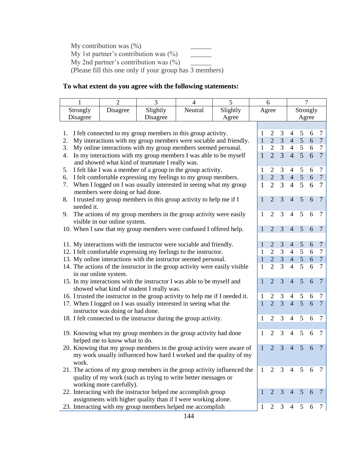My contribution was  $(\%)$ My 1st partner's contribution was  $(\%)$ My 2nd partner's contribution was  $(\% )$ (Please fill this one only if your group has 3 members)

# **To what extent do you agree with the following statements:**

| 1                                                                                                    | $\overline{2}$                                                                                                                    | 3                                                                                                                                           | $\overline{4}$ | 5                 |                | 6              |                | $\overline{7}$    |        |                  |                  |
|------------------------------------------------------------------------------------------------------|-----------------------------------------------------------------------------------------------------------------------------------|---------------------------------------------------------------------------------------------------------------------------------------------|----------------|-------------------|----------------|----------------|----------------|-------------------|--------|------------------|------------------|
| Strongly<br>Disagree                                                                                 | Disagree                                                                                                                          | Slightly<br>Disagree                                                                                                                        | Neutral        | Slightly<br>Agree | Agree          |                |                | Strongly<br>Agree |        |                  |                  |
| 1.                                                                                                   |                                                                                                                                   |                                                                                                                                             |                |                   | 1              | $\overline{2}$ | 3              | 4                 | 5      | 6                | 7                |
| 2.                                                                                                   | I felt connected to my group members in this group activity.<br>My interactions with my group members were sociable and friendly. |                                                                                                                                             |                |                   | $\mathbf{1}$   | $\sqrt{2}$     | 3              | $\overline{4}$    | 5      | $6\,$            | $\boldsymbol{7}$ |
| 3.                                                                                                   |                                                                                                                                   | My online interactions with my group members seemed personal.                                                                               |                |                   | $\mathbf{1}$   | $\overline{2}$ | 3              | $\overline{4}$    | 5      | 6                | 7                |
| 4.                                                                                                   |                                                                                                                                   | In my interactions with my group members I was able to be myself<br>and showed what kind of teammate I really was.                          |                |                   | $\mathbf{1}$   | $\overline{2}$ | 3              | $\overline{4}$    | 5      | 6                | 7                |
| 5.                                                                                                   |                                                                                                                                   | I felt like I was a member of a group in the group activity.                                                                                |                |                   | $\mathbf{1}$   | $\overline{2}$ | 3              | $\overline{4}$    | 5      | 6                | $\tau$           |
| 6.                                                                                                   |                                                                                                                                   | I felt comfortable expressing my feelings to my group members.                                                                              |                |                   | $\mathbf{1}$   | $\sqrt{2}$     | $\overline{3}$ | $\overline{4}$    | 5      | $\boldsymbol{6}$ | $\overline{7}$   |
| 7.                                                                                                   | members were doing or had done.                                                                                                   | When I logged on I was usually interested in seeing what my group                                                                           |                |                   | $\mathbf{1}$   | $\overline{2}$ | 3              | $\overline{4}$    | 5      | 6                | 7                |
| 8.<br>needed it.                                                                                     |                                                                                                                                   | I trusted my group members in this group activity to help me if I                                                                           |                |                   | $\mathbf{1}$   | $\overline{2}$ | 3              | $\overline{4}$    | 5      | 6                | $\overline{7}$   |
| 9.                                                                                                   | visible in our online system.                                                                                                     | The actions of my group members in the group activity were easily                                                                           |                |                   | 1              | $\overline{2}$ | 3              | 4                 | 5      | 6                | 7                |
|                                                                                                      |                                                                                                                                   | 10. When I saw that my group members were confused I offered help.                                                                          |                |                   | 1              | $\overline{2}$ | 3              | $\overline{4}$    | 5      | 6                | $\overline{7}$   |
|                                                                                                      | 11. My interactions with the instructor were sociable and friendly.                                                               |                                                                                                                                             |                | 1                 | $\overline{2}$ | 3              | 4              | $\mathfrak{S}$    | 6      | $\overline{7}$   |                  |
| 12. I felt comfortable expressing my feelings to the instructor.                                     |                                                                                                                                   |                                                                                                                                             | $\mathbf{1}$   | $\sqrt{2}$        | $\mathfrak{Z}$ | $\overline{4}$ | 5              | $6\,$             | $\tau$ |                  |                  |
|                                                                                                      | 13. My online interactions with the instructor seemed personal.                                                                   |                                                                                                                                             |                | $\mathbf{1}$      | $\overline{2}$ | $\overline{3}$ | $\overline{4}$ | $\overline{5}$    | $6\,$  | $\overline{7}$   |                  |
| 14. The actions of the instructor in the group activity were easily visible<br>in our online system. |                                                                                                                                   |                                                                                                                                             | $\mathbf{1}$   | $\overline{2}$    | 3              | $\overline{4}$ | 5              | 6                 | $\tau$ |                  |                  |
|                                                                                                      |                                                                                                                                   | 15. In my interactions with the instructor I was able to be myself and<br>showed what kind of student I really was.                         |                |                   | 1              | $\overline{2}$ | 3              | $\overline{4}$    | 5      | 6                | 7                |
|                                                                                                      |                                                                                                                                   | 16. I trusted the instructor in the group activity to help me if I needed it.                                                               |                |                   | 1              | 2              | 3              | 4                 | 5      | 6                | 7                |
|                                                                                                      | 17. When I logged on I was usually interested in seeing what the<br>instructor was doing or had done.                             |                                                                                                                                             |                | $\overline{1}$    | $\overline{2}$ | 3              | $\overline{4}$ | 5                 | 6      | 7                |                  |
|                                                                                                      |                                                                                                                                   | 18. I felt connected to the instructor during the group activity.                                                                           |                |                   | 1              | $\overline{2}$ | 3              | $\overline{4}$    | 5      | 6                | $\overline{7}$   |
|                                                                                                      | helped me to know what to do.                                                                                                     | 19. Knowing what my group members in the group activity had done                                                                            |                |                   | 1              | $\overline{2}$ | 3              | 4                 | 5      | 6                | 7                |
| work.                                                                                                |                                                                                                                                   | 20. Knowing that my group members in the group activity were aware of<br>my work usually influenced how hard I worked and the quality of my |                |                   | $\mathbf{1}$   | $\overline{2}$ | 3              | 4                 | 5      | 6                | 7                |
|                                                                                                      | working more carefully).                                                                                                          | 21. The actions of my group members in the group activity influenced the<br>quality of my work (such as trying to write better messages or  |                |                   | 1              |                | 3              |                   | 5      | 6                |                  |
|                                                                                                      |                                                                                                                                   | 22. Interacting with the instructor helped me accomplish group<br>assignments with higher quality than if I were working alone.             |                |                   | 1              | 2              | 3              | 4                 | 5      | 6                | 7                |
|                                                                                                      |                                                                                                                                   | 23. Interacting with my group members helped me accomplish                                                                                  |                |                   | 1              | 2              | 3              | 4                 | 5      | 6                |                  |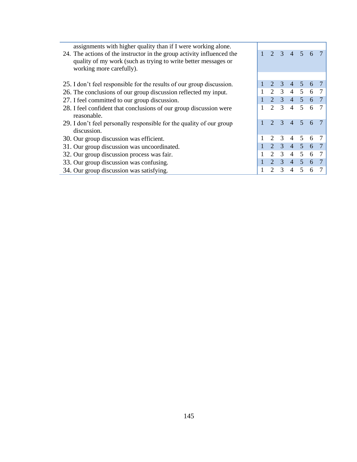| assignments with higher quality than if I were working alone.                                                                                                        |  |                             |               |                |                |   |        |
|----------------------------------------------------------------------------------------------------------------------------------------------------------------------|--|-----------------------------|---------------|----------------|----------------|---|--------|
| 24. The actions of the instructor in the group activity influenced the<br>quality of my work (such as trying to write better messages or<br>working more carefully). |  | $2^{\circ}$                 | $\mathcal{R}$ | $\overline{4}$ | $\overline{5}$ | 6 |        |
|                                                                                                                                                                      |  |                             |               |                |                |   |        |
| 25. I don't feel responsible for the results of our group discussion.                                                                                                |  |                             | 3             | $\overline{4}$ | 5              | 6 |        |
| 26. The conclusions of our group discussion reflected my input.                                                                                                      |  | 2                           | 3             | 4              | 5              | 6 |        |
| 27. I feel committed to our group discussion.                                                                                                                        |  |                             | 3             | $\overline{4}$ | 5 <sup>5</sup> | 6 | 7      |
| 28. I feel confident that conclusions of our group discussion were<br>reasonable.                                                                                    |  | $\mathcal{D}_{\mathcal{L}}$ | $\mathcal{R}$ | 4              | 5              | 6 | 7      |
| 29. I don't feel personally responsible for the quality of our group<br>discussion.                                                                                  |  | $\mathcal{D}_{\mathcal{L}}$ | $\mathcal{R}$ | $\overline{4}$ | $\overline{5}$ | 6 |        |
| 30. Our group discussion was efficient.                                                                                                                              |  |                             | $\mathcal{R}$ | 4              | 5              | 6 |        |
| 31. Our group discussion was uncoordinated.                                                                                                                          |  | $\overline{2}$              | 3             | $\overline{4}$ | $\overline{5}$ | 6 | $\tau$ |
| 32. Our group discussion process was fair.                                                                                                                           |  | $\mathcal{D}_{\cdot}$       | 3             | $\overline{4}$ | 5              | 6 |        |
| 33. Our group discussion was confusing.                                                                                                                              |  | $\mathcal{D}_{\mathcal{L}}$ | $\mathcal{R}$ | $\overline{4}$ | 5              | 6 | 7      |
| 34. Our group discussion was satisfying.                                                                                                                             |  |                             | 3             | 4              | 5              | 6 |        |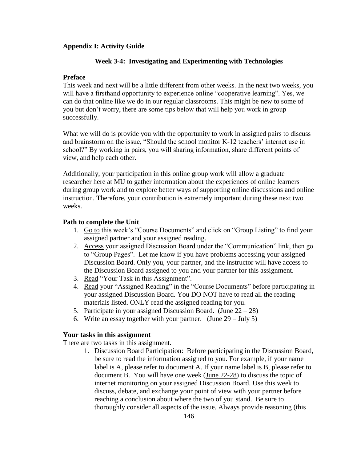### **Appendix I: Activity Guide**

## **Week 3-4: Investigating and Experimenting with Technologies**

#### **Preface**

This week and next will be a little different from other weeks. In the next two weeks, you will have a firsthand opportunity to experience online "cooperative learning". Yes, we can do that online like we do in our regular classrooms. This might be new to some of you but don"t worry, there are some tips below that will help you work in group successfully.

What we will do is provide you with the opportunity to work in assigned pairs to discuss and brainstorm on the issue, "Should the school monitor K-12 teachers' internet use in school?" By working in pairs, you will sharing information, share different points of view, and help each other.

Additionally, your participation in this online group work will allow a graduate researcher here at MU to gather information about the experiences of online learners during group work and to explore better ways of supporting online discussions and online instruction. Therefore, your contribution is extremely important during these next two weeks.

#### **Path to complete the Unit**

- 1. Go to this week"s "Course Documents" and click on "Group Listing" to find your assigned partner and your assigned reading.
- 2. Access your assigned Discussion Board under the "Communication" link, then go to "Group Pages". Let me know if you have problems accessing your assigned Discussion Board. Only you, your partner, and the instructor will have access to the Discussion Board assigned to you and your partner for this assignment.
- 3. Read "Your Task in this Assignment".
- 4. Read your "Assigned Reading" in the "Course Documents" before participating in your assigned Discussion Board. You DO NOT have to read all the reading materials listed. ONLY read the assigned reading for you.
- 5. Participate in your assigned Discussion Board. (June  $22 28$ )
- 6. Write an essay together with your partner. (June 29 July 5)

### **Your tasks in this assignment**

There are two tasks in this assignment.

1. Discussion Board Participation: Before participating in the Discussion Board, be sure to read the information assigned to you. For example, if your name label is A, please refer to document A. If your name label is B, please refer to document B. You will have one week (June 22-28) to discuss the topic of internet monitoring on your assigned Discussion Board. Use this week to discuss, debate, and exchange your point of view with your partner before reaching a conclusion about where the two of you stand. Be sure to thoroughly consider all aspects of the issue. Always provide reasoning (this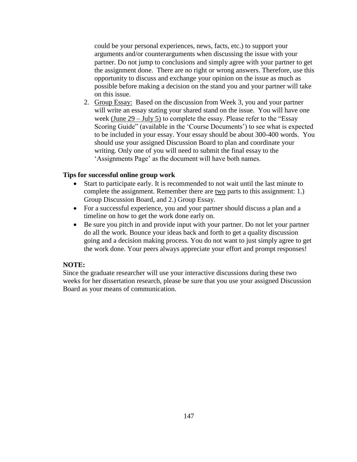could be your personal experiences, news, facts, etc.) to support your arguments and/or counterarguments when discussing the issue with your partner. Do not jump to conclusions and simply agree with your partner to get the assignment done. There are no right or wrong answers. Therefore, use this opportunity to discuss and exchange your opinion on the issue as much as possible before making a decision on the stand you and your partner will take on this issue.

2. Group Essay: Based on the discussion from Week 3, you and your partner will write an essay stating your shared stand on the issue. You will have one week (June 29 – July 5) to complete the essay. Please refer to the "Essay Scoring Guide" (available in the 'Course Documents') to see what is expected to be included in your essay. Your essay should be about 300-400 words. You should use your assigned Discussion Board to plan and coordinate your writing. Only one of you will need to submit the final essay to the 'Assignments Page' as the document will have both names.

# **Tips for successful online group work**

- Start to participate early. It is recommended to not wait until the last minute to complete the assignment. Remember there are two parts to this assignment: 1.) Group Discussion Board, and 2.) Group Essay.
- For a successful experience, you and your partner should discuss a plan and a timeline on how to get the work done early on.
- Be sure you pitch in and provide input with your partner. Do not let your partner do all the work. Bounce your ideas back and forth to get a quality discussion going and a decision making process. You do not want to just simply agree to get the work done. Your peers always appreciate your effort and prompt responses!

# **NOTE:**

Since the graduate researcher will use your interactive discussions during these two weeks for her dissertation research, please be sure that you use your assigned Discussion Board as your means of communication.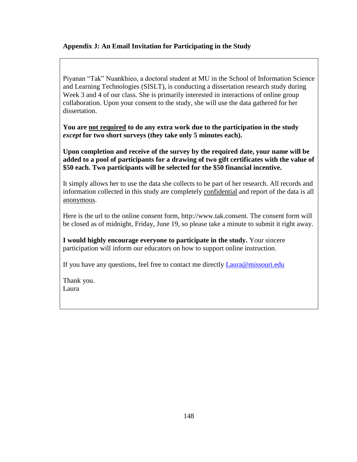# **Appendix J: An Email Invitation for Participating in the Study**

Piyanan "Tak" Nuankhieo, a doctoral student at MU in the School of Information Science and Learning Technologies (SISLT), is conducting a dissertation research study during Week 3 and 4 of our class. She is primarily interested in interactions of online group collaboration. Upon your consent to the study, she will use the data gathered for her dissertation.

**You are not required to do any extra work due to the participation in the study**  *except* **for two short surveys (they take only 5 minutes each).** 

**Upon completion and receive of the survey by the required date, your name will be added to a pool of participants for a drawing of two gift certificates with the value of \$50 each. Two participants will be selected for the \$50 financial incentive.**

It simply allows her to use the data she collects to be part of her research. All records and information collected in this study are completely confidential and report of the data is all anonymous.

Here is the url to the online consent form, http://www.tak.consent. The consent form will be closed as of midnight, Friday, June 19, so please take a minute to submit it right away.

**I would highly encourage everyone to participate in the study.** Your sincere participation will inform our educators on how to support online instruction.

If you have any questions, feel free to contact me directly [Laura@missouri.edu](mailto:Laura@missouri.edu)

Thank you. Laura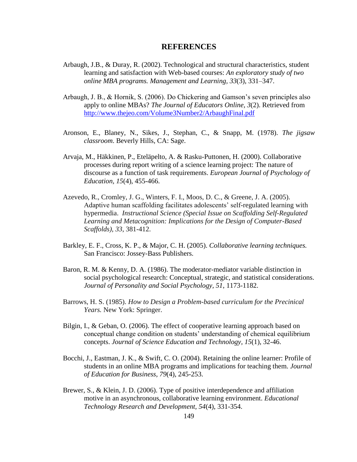#### **REFERENCES**

- Arbaugh, J.B., & Duray, R. (2002). Technological and structural characteristics, student learning and satisfaction with Web-based courses: *An exploratory study of two online MBA programs. Management and Learning, 33*(3), 331–347.
- Arbaugh, J. B., & Hornik, S. (2006). Do Chickering and Gamson"s seven principles also apply to online MBAs? *The Journal of Educators Online, 3*(2). Retrieved from <http://www.thejeo.com/Volume3Number2/ArbaughFinal.pdf>
- Aronson, E., Blaney, N., Sikes, J., Stephan, C., & Snapp, M. (1978). *The jigsaw classroom*. Beverly Hills, CA: Sage.
- Arvaja, M., Häkkinen, P., Eteläpelto, A. & Rasku-Puttonen, H. (2000). Collaborative processes during report writing of a science learning project: The nature of discourse as a function of task requirements. *European Journal of Psychology of Education, 15*(4), 455-466.
- Azevedo, R., Cromley, J. G., Winters, F. I., Moos, D. C., & Greene, J. A. (2005). Adaptive human scaffolding facilitates adolescents' self-regulated learning with hypermedia. *Instructional Science (Special Issue on Scaffolding Self-Regulated Learning and Metacognition: Implications for the Design of Computer-Based Scaffolds), 33*, 381-412.
- Barkley, E. F., Cross, K. P., & Major, C. H. (2005). *Collaborative learning techniques.* San Francisco: Jossey-Bass Publishers.
- Baron, R. M. & Kenny, D. A. (1986). The moderator-mediator variable distinction in social psychological research: Conceptual, strategic, and statistical considerations. *Journal of Personality and Social Psychology, 51*, 1173-1182.
- Barrows, H. S. (1985). *How to Design a Problem-based curriculum for the Precinical Years.* New York: Springer.
- Bilgin, I., & Geban, O. (2006). The effect of cooperative learning approach based on conceptual change condition on students" understanding of chemical equilibrium concepts. *Journal of Science Education and Technology, 15*(1), 32-46.
- Bocchi, J., Eastman, J. K., & Swift, C. O. (2004). Retaining the online learner: Profile of students in an online MBA programs and implications for teaching them. *Journal of Education for Business, 79*(4), 245-253.
- Brewer, S., & Klein, J. D. (2006). Type of positive interdependence and affiliation motive in an asynchronous, collaborative learning environment. *Educational Technology Research and Development, 54*(4), 331-354.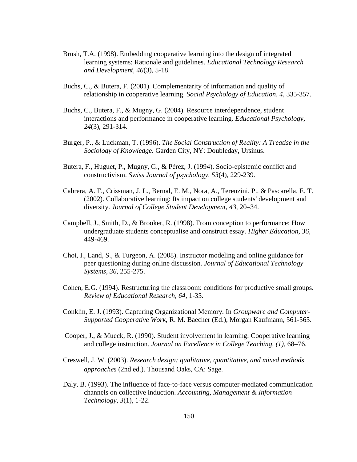- Brush, T.A. (1998). Embedding cooperative learning into the design of integrated learning systems: Rationale and guidelines. *Educational Technology Research and Development, 46*(3), 5-18.
- Buchs, C., & Butera, F. (2001). Complementarity of information and quality of relationship in cooperative learning. *Social Psychology of Education, 4,* 335-357.
- Buchs, C., Butera, F., & Mugny, G. (2004). Resource interdependence, student interactions and performance in cooperative learning. *Educational Psychology, 24*(3), 291-314.
- Burger, P., & Luckman, T. (1996). *The Social Construction of Reality: A Treatise in the Sociology of Knowledge.* Garden City, NY: Doubleday, Ursinus.
- Butera, F., Huguet, P., Mugny, G., & Pérez, J. (1994). Socio-epistemic conflict and constructivism. *Swiss Journal of psychology, 53*(4), 229-239.
- Cabrera, A. F., Crissman, J. L., Bernal, E. M., Nora, A., Terenzini, P., & Pascarella, E. T. (2002). Collaborative learning: Its impact on college students' development and diversity. *Journal of College Student Development, 43*, 20–34.
- Campbell, J., Smith, D., & Brooker, R. (1998). From conception to performance: How undergraduate students conceptualise and construct essay. *Higher Education, 36*, 449-469.
- Choi, I., Land, S., & Turgeon, A. (2008). Instructor modeling and online guidance for peer questioning during online discussion. *Journal of Educational Technology Systems, 36*, 255-275.
- Cohen, E.G. (1994). Restructuring the classroom: conditions for productive small groups*. Review of Educational Research*, *64*, 1-35.
- Conklin, E. J. (1993). Capturing Organizational Memory. In *Groupware and Computer-Supported Cooperative Work*, R. M. Baecher (Ed.), Morgan Kaufmann, 561-565.
- Cooper, J., & Mueck, R. (1990). Student involvement in learning: Cooperative learning and college instruction. *Journal on Excellence in College Teaching, (1)*, 68–76.
- Creswell, J. W. (2003). *Research design: qualitative, quantitative, and mixed methods approaches* (2nd ed.). Thousand Oaks, CA: Sage.
- Daly, B. (1993). The influence of face-to-face versus computer-mediated communication channels on collective induction. *Accounting, Management & Information Technology, 3*(1), 1-22.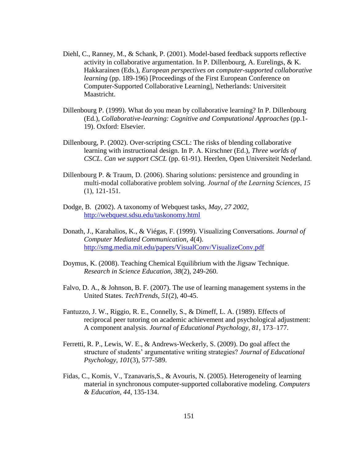- Diehl, C., Ranney, M., & Schank, P. (2001). Model-based feedback supports reflective activity in collaborative argumentation. In P. Dillenbourg, A. Eurelings, & K. Hakkarainen (Eds.), *European perspectives on computer-supported collaborative learning* (pp. 189-196) [Proceedings of the First European Conference on Computer-Supported Collaborative Learning], Netherlands: Universiteit Maastricht.
- Dillenbourg P. (1999). What do you mean by collaborative learning? In P. Dillenbourg (Ed.), *Collaborative-learning: Cognitive and Computational Approaches* (pp.1- 19). Oxford: Elsevier.
- Dillenbourg, P. (2002). Over-scripting CSCL: The risks of blending collaborative learning with instructional design. In P. A. Kirschner (Ed.), *Three worlds of CSCL. Can we support CSCL* (pp. 61-91). Heerlen, Open Universiteit Nederland.
- Dillenbourg P. & Traum, D. (2006). Sharing solutions: persistence and grounding in multi-modal collaborative problem solving. *Journal of the Learning Sciences, 15* (1), 121-151.
- Dodge, B. (2002). A taxonomy of Webquest tasks, *May, 27 2002,*  <http://webquest.sdsu.edu/taskonomy.html>
- Donath, J., Karahalios, K., & Viégas, F. (1999). Visualizing Conversations. *Journal of Computer Mediated Communication, 4*(4). <http://smg.media.mit.edu/papers/VisualConv/VisualizeConv.pdf>
- Doymus, K. (2008). Teaching Chemical Equilibrium with the Jigsaw Technique. *Research in Science Education, 38*(2), 249-260.
- Falvo, D. A., & Johnson, B. F. (2007). The use of learning management systems in the United States. *TechTrends, 51*(2), 40-45.
- Fantuzzo, J. W., Riggio, R. E., Connelly, S., & Dimeff, L. A. (1989). Effects of reciprocal peer tutoring on academic achievement and psychological adjustment: A component analysis. *Journal of Educational Psychology, 81*, 173–177.
- Ferretti, R. P., Lewis, W. E., & Andrews-Weckerly, S. (2009). Do goal affect the structure of students" argumentative writing strategies? *Journal of Educational Psychology, 101*(3), 577-589.
- Fidas, C., Komis, V., Tzanavaris,S., & Avouris, N. (2005). Heterogeneity of learning material in synchronous computer-supported collaborative modeling. *Computers & Education, 44*, 135-134.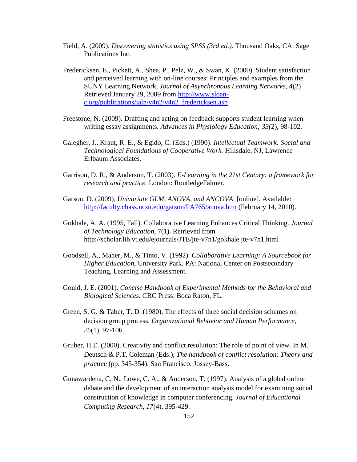- Field, A. (2009). *Discovering statistics using SPSS (3rd ed.)*. Thousand Oaks, CA: Sage Publications Inc.
- Fredericksen, E., Pickett, A., Shea, P., Pelz, W., & Swan, K. (2000). Student satisfaction and perceived learning with on-line courses: Principles and examples from the SUNY Learning Network, *Journal of Asynchronous Learning Networks, 4*(2) Retrieved January 29, 2009 from [http://www.sloan](http://www.sloan-c.org/publications/jaln/v4n2/v4n2_fredericksen.asp) $c.org/publications/ialn/v4n2/v4n2$  fredericksen.asp
- Freestone, N. (2009). Drafting and acting on feedback supports student learning when writing essay assignments. *Advances in Physiology Education; 33(*2), 98-102.
- Galegher, J., Kraut, R. E., & Egido, C. (Eds.) (1990). *Intellectual Teamwork: Social and Technological Foundations of Cooperative Work.* Hillsdale, NJ, Lawrence Erlbaum Associates.
- Garrison, D. R., & Anderson, T. (2003). *E-Learning in the 21st Century: a framework for research and practice.* London: RoutledgeFalmer.
- Garson, D. (2009). *Univariate GLM, ANOVA, and ANCOVA*. [online]. Available: <http://faculty.chass.ncsu.edu/garson/PA765/anova.htm> (February 14, 2010).
- Gokhale, A. A. (1995, Fall). Collaborative Learning Enhances Critical Thinking. *Journal of Technology Education*, 7(1). Retrieved from http://scholar.lib.vt.edu/ejournals/JTE/jte-v7n1/gokhale.jte-v7n1.html
- Goodsell, A., Maher, M., & Tinto, V. (1992). *Collaborative Learning: A Sourcebook for Higher Education*, University Park, PA: National Center on Postsecondary Teaching, Learning and Assessment.
- Gould, J. E. (2001). *Concise Handbook of Experimental Methods for the Behavioral and Biological Sciences.* CRC Press: Boca Raton, FL.
- Green, S. G. & Taber, T. D. (1980). The effects of three social decision schemes on decision group process. *Organizational Behavior and Human Performance, 25*(1), 97-106.
- Gruber, H.E. (2000). Creativity and conflict resolution: The role of point of view. In M. Deutsch & P.T. Coleman (Eds.), *The handbook of conflict resolution: Theory and practice* (pp. 345-354). San Francisco: Jossey-Bass.
- Gunawardena, C. N., Lowe, C. A., & Anderson, T. (1997). Analysis of a global online debate and the development of an interaction analysis model for examining social construction of knowledge in computer conferencing. *Journal of Educational Computing Research, 17*(4), 395-429.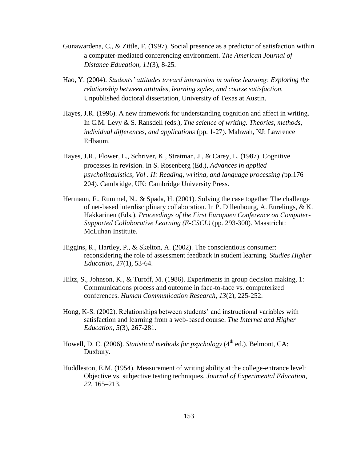- Gunawardena, C., & Zittle, F. (1997). Social presence as a predictor of satisfaction within a computer-mediated conferencing environment. *The American Journal of Distance Education, 11*(3), 8-25.
- Hao, Y. (2004). *Students' attitudes toward interaction in online learning: Exploring the relationship between attitudes, learning styles, and course satisfaction.*  Unpublished doctoral dissertation, University of Texas at Austin.
- Hayes, J.R. (1996). A new framework for understanding cognition and affect in writing. In C.M. Levy & S. Ransdell (eds.), *The science of writing. Theories, methods, individual differences, and applications* (pp. 1-27). Mahwah, NJ: Lawrence Erlbaum.
- Hayes, J.R., Flower, L., Schriver, K., Stratman, J., & Carey, L. (1987). Cognitive processes in revision. In S. Rosenberg (Ed.), *Advances in applied psycholinguistics, Vol . II: Reading, writing, and language processing (*pp.176 – 204)*.* Cambridge, UK: Cambridge University Press.
- Hermann, F., Rummel, N., & Spada, H. (2001). Solving the case together The challenge of net-based interdisciplinary collaboration. In P. Dillenbourg, A. Eurelings, & K. Hakkarinen (Eds.), *Proceedings of the First Europaen Conference on Computer-Supported Collaborative Learning (E-CSCL)* (pp. 293-300). Maastricht: McLuhan Institute.
- Higgins, R., Hartley, P., & Skelton, A. (2002). The conscientious consumer: reconsidering the role of assessment feedback in student learning. *Studies Higher Education,* 27(1), 53-64.
- Hiltz, S., Johnson, K., & Turoff, M. (1986). Experiments in group decision making, 1: Communications process and outcome in face-to-face vs. computerized conferences. *Human Communication Research, 13*(2), 225-252.
- Hong, K-S. (2002). Relationships between students' and instructional variables with satisfaction and learning from a web-based course. *The Internet and Higher Education, 5*(3), 267-281.
- Howell, D. C. (2006). *Statistical methods for psychology* (4<sup>th</sup> ed.). Belmont, CA: Duxbury.
- Huddleston, E.M. (1954). Measurement of writing ability at the college-entrance level: Objective vs. subjective testing techniques, *Journal of Experimental Education*, *22*, 165–213.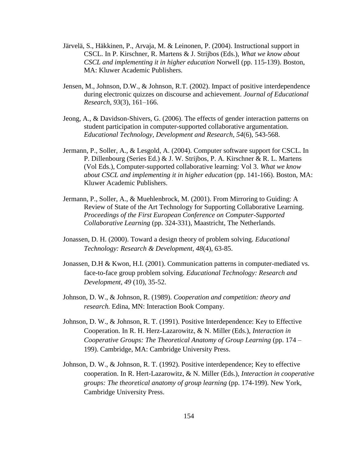- Järvelä, S., Häkkinen, P., Arvaja, M. & Leinonen, P. (2004). Instructional support in CSCL. In P. Kirschner, R. Martens & J. Strijbos (Eds.), *What we know about CSCL and implementing it in higher education* Norwell (pp. 115-139). Boston, MA: Kluwer Academic Publishers.
- Jensen, M., Johnson, D.W., & Johnson, R.T. (2002). Impact of positive interdependence during electronic quizzes on discourse and achievement. *Journal of Educational Research, 93*(3), 161–166.
- Jeong, A., & Davidson-Shivers, G. (2006). The effects of gender interaction patterns on student participation in computer-supported collaborative argumentation. *Educational Technology, Development and Research, 54*(6), 543-568.
- Jermann, P., Soller, A., & Lesgold, A. (2004). Computer software support for CSCL. In P. Dillenbourg (Series Ed.) & J. W. Strijbos, P. A. Kirschner & R. L. Martens (Vol Eds.), Computer-supported collaborative learning: Vol 3. *What we know about CSCL and implementing it in higher education* (pp. 141-166). Boston, MA: Kluwer Academic Publishers.
- Jermann, P., Soller, A., & Muehlenbrock, M. (2001). From Mirroring to Guiding: A Review of State of the Art Technology for Supporting Collaborative Learning. *Proceedings of the First European Conference on Computer-Supported Collaborative Learning* (pp. 324-331), Maastricht, The Netherlands.
- Jonassen, D. H. (2000). Toward a design theory of problem solving. *Educational Technology: Research & Development, 48*(4), 63-85.
- Jonassen, D.H & Kwon, H.I. (2001). Communication patterns in computer-mediated vs. face-to-face group problem solving. *Educational Technology: Research and Development, 49* (10), 35-52.
- Johnson, D. W., & Johnson, R. (1989). *Cooperation and competition: theory and research.* Edina, MN: Interaction Book Company.
- Johnson, D. W., & Johnson, R. T. (1991). Positive Interdependence: Key to Effective Cooperation. In R. H. Herz-Lazarowitz, & N. Miller (Eds.), *Interaction in Cooperative Groups: The Theoretical Anatomy of Group Learning* (pp. 174 – 199). Cambridge, MA: Cambridge University Press.
- Johnson, D. W., & Johnson, R. T. (1992). Positive interdependence; Key to effective cooperation. In R. Hert-Lazarowitz, & N. Miller (Eds.), *Interaction in cooperative groups: The theoretical anatomy of group learning* (pp. 174-199). New York, Cambridge University Press.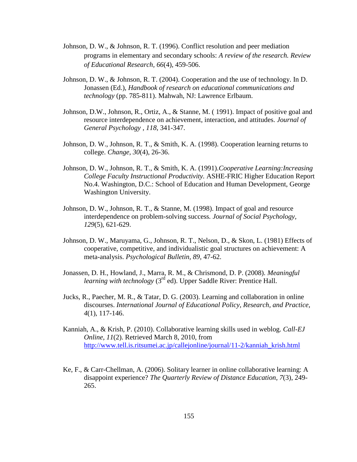- Johnson, D. W., & Johnson, R. T. (1996). Conflict resolution and peer mediation programs in elementary and secondary schools: *A review of the research. Review of Educational Research, 66*(4), 459-506.
- Johnson, D. W., & Johnson, R. T. (2004). Cooperation and the use of technology. In D. Jonassen (Ed.), *Handbook of research on educational communications and technology* (pp. 785-811). Mahwah, NJ: Lawrence Erlbaum.
- Johnson, D.W., Johnson, R., Ortiz, A., & Stanne, M. ( 1991). Impact of positive goal and resource interdependence on achievement, interaction, and attitudes. *Journal of General Psychology* , *118*, 341-347.
- Johnson, D. W., Johnson, R. T., & Smith, K. A. (1998). Cooperation learning returns to college. *Change, 30*(4), 26-36.
- Johnson, D. W., Johnson, R. T., & Smith, K. A. (1991).*Cooperative Learning:Increasing College Faculty Instructional Productivity.* ASHE-FRIC Higher Education Report No.4. Washington, D.C.: School of Education and Human Development, George Washington University.
- Johnson, D. W., Johnson, R. T., & Stanne, M. (1998). Impact of goal and resource interdependence on problem-solving success*. Journal of Social Psychology, 129*(5), 621-629.
- Johnson, D. W., Maruyama, G., Johnson, R. T., Nelson, D., & Skon, L. (1981) Effects of cooperative, competitive, and individualistic goal structures on achievement: A meta-analysis. *Psychological Bulletin, 89,* 47-62.
- Jonassen, D. H., Howland, J., Marra, R. M., & Chrismond, D. P. (2008). *Meaningful learning with technology* (3<sup>rd</sup> ed). Upper Saddle River: Prentice Hall.
- Jucks, R., Paecher, M. R., & Tatar, D. G. (2003). Learning and collaboration in online discourses. *International Journal of Educational Policy, Research, and Practice, 4*(1), 117-146.
- Kanniah, A., & Krish, P. (2010). Collaborative learning skills used in weblog. *Call-EJ Online, 11*(2). Retrieved March 8, 2010, from [http://www.tell.is.ritsumei.ac.jp/callejonline/journal/11-2/kanniah\\_krish.html](http://www.tell.is.ritsumei.ac.jp/callejonline/journal/11-2/kanniah_krish.html)
- Ke, F., & Carr-Chellman, A. (2006). Solitary learner in online collaborative learning: A disappoint experience? *The Quarterly Review of Distance Education, 7*(3), 249- 265.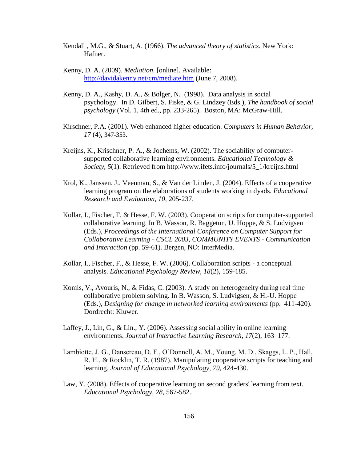- Kendall , M.G., & Stuart, A. (1966). *The advanced theory of statistics*. New York: Hafner.
- Kenny, D. A. (2009). *Mediation.* [online]. Available: <http://davidakenny.net/cm/mediate.htm> (June 7, 2008).
- Kenny, D. A., Kashy, D. A., & Bolger, N. (1998). Data analysis in social psychology. In D. Gilbert, S. Fiske, & G. Lindzey (Eds.), *The handbook of social psychology* (Vol. 1, 4th ed., pp. 233-265). Boston, MA: McGraw-Hill.
- Kirschner, P.A. (2001). Web enhanced higher education. *Computers in Human Behavior, 17* (4), 347-353.
- Kreijns, K., Krischner, P. A., & Jochems, W. (2002). The sociability of computersupported collaborative learning environments. *Educational Technology & Society, 5*(1). Retrieved from http://www.ifets.info/journals/5\_1/kreijns.html
- Krol, K., Janssen, J., Veenman, S., & Van der Linden, J. (2004). Effects of a cooperative learning program on the elaborations of students working in dyads. *Educational Research and Evaluation, 10*, 205-237.
- Kollar, I., Fischer, F. & Hesse, F. W. (2003). Cooperation scripts for computer-supported collaborative learning. In B. Wasson, R. Baggetun, U. Hoppe, & S. Ludvigsen (Eds.), *Proceedings of the International Conference on Computer Support for Collaborative Learning - CSCL 2003, COMMUNITY EVENTS - Communication and Interaction* (pp. 59-61). Bergen, NO: InterMedia.
- Kollar, I., Fischer, F., & Hesse, F. W. (2006). Collaboration scripts a conceptual analysis. *Educational Psychology Review, 18*(2), 159-185.
- Komis, V., Avouris, N., & Fidas, C. (2003). A study on heterogeneity during real time collaborative problem solving. In B. Wasson, S. Ludvigsen, & H.-U. Hoppe (Eds.), *Designing for change in networked learning environments* (pp. 411-420). Dordrecht: Kluwer.
- Laffey, J., Lin, G., & Lin., Y. (2006). Assessing social ability in online learning environments. *Journal of Interactive Learning Research, 17*(2), 163–177.
- Lambiotte, J. G., Dansereau, D. F., O"Donnell, A. M., Young, M. D., Skaggs, L. P., Hall, R. H., & Rocklin, T. R. (1987). Manipulating cooperative scripts for teaching and learning. *Journal of Educational Psychology, 79*, 424-430.
- Law, Y. (2008). Effects of cooperative learning on second graders' learning from text. *Educational Psychology, 28*, 567-582.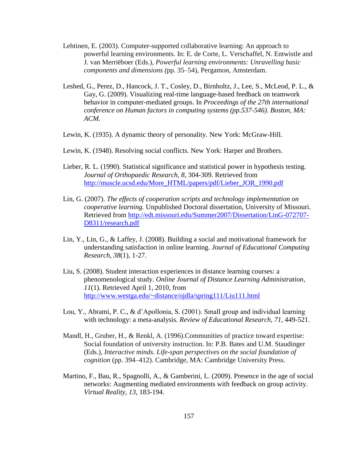- Lehtinen, E. (2003). Computer-supported collaborative learning: An approach to powerful learning environments. In: E. de Corte, L. Verschaffel, N. Entwistle and J. van Merriëboer (Eds.), *Powerful learning environments: Unravelling basic components and dimensions (*pp. 35–54), Pergamon, Amsterdam.
- Leshed, G., Perez, D., Hancock, J. T., Cosley, D., Birnholtz, J., Lee, S., McLeod, P. L., & Gay, G. (2009). Visualizing real-time language-based feedback on teamwork behavior in computer-mediated groups. In *Proceedings of the 27th international conference on Human factors in computing systems (pp.537-546)*. *Boston, MA: ACM.*
- Lewin, K. (1935). A dynamic theory of personality. New York: McGraw-Hill.
- Lewin, K. (1948). Resolving social conflicts. New York: Harper and Brothers.
- Lieber, R. L. (1990). Statistical significance and statistical power in hypothesis testing. *Journal of Orthopaedic Research, 8*, 304-309. Retrieved from [http://muscle.ucsd.edu/More\\_HTML/papers/pdf/Lieber\\_JOR\\_1990.pdf](http://muscle.ucsd.edu/More_HTML/papers/pdf/Lieber_JOR_1990.pdf)
- Lin, G. (2007). *The effects of cooperation scripts and technology implementation on cooperative learning.* Unpublished Doctoral dissertation, University of Missouri. Retrieved from [http://edt.missouri.edu/Summer2007/Dissertation/LinG-072707-](http://edt.missouri.edu/Summer2007/Dissertation/LinG-072707-D8311/research.pdf) [D8311/research.pdf](http://edt.missouri.edu/Summer2007/Dissertation/LinG-072707-D8311/research.pdf)
- Lin, Y., Lin, G., & Laffey, J. (2008). Building a social and motivational framework for understanding satisfaction in online learning. *Journal of Educational Computing Research, 38*(1), 1-27.
- Liu, S. (2008). Student interaction experiences in distance learning courses: a phenomenological study. *Online Journal of Distance Learning Administration*, *11*(1). Retrieved April 1, 2010, from <http://www.westga.edu/~distance/ojdla/spring111/Liu111.html>
- Lou, Y., Abrami, P. C., & d"Apollonia, S. (2001). Small group and individual learning with technology: a meta-analysis. *Review of Educational Research, 71*, 449-521.
- Mandl, H., Gruber, H., & Renkl, A. (1996).Communities of practice toward expertise: Social foundation of university instruction. In: P.B. Bates and U.M. Staudinger (Eds.), *Interactive minds. Life-span perspectives on the social foundation of cognition* (pp. 394–412). Cambridge, MA: Cambridge University Press.
- Martino, F., Bau, R., Spagnolli, A., & Gamberini, L. (2009). Presence in the age of social networks: Augmenting mediated environments with feedback on group activity. *Virtual Reality, 13*, 183-194.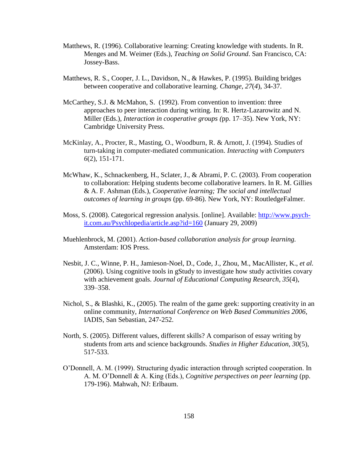- Matthews, R. (1996). Collaborative learning: Creating knowledge with students. In R. Menges and M. Weimer (Eds.), *Teaching on Solid Ground*. San Francisco, CA: Jossey-Bass.
- Matthews, R. S., Cooper, J. L., Davidson, N., & Hawkes, P. (1995). Building bridges between cooperative and collaborative learning. *Change*, *27*(*4*), 34-37.
- McCarthey, S.J. & McMahon, S. (1992). From convention to invention: three approaches to peer interaction during writing. In: R. Hertz-Lazarowitz and N. Miller (Eds.), *Interaction in cooperative groups (*pp. 17–35). New York, NY: Cambridge University Press.
- McKinlay, A., Procter, R., Masting, O., Woodburn, R. & Arnott, J. (1994). Studies of turn-taking in computer-mediated communication. *Interacting with Computers 6*(2), 151-171.
- McWhaw, K., Schnackenberg, H., Sclater, J., & Abrami, P. C. (2003). From cooperation to collaboration: Helping students become collaborative learners. In R. M. Gillies & A. F. Ashman (Eds.), *Cooperative learning; The social and intellectual outcomes of learning in groups* (pp. 69-86). New York, NY: RoutledgeFalmer.
- Moss, S. (2008). Categorical regression analysis. [online]. Available: [http://www.psych](http://www.psych-it.com.au/Psychlopedia/article.asp?id=160)[it.com.au/Psychlopedia/article.asp?id=160](http://www.psych-it.com.au/Psychlopedia/article.asp?id=160) (January 29, 2009)
- Muehlenbrock, M. (2001). *Action-based collaboration analysis for group learning.*  Amsterdam: IOS Press.
- Nesbit, J. C., Winne, P. H., Jamieson-Noel, D., Code, J., Zhou, M., MacAllister, K., *et al.* (2006). Using cognitive tools in gStudy to investigate how study activities covary with achievement goals. *Journal of Educational Computing Research*, *35*(4), 339–358.
- Nichol, S., & Blashki, K., (2005). The realm of the game geek: supporting creativity in an online community, *International Conference on Web Based Communities 2006*, IADIS, San Sebastian, 247-252.
- North, S. (2005). Different values, different skills? A comparison of essay writing by students from arts and science backgrounds. *Studies in Higher Education, 30*(5), 517-533.
- O"Donnell, A. M. (1999). Structuring dyadic interaction through scripted cooperation. In A. M. O"Donnell & A. King (Eds.), *Cognitive perspectives on peer learning* (pp. 179-196). Mahwah, NJ: Erlbaum.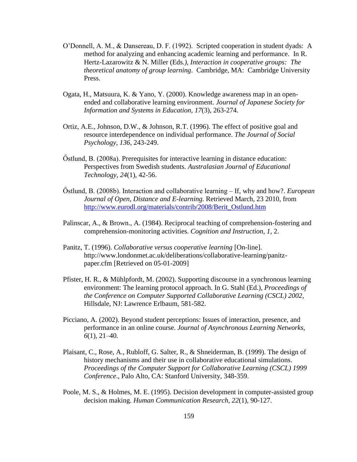- O"Donnell, A. M., & Dansereau, D. F. (1992). Scripted cooperation in student dyads: A method for analyzing and enhancing academic learning and performance. In R. Hertz-Lazarowitz & N. Miller (Eds*.), Interaction in cooperative groups: The theoretical anatomy of group learning*. Cambridge, MA: Cambridge University Press.
- Ogata, H., Matsuura, K. & Yano, Y. (2000). Knowledge awareness map in an openended and collaborative learning environment. *Journal of Japanese Society for Information and Systems in Education*, *17*(3), 263-274.
- Ortiz, A.E., Johnson, D.W., & Johnson, R.T. (1996). The effect of positive goal and resource interdependence on individual performance. *The Journal of Social Psychology, 136,* 243-249.
- Őstlund, B. (2008a). Prerequisites for interactive learning in distance education: Perspectives from Swedish students. *Australasian Journal of Educational Technology, 24*(1), 42-56.
- Őstlund, B. (2008b). Interaction and collaborative learning If, why and how?. *European Journal of Open, Distance and E-learning.* Retrieved March, 23 2010, from [http://www.eurodl.org/materials/contrib/2008/Berit\\_Ostlund.htm](http://www.eurodl.org/materials/contrib/2008/Berit_Ostlund.htm)
- Palinscar, A., & Brown., A. (1984). Reciprocal teaching of comprehension-fostering and comprehension-monitoring activities. *Cognition and Instruction, 1*, 2.
- Panitz, T. (1996). *Collaborative versus cooperative learning* [On-line]. http://www.londonmet.ac.uk/deliberations/collaborative-learning/panitzpaper.cfm [Retrieved on 05-01-2009]
- Pfister, H. R., & Mühlpfordt, M. (2002). Supporting discourse in a synchronous learning environment: The learning protocol approach. In G. Stahl (Ed.), *Proceedings of the Conference on Computer Supported Collaborative Learning (CSCL) 2002*, Hillsdale, NJ: Lawrence Erlbaum, 581-582.
- Picciano, A. (2002). Beyond student perceptions: Issues of interaction, presence, and performance in an online course. *Journal of Asynchronous Learning Networks, 6*(1), 21–40.
- Plaisant, C., Rose, A., Rubloff, G. Salter, R., & Shneiderman, B. (1999). The design of history mechanisms and their use in collaborative educational simulations. *Proceedings of the Computer Support for Collaborative Learning (CSCL) 1999 Conference*., Palo Alto, CA: Stanford University, 348-359.
- Poole, M. S., & Holmes, M. E. (1995). Decision development in computer-assisted group decision making. *Human Communication Research, 22*(1), 90-127.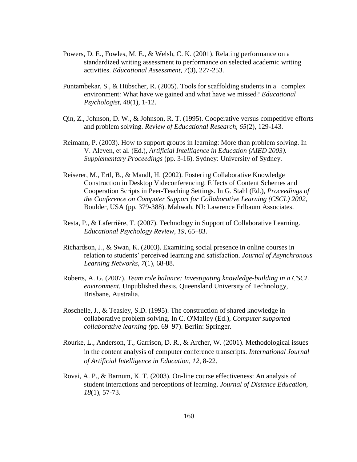- Powers, D. E., Fowles, M. E., & Welsh, C. K. (2001). Relating performance on a standardized writing assessment to performance on selected academic writing activities. *Educational Assessment, 7*(3), 227-253.
- Puntambekar, S., & Hübscher, R. (2005). Tools for scaffolding students in a complex environment: What have we gained and what have we missed? *Educational Psychologist*, *40*(1), 1-12.
- Qin, Z., Johnson, D. W., & Johnson, R. T. (1995). Cooperative versus competitive efforts and problem solving. *Review of Educational Research, 65*(2), 129-143.
- Reimann, P. (2003). How to support groups in learning: More than problem solving. In V. Aleven, et al. (Ed.), *Artificial Intelligence in Education (AIED 2003). Supplementary Proceedings* (pp. 3-16). Sydney: University of Sydney.
- Reiserer, M., Ertl, B., & Mandl, H. (2002). Fostering Collaborative Knowledge Construction in Desktop Videconferencing. Effects of Content Schemes and Cooperation Scripts in Peer-Teaching Settings. In G. Stahl (Ed.), *Proceedings of the Conference on Computer Support for Collaborative Learning (CSCL) 2002*, Boulder, USA (pp. 379-388). Mahwah, NJ: Lawrence Erlbaum Associates.
- Resta, P., & Laferrière, T. (2007). Technology in Support of Collaborative Learning. *Educational Psychology Review, 19*, 65–83.
- Richardson, J., & Swan, K. (2003). Examining social presence in online courses in relation to students" perceived learning and satisfaction. *Journal of Asynchronous Learning Networks, 7*(1), 68-88.
- Roberts, A. G. (2007). *Team role balance: Investigating knowledge-building in a CSCL environment.* Unpublished thesis, Queensland University of Technology, Brisbane, Australia.
- Roschelle, J., & Teasley, S.D. (1995). The construction of shared knowledge in collaborative problem solving. In C. O'Malley (Ed.), *Computer supported collaborative learning (*pp. 69–97). Berlin: Springer.
- Rourke, L., Anderson, T., Garrison, D. R., & Archer, W. (2001). Methodological issues in the content analysis of computer conference transcripts. *International Journal of Artificial Intelligence in Education, 12*, 8-22.
- Rovai, A. P., & Barnum, K. T. (2003). On-line course effectiveness: An analysis of student interactions and perceptions of learning. *Journal of Distance Education, 18*(1), 57-73.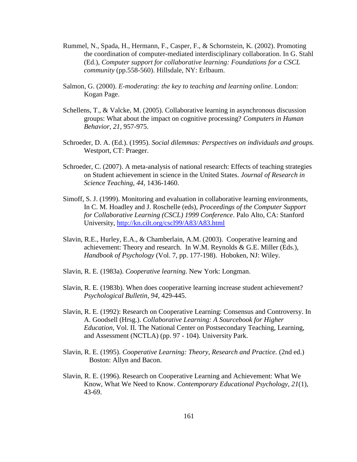- Rummel, N., Spada, H., Hermann, F., Casper, F., & Schornstein, K. (2002). Promoting the coordination of computer-mediated interdisciplinary collaboration. In G. Stahl (Ed.), *Computer support for collaborative learning: Foundations for a CSCL community* (pp.558-560). Hillsdale, NY: Erlbaum.
- Salmon, G. (2000). *E-moderating: the key to teaching and learning online*. London: Kogan Page.
- Schellens, T., & Valcke, M. (2005). Collaborative learning in asynchronous discussion groups: What about the impact on cognitive processing? *Computers in Human Behavior, 21*, 957-975.
- Schroeder, D. A. (Ed.). (1995). *Social dilemmas: Perspectives on individuals and groups.*  Westport, CT: Praeger.
- Schroeder, C. (2007). A meta-analysis of national research: Effects of teaching strategies on Student achievement in science in the United States. *Journal of Research in Science Teaching, 44*, 1436-1460.
- Simoff, S. J. (1999). Monitoring and evaluation in collaborative learning environments, In C. M. Hoadley and J. Roschelle (eds), *Proceedings of the Computer Support for Collaborative Learning (CSCL) 1999 Conference*. Palo Alto, CA: Stanford University,<http://kn.cilt.org/cscl99/A83/A83.html>
- Slavin, R.E., Hurley, E.A., & Chamberlain, A.M. (2003). Cooperative learning and achievement: Theory and research. In W.M. Reynolds & G.E. Miller (Eds.), *Handbook of Psychology* (Vol. 7, pp. 177-198). Hoboken, NJ: Wiley.
- Slavin, R. E. (1983a). *Cooperative learning*. New York: Longman.
- Slavin, R. E. (1983b). When does cooperative learning increase student achievement? *Psychological Bulletin, 94*, 429-445.
- Slavin, R. E. (1992): Research on Cooperative Learning: Consensus and Controversy. In A. Goodsell (Hrsg.). *Collaborative Learning: A Sourcebook for Higher Education*, Vol. II. The National Center on Postsecondary Teaching, Learning, and Assessment (NCTLA) (pp. 97 - 104). University Park.
- Slavin, R. E. (1995). *Cooperative Learning: Theory, Research and Practice.* (2nd ed.) Boston: Allyn and Bacon.
- Slavin, R. E. (1996). Research on Cooperative Learning and Achievement: What We Know, What We Need to Know. *Contemporary Educational Psychology, 21*(1), 43-69.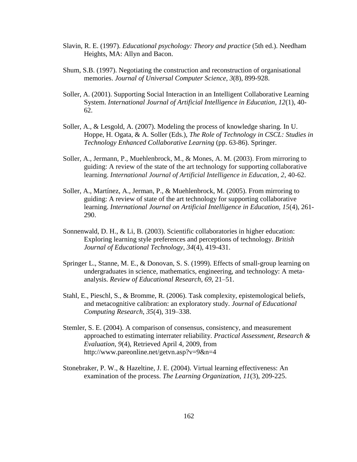- Slavin, R. E. (1997). *Educational psychology: Theory and practice* (5th ed.). Needham Heights, MA: Allyn and Bacon.
- Shum, S.B. (1997). Negotiating the construction and reconstruction of organisational memories. *Journal of Universal Computer Science, 3*(8), 899-928.
- Soller, A. (2001). Supporting Social Interaction in an Intelligent Collaborative Learning System. *International Journal of Artificial Intelligence in Education, 12*(1), 40- 62.
- Soller, A., & Lesgold, A. (2007). Modeling the process of knowledge sharing. In U. Hoppe, H. Ogata, & A. Soller (Eds.), *The Role of Technology in CSCL: Studies in Technology Enhanced Collaborative Learning* (pp. 63-86). Springer.
- Soller, A., Jermann, P., Muehlenbrock, M., & Mones, A. M. (2003). From mirroring to guiding: A review of the state of the art technology for supporting collaborative learning. *International Journal of Artificial Intelligence in Education, 2*, 40-62.
- Soller, A., Martínez, A., Jerman, P., & Muehlenbrock, M. (2005). From mirroring to guiding: A review of state of the art technology for supporting collaborative learning. *International Journal on Artificial Intelligence in Education, 15*(4), 261- 290.
- Sonnenwald, D. H., & Li, B. (2003). Scientific collaboratories in higher education: Exploring learning style preferences and perceptions of technology. *British Journal of Educational Technology, 34*(4), 419-431.
- Springer L., Stanne, M. E., & Donovan, S. S. (1999). Effects of small-group learning on undergraduates in science, mathematics, engineering, and technology: A metaanalysis. *Review of Educational Research*, *69*, 21–51.
- Stahl, E., Pieschl, S., & Bromme, R. (2006). Task complexity, epistemological beliefs, and metacognitive calibration: an exploratory study. *Journal of Educational Computing Research*, *35*(4), 319–338.
- Stemler, S. E. (2004). A comparison of consensus, consistency, and measurement approached to estimating interrater reliability. *Practical Assessment, Research & Evaluation, 9*(4), Retrieved April 4, 2009, from http://www.pareonline.net/getvn.asp?v=9&n=4
- Stonebraker, P. W., & Hazeltine, J. E. (2004). Virtual learning effectiveness: An examination of the process. *The Learning Organization, 11*(3), 209-225.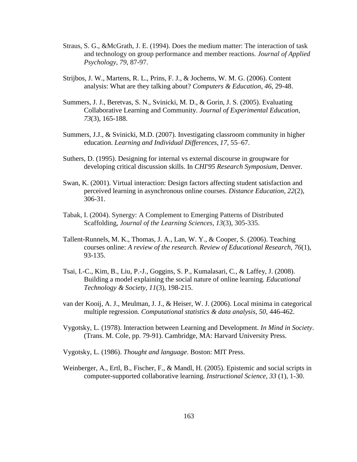- Straus, S. G., &McGrath, J. E. (1994). Does the medium matter: The interaction of task and technology on group performance and member reactions. *Journal of Applied Psychology*, *79*, 87-97.
- Strijbos, J. W., Martens, R. L., Prins, F. J., & Jochems, W. M. G. (2006). Content analysis: What are they talking about? *Computers & Education*, *46*, 29-48.
- Summers, J. J., Beretvas, S. N., Svinicki, M. D., & Gorin, J. S. (2005). Evaluating Collaborative Learning and Community. *Journal of Experimental Education, 73*(3), 165-188.
- Summers, J.J., & Svinicki, M.D. (2007). Investigating classroom community in higher education. *Learning and Individual Differences*, *17,* 55–67.
- Suthers, D. (1995). Designing for internal vs external discourse in groupware for developing critical discussion skills. In *CHI'95 Research Symposium*, Denver.
- Swan, K. (2001). Virtual interaction: Design factors affecting student satisfaction and perceived learning in asynchronous online courses. *Distance Education, 22*(2), 306-31.
- Tabak, I. (2004). Synergy: A Complement to Emerging Patterns of Distributed Scaffolding, *Journal of the Learning Sciences, 13*(3), 305-335.
- Tallent-Runnels, M. K., Thomas, J. A., Lan, W. Y., & Cooper, S. (2006). Teaching courses online: *A review of the research. Review of Educational Research, 76*(1), 93-135.
- Tsai, I.-C., Kim, B., Liu, P.-J., Goggins, S. P., Kumalasari, C., & Laffey, J. (2008). Building a model explaining the social nature of online learning. *Educational Technology & Society, 11*(3), 198-215.
- van der Kooij, A. J., Meulman, J. J., & Heiser, W. J. (2006). Local minima in categorical multiple regression. *Computational statistics & data analysis, 50*, 446-462.
- Vygotsky, L. (1978). Interaction between Learning and Development. *In Mind in Society*. (Trans. M. Cole, pp. 79-91). Cambridge, MA: Harvard University Press.
- Vygotsky, L. (1986). *Thought and language*. Boston: MIT Press.
- Weinberger, A., Ertl, B., Fischer, F., & Mandl, H. (2005). Epistemic and social scripts in computer-supported collaborative learning. *Instructional Science, 33* (1), 1-30.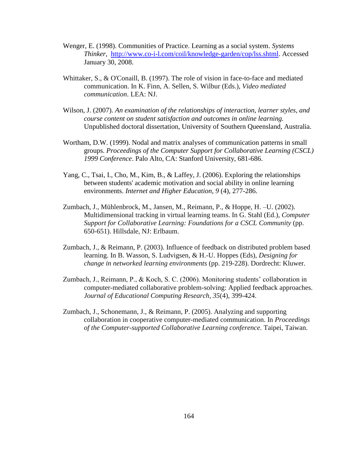- Wenger, E. (1998). Communities of Practice. Learning as a social system. *Systems Thinker*, [http://www.co-i-l.com/coil/knowledge-garden/cop/lss.shtml.](http://www.co-i-l.com/coil/knowledge-garden/cop/lss.shtml) Accessed January 30, 2008.
- Whittaker, S., & O'Conaill, B. (1997). The role of vision in face-to-face and mediated communication. In K. Finn, A. Sellen, S. Wilbur (Eds.), *Video mediated communication*. LEA: NJ.
- Wilson, J. (2007). *An examination of the relationships of interaction, learner styles, and course content on student satisfaction and outcomes in online learning.* Unpublished doctoral dissertation, University of Southern Queensland, Australia.
- Wortham, D.W. (1999). Nodal and matrix analyses of communication patterns in small groups. *Proceedings of the Computer Support for Collaborative Learning (CSCL) 1999 Conference*. Palo Alto, CA: Stanford University, 681-686.
- Yang, C., Tsai, I., Cho, M., Kim, B., & Laffey, J. (2006). Exploring the relationships between students' academic motivation and social ability in online learning environments. *Internet and Higher Education, 9* (4), 277-286.
- Zumbach, J., Mühlenbrock, M., Jansen, M., Reimann, P., & Hoppe, H. –U. (2002). Multidimensional tracking in virtual learning teams. In G. Stahl (Ed.), *Computer Support for Collaborative Learning: Foundations for a CSCL Community (pp.* 650-651). Hillsdale, NJ: Erlbaum.
- Zumbach, J., & Reimann, P. (2003). Influence of feedback on distributed problem based learning. In B. Wasson, S. Ludvigsen, & H.-U. Hoppes (Eds), *Designing for change in networked learning environments* (pp. 219-228). Dordrecht: Kluwer.
- Zumbach, J., Reimann, P., & Koch, S. C. (2006). Monitoring students' collaboration in computer-mediated collaborative problem-solving: Applied feedback approaches. *Journal of Educational Computing Research, 35*(4), 399-424.
- Zumbach, J., Schonemann, J., & Reimann, P. (2005). Analyzing and supporting collaboration in cooperative computer-mediated communication. In *Proceedings of the Computer-supported Collaborative Learning conference.* Taipei, Taiwan.